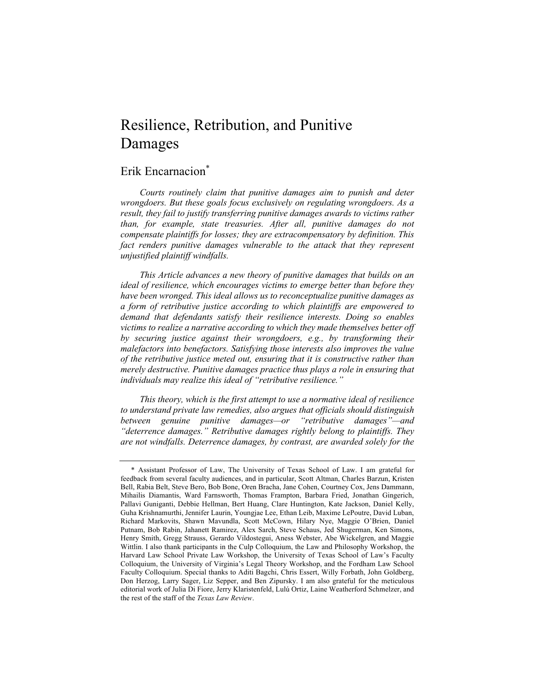# Erik Encarnacion<sup>\*</sup>

*Courts routinely claim that punitive damages aim to punish and deter wrongdoers. But these goals focus exclusively on regulating wrongdoers. As a result, they fail to justify transferring punitive damages awards to victims rather than, for example, state treasuries. After all, punitive damages do not compensate plaintiffs for losses; they are extracompensatory by definition. This*  fact renders punitive damages vulnerable to the attack that they represent *unjustified plaintiff windfalls.*

*This Article advances a new theory of punitive damages that builds on an ideal of resilience, which encourages victims to emerge better than before they have been wronged. This ideal allows us to reconceptualize punitive damages as a form of retributive justice according to which plaintiffs are empowered to demand that defendants satisfy their resilience interests. Doing so enables victims to realize a narrative according to which they made themselves better off by securing justice against their wrongdoers, e.g., by transforming their malefactors into benefactors. Satisfying those interests also improves the value of the retributive justice meted out, ensuring that it is constructive rather than merely destructive. Punitive damages practice thus plays a role in ensuring that individuals may realize this ideal of "retributive resilience."*

*This theory, which is the first attempt to use a normative ideal of resilience to understand private law remedies, also argues that officials should distinguish between genuine punitive damages—or "retributive damages"—and "deterrence damages." Retributive damages rightly belong to plaintiffs. They are not windfalls. Deterrence damages, by contrast, are awarded solely for the* 

<sup>\*</sup> Assistant Professor of Law, The University of Texas School of Law. I am grateful for feedback from several faculty audiences, and in particular, Scott Altman, Charles Barzun, Kristen Bell, Rabia Belt, Steve Bero, Bob Bone, Oren Bracha, Jane Cohen, Courtney Cox, Jens Dammann, Mihailis Diamantis, Ward Farnsworth, Thomas Frampton, Barbara Fried, Jonathan Gingerich, Pallavi Guniganti, Debbie Hellman, Bert Huang, Clare Huntington, Kate Jackson, Daniel Kelly, Guha Krishnamurthi, Jennifer Laurin, Youngjae Lee, Ethan Leib, Maxime LePoutre, David Luban, Richard Markovits, Shawn Mavundla, Scott McCown, Hilary Nye, Maggie O'Brien, Daniel Putnam, Bob Rabin, Jahanett Ramirez, Alex Sarch, Steve Schaus, Jed Shugerman, Ken Simons, Henry Smith, Gregg Strauss, Gerardo Vildostegui, Aness Webster, Abe Wickelgren, and Maggie Wittlin. I also thank participants in the Culp Colloquium, the Law and Philosophy Workshop, the Harvard Law School Private Law Workshop, the University of Texas School of Law's Faculty Colloquium, the University of Virginia's Legal Theory Workshop, and the Fordham Law School Faculty Colloquium. Special thanks to Aditi Bagchi, Chris Essert, Willy Forbath, John Goldberg, Don Herzog, Larry Sager, Liz Sepper, and Ben Zipursky. I am also grateful for the meticulous editorial work of Julia Di Fiore, Jerry Klaristenfeld, Lulú Ortiz, Laine Weatherford Schmelzer, and the rest of the staff of the *Texas Law Review*.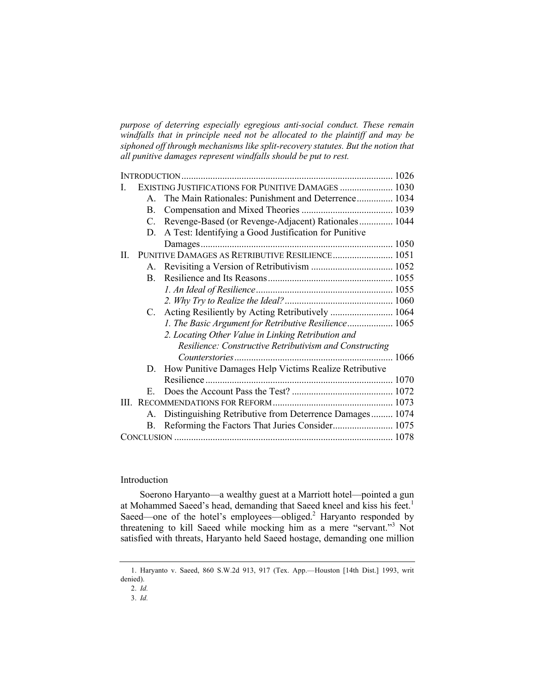*purpose of deterring especially egregious anti-social conduct. These remain windfalls that in principle need not be allocated to the plaintiff and may be siphoned off through mechanisms like split-recovery statutes. But the notion that all punitive damages represent windfalls should be put to rest.*

| L. |              | EXISTING JUSTIFICATIONS FOR PUNITIVE DAMAGES  1030         |  |
|----|--------------|------------------------------------------------------------|--|
|    | $\mathbf{A}$ | The Main Rationales: Punishment and Deterrence 1034        |  |
|    | B.           |                                                            |  |
|    | C.           | Revenge-Based (or Revenge-Adjacent) Rationales 1044        |  |
|    | D.           | A Test: Identifying a Good Justification for Punitive      |  |
|    |              |                                                            |  |
| П. |              | PUNITIVE DAMAGES AS RETRIBUTIVE RESILIENCE 1051            |  |
|    |              |                                                            |  |
|    | B.           |                                                            |  |
|    |              |                                                            |  |
|    |              |                                                            |  |
|    | $C_{\cdot}$  | Acting Resiliently by Acting Retributively  1064           |  |
|    |              | 1. The Basic Argument for Retributive Resilience 1065      |  |
|    |              | 2. Locating Other Value in Linking Retribution and         |  |
|    |              | Resilience: Constructive Retributivism and Constructing    |  |
|    |              |                                                            |  |
|    | D.           | How Punitive Damages Help Victims Realize Retributive      |  |
|    |              |                                                            |  |
|    | $E_{\perp}$  |                                                            |  |
|    |              |                                                            |  |
|    |              | A. Distinguishing Retributive from Deterrence Damages 1074 |  |
|    | В.           |                                                            |  |
|    |              |                                                            |  |

# Introduction

Soerono Haryanto—a wealthy guest at a Marriott hotel—pointed a gun at Mohammed Saeed's head, demanding that Saeed kneel and kiss his feet.<sup>1</sup> Saeed—one of the hotel's employees—obliged.<sup>2</sup> Haryanto responded by threatening to kill Saeed while mocking him as a mere "servant."<sup>3</sup> Not satisfied with threats, Haryanto held Saeed hostage, demanding one million

<sup>1.</sup> Haryanto v. Saeed, 860 S.W.2d 913, 917 (Tex. App.—Houston [14th Dist.] 1993, writ denied).

<sup>2.</sup> *Id.*

<sup>3.</sup> *Id.*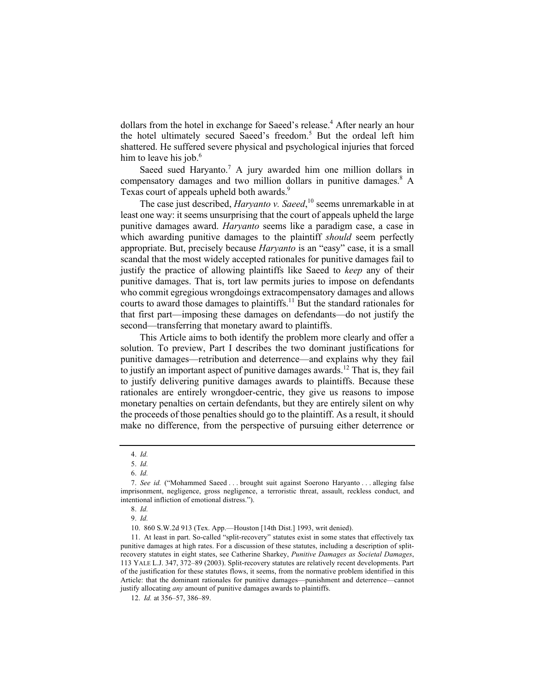dollars from the hotel in exchange for Saeed's release.<sup>4</sup> After nearly an hour the hotel ultimately secured Saeed's freedom.<sup>5</sup> But the ordeal left him shattered. He suffered severe physical and psychological injuries that forced him to leave his job.<sup>6</sup>

Saeed sued Haryanto.<sup>7</sup> A jury awarded him one million dollars in compensatory damages and two million dollars in punitive damages. $8 \text{ A}$ Texas court of appeals upheld both awards.<sup>9</sup>

The case just described, *Haryanto v. Saeed*,<sup>10</sup> seems unremarkable in at least one way: it seems unsurprising that the court of appeals upheld the large punitive damages award. *Haryanto* seems like a paradigm case, a case in which awarding punitive damages to the plaintiff *should* seem perfectly appropriate. But, precisely because *Haryanto* is an "easy" case, it is a small scandal that the most widely accepted rationales for punitive damages fail to justify the practice of allowing plaintiffs like Saeed to *keep* any of their punitive damages. That is, tort law permits juries to impose on defendants who commit egregious wrongdoings extracompensatory damages and allows courts to award those damages to plaintiffs.<sup>11</sup> But the standard rationales for that first part—imposing these damages on defendants—do not justify the second—transferring that monetary award to plaintiffs.

This Article aims to both identify the problem more clearly and offer a solution. To preview, Part I describes the two dominant justifications for punitive damages—retribution and deterrence—and explains why they fail to justify an important aspect of punitive damages awards.<sup>12</sup> That is, they fail to justify delivering punitive damages awards to plaintiffs. Because these rationales are entirely wrongdoer-centric, they give us reasons to impose monetary penalties on certain defendants, but they are entirely silent on why the proceeds of those penalties should go to the plaintiff. As a result, it should make no difference, from the perspective of pursuing either deterrence or

<sup>4.</sup> *Id.*

<sup>5.</sup> *Id.*

<sup>6.</sup> *Id.*

<sup>7.</sup> *See id.* ("Mohammed Saeed . . . brought suit against Soerono Haryanto . . . alleging false imprisonment, negligence, gross negligence, a terroristic threat, assault, reckless conduct, and intentional infliction of emotional distress.").

<sup>8.</sup> *Id.*

<sup>9.</sup> *Id.*

<sup>10.</sup> 860 S.W.2d 913 (Tex. App.—Houston [14th Dist.] 1993, writ denied).

<sup>11.</sup> At least in part. So-called "split-recovery" statutes exist in some states that effectively tax punitive damages at high rates. For a discussion of these statutes, including a description of splitrecovery statutes in eight states, see Catherine Sharkey, *Punitive Damages as Societal Damages*, 113 YALE L.J. 347, 372–89 (2003). Split-recovery statutes are relatively recent developments. Part of the justification for these statutes flows, it seems, from the normative problem identified in this Article: that the dominant rationales for punitive damages—punishment and deterrence—cannot justify allocating *any* amount of punitive damages awards to plaintiffs.

<sup>12.</sup> *Id.* at 356–57, 386–89.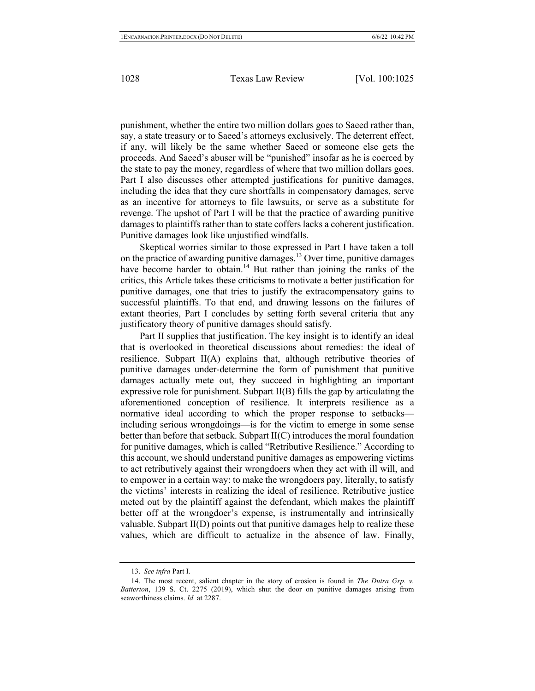punishment, whether the entire two million dollars goes to Saeed rather than, say, a state treasury or to Saeed's attorneys exclusively. The deterrent effect, if any, will likely be the same whether Saeed or someone else gets the proceeds. And Saeed's abuser will be "punished" insofar as he is coerced by the state to pay the money, regardless of where that two million dollars goes. Part I also discusses other attempted justifications for punitive damages, including the idea that they cure shortfalls in compensatory damages, serve as an incentive for attorneys to file lawsuits, or serve as a substitute for revenge. The upshot of Part I will be that the practice of awarding punitive damages to plaintiffs rather than to state coffers lacks a coherent justification. Punitive damages look like unjustified windfalls.

Skeptical worries similar to those expressed in Part I have taken a toll on the practice of awarding punitive damages. <sup>13</sup> Over time, punitive damages have become harder to obtain.<sup>14</sup> But rather than joining the ranks of the critics, this Article takes these criticisms to motivate a better justification for punitive damages, one that tries to justify the extracompensatory gains to successful plaintiffs. To that end, and drawing lessons on the failures of extant theories, Part I concludes by setting forth several criteria that any justificatory theory of punitive damages should satisfy.

Part II supplies that justification. The key insight is to identify an ideal that is overlooked in theoretical discussions about remedies: the ideal of resilience. Subpart II(A) explains that, although retributive theories of punitive damages under-determine the form of punishment that punitive damages actually mete out, they succeed in highlighting an important expressive role for punishment. Subpart  $II(B)$  fills the gap by articulating the aforementioned conception of resilience. It interprets resilience as a normative ideal according to which the proper response to setbacks including serious wrongdoings—is for the victim to emerge in some sense better than before that setback. Subpart II(C) introduces the moral foundation for punitive damages, which is called "Retributive Resilience." According to this account, we should understand punitive damages as empowering victims to act retributively against their wrongdoers when they act with ill will, and to empower in a certain way: to make the wrongdoers pay, literally, to satisfy the victims' interests in realizing the ideal of resilience. Retributive justice meted out by the plaintiff against the defendant, which makes the plaintiff better off at the wrongdoer's expense, is instrumentally and intrinsically valuable. Subpart II(D) points out that punitive damages help to realize these values, which are difficult to actualize in the absence of law. Finally,

<sup>13.</sup> *See infra* Part I.

<sup>14.</sup> The most recent, salient chapter in the story of erosion is found in *The Dutra Grp. v. Batterton*, 139 S. Ct. 2275 (2019), which shut the door on punitive damages arising from seaworthiness claims. *Id.* at 2287.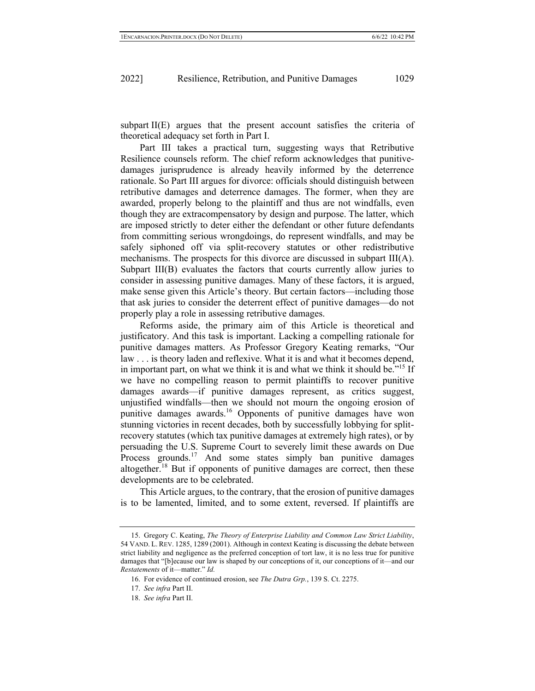subpart II(E) argues that the present account satisfies the criteria of theoretical adequacy set forth in Part I.

Part III takes a practical turn, suggesting ways that Retributive Resilience counsels reform. The chief reform acknowledges that punitivedamages jurisprudence is already heavily informed by the deterrence rationale. So Part III argues for divorce: officials should distinguish between retributive damages and deterrence damages. The former, when they are awarded, properly belong to the plaintiff and thus are not windfalls, even though they are extracompensatory by design and purpose. The latter, which are imposed strictly to deter either the defendant or other future defendants from committing serious wrongdoings, do represent windfalls, and may be safely siphoned off via split-recovery statutes or other redistributive mechanisms. The prospects for this divorce are discussed in subpart III(A). Subpart III(B) evaluates the factors that courts currently allow juries to consider in assessing punitive damages. Many of these factors, it is argued, make sense given this Article's theory. But certain factors—including those that ask juries to consider the deterrent effect of punitive damages—do not properly play a role in assessing retributive damages.

Reforms aside, the primary aim of this Article is theoretical and justificatory. And this task is important. Lacking a compelling rationale for punitive damages matters. As Professor Gregory Keating remarks, "Our law . . . is theory laden and reflexive. What it is and what it becomes depend, in important part, on what we think it is and what we think it should be.<sup> $15$ </sup> If we have no compelling reason to permit plaintiffs to recover punitive damages awards—if punitive damages represent, as critics suggest, unjustified windfalls—then we should not mourn the ongoing erosion of punitive damages awards.16 Opponents of punitive damages have won stunning victories in recent decades, both by successfully lobbying for splitrecovery statutes (which tax punitive damages at extremely high rates), or by persuading the U.S. Supreme Court to severely limit these awards on Due Process grounds.<sup>17</sup> And some states simply ban punitive damages altogether.<sup>18</sup> But if opponents of punitive damages are correct, then these developments are to be celebrated.

This Article argues, to the contrary, that the erosion of punitive damages is to be lamented, limited, and to some extent, reversed. If plaintiffs are

<sup>15.</sup> Gregory C. Keating, *The Theory of Enterprise Liability and Common Law Strict Liability*, 54 VAND. L. REV. 1285, 1289 (2001). Although in context Keating is discussing the debate between strict liability and negligence as the preferred conception of tort law, it is no less true for punitive damages that "[b]ecause our law is shaped by our conceptions of it, our conceptions of it—and our *Restatements* of it—matter." *Id.*

<sup>16.</sup> For evidence of continued erosion, see *The Dutra Grp.*, 139 S. Ct. 2275.

<sup>17.</sup> *See infra* Part II.

<sup>18.</sup> *See infra* Part II.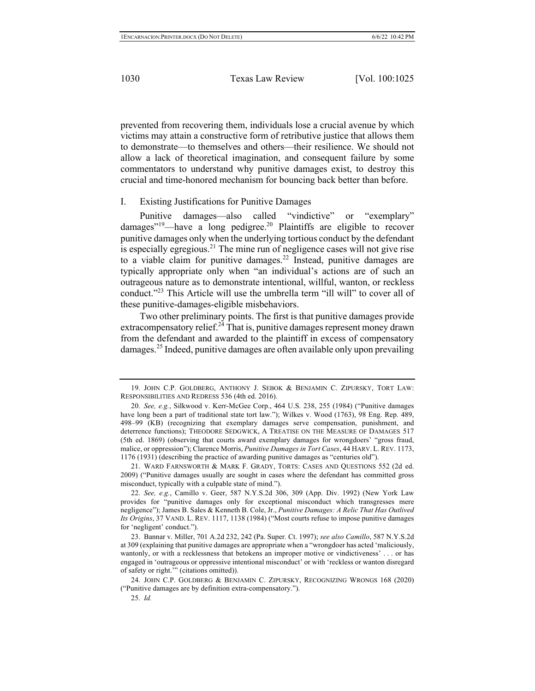prevented from recovering them, individuals lose a crucial avenue by which victims may attain a constructive form of retributive justice that allows them to demonstrate—to themselves and others—their resilience. We should not allow a lack of theoretical imagination, and consequent failure by some commentators to understand why punitive damages exist, to destroy this crucial and time-honored mechanism for bouncing back better than before.

## I. Existing Justifications for Punitive Damages

Punitive damages—also called "vindictive" or "exemplary" damages"<sup>19</sup>—have a long pedigree.<sup>20</sup> Plaintiffs are eligible to recover punitive damages only when the underlying tortious conduct by the defendant is especially egregious.<sup>21</sup> The mine run of negligence cases will not give rise to a viable claim for punitive damages.<sup>22</sup> Instead, punitive damages are typically appropriate only when "an individual's actions are of such an outrageous nature as to demonstrate intentional, willful, wanton, or reckless conduct."<sup>23</sup> This Article will use the umbrella term "ill will" to cover all of these punitive-damages-eligible misbehaviors.

Two other preliminary points. The first is that punitive damages provide extracompensatory relief.<sup>24</sup> That is, punitive damages represent money drawn from the defendant and awarded to the plaintiff in excess of compensatory damages. <sup>25</sup> Indeed, punitive damages are often available only upon prevailing

<sup>19.</sup> JOHN C.P. GOLDBERG, ANTHONY J. SEBOK & BENJAMIN C. ZIPURSKY, TORT LAW: RESPONSIBILITIES AND REDRESS 536 (4th ed. 2016).

<sup>20.</sup> *See, e.g.*, Silkwood v. Kerr-McGee Corp., 464 U.S. 238, 255 (1984) ("Punitive damages have long been a part of traditional state tort law."); Wilkes v. Wood (1763), 98 Eng. Rep. 489, 498–99 (KB) (recognizing that exemplary damages serve compensation, punishment, and deterrence functions); THEODORE SEDGWICK, A TREATISE ON THE MEASURE OF DAMAGES 517 (5th ed. 1869) (observing that courts award exemplary damages for wrongdoers' "gross fraud, malice, or oppression"); Clarence Morris, *Punitive Damages in Tort Cases*, 44 HARV. L. REV. 1173, 1176 (1931) (describing the practice of awarding punitive damages as "centuries old").

<sup>21.</sup> WARD FARNSWORTH & MARK F. GRADY, TORTS: CASES AND QUESTIONS 552 (2d ed. 2009) ("Punitive damages usually are sought in cases where the defendant has committed gross misconduct, typically with a culpable state of mind.").

<sup>22.</sup> *See, e.g.*, Camillo v. Geer, 587 N.Y.S.2d 306, 309 (App. Div. 1992) (New York Law provides for "punitive damages only for exceptional misconduct which transgresses mere negligence"); James B. Sales & Kenneth B. Cole, Jr., *Punitive Damages: A Relic That Has Outlived Its Origins*, 37 VAND. L. REV. 1117, 1138 (1984) ("Most courts refuse to impose punitive damages for 'negligent' conduct.").

<sup>23.</sup> Bannar v. Miller, 701 A.2d 232, 242 (Pa. Super. Ct. 1997); *see also Camillo*, 587 N.Y.S.2d at 309 (explaining that punitive damages are appropriate when a "wrongdoer has acted 'maliciously, wantonly, or with a recklessness that betokens an improper motive or vindictiveness' . . . or has engaged in 'outrageous or oppressive intentional misconduct' or with 'reckless or wanton disregard of safety or right.'" (citations omitted)).

<sup>24.</sup> JOHN C.P. GOLDBERG & BENJAMIN C. ZIPURSKY, RECOGNIZING WRONGS 168 (2020) ("Punitive damages are by definition extra-compensatory.").

<sup>25.</sup> *Id.*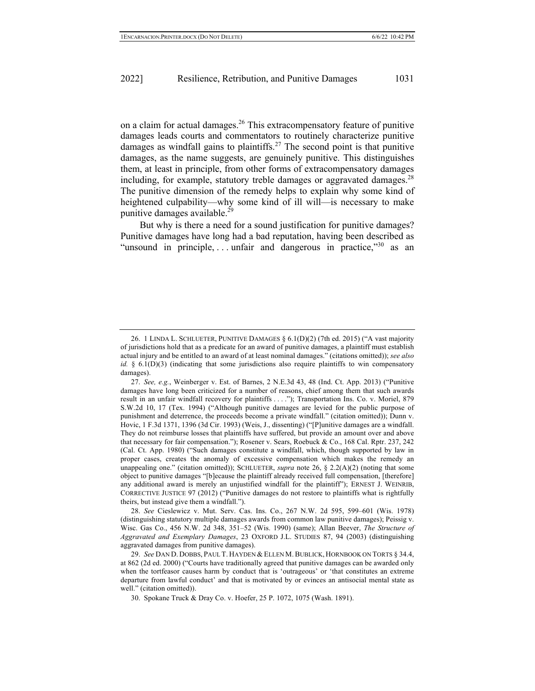on a claim for actual damages.<sup>26</sup> This extracompensatory feature of punitive damages leads courts and commentators to routinely characterize punitive damages as windfall gains to plaintiffs.<sup>27</sup> The second point is that punitive damages, as the name suggests, are genuinely punitive. This distinguishes them, at least in principle, from other forms of extracompensatory damages including, for example, statutory treble damages or aggravated damages.<sup>28</sup> The punitive dimension of the remedy helps to explain why some kind of heightened culpability—why some kind of ill will—is necessary to make punitive damages available. $^{29}$ 

But why is there a need for a sound justification for punitive damages? Punitive damages have long had a bad reputation, having been described as "unsound in principle, ... unfair and dangerous in practice," as an

28. *See* Cieslewicz v. Mut. Serv. Cas. Ins. Co., 267 N.W. 2d 595, 599–601 (Wis. 1978) (distinguishing statutory multiple damages awards from common law punitive damages); Peissig v. Wisc. Gas Co., 456 N.W. 2d 348, 351–52 (Wis. 1990) (same); Allan Beever, *The Structure of Aggravated and Exemplary Damages*, 23 OXFORD J.L. STUDIES 87, 94 (2003) (distinguishing aggravated damages from punitive damages).

<sup>26.</sup> 1 LINDA L. SCHLUETER, PUNITIVE DAMAGES § 6.1(D)(2) (7th ed. 2015) ("A vast majority of jurisdictions hold that as a predicate for an award of punitive damages, a plaintiff must establish actual injury and be entitled to an award of at least nominal damages." (citations omitted)); *see also id.* § 6.1(D)(3) (indicating that some jurisdictions also require plaintiffs to win compensatory damages).

<sup>27.</sup> *See, e.g.*, Weinberger v. Est. of Barnes, 2 N.E.3d 43, 48 (Ind. Ct. App. 2013) ("Punitive damages have long been criticized for a number of reasons, chief among them that such awards result in an unfair windfall recovery for plaintiffs . . . ."); Transportation Ins. Co. v. Moriel, 879 S.W.2d 10, 17 (Tex. 1994) ("Although punitive damages are levied for the public purpose of punishment and deterrence, the proceeds become a private windfall." (citation omitted)); Dunn v. Hovic, 1 F.3d 1371, 1396 (3d Cir. 1993) (Weis, J., dissenting) ("[P]unitive damages are a windfall. They do not reimburse losses that plaintiffs have suffered, but provide an amount over and above that necessary for fair compensation."); Rosener v. Sears, Roebuck & Co., 168 Cal. Rptr. 237, 242 (Cal. Ct. App. 1980) ("Such damages constitute a windfall, which, though supported by law in proper cases, creates the anomaly of excessive compensation which makes the remedy an unappealing one." (citation omitted)); SCHLUETER, *supra* note 26, § 2.2(A)(2) (noting that some object to punitive damages "[b]ecause the plaintiff already received full compensation, [therefore] any additional award is merely an unjustified windfall for the plaintiff"); ERNEST J. WEINRIB, CORRECTIVE JUSTICE 97 (2012) ("Punitive damages do not restore to plaintiffs what is rightfully theirs, but instead give them a windfall.").

<sup>29.</sup> *See* DAN D. DOBBS, PAUL T. HAYDEN & ELLEN M.BUBLICK, HORNBOOK ON TORTS § 34.4, at 862 (2d ed. 2000) ("Courts have traditionally agreed that punitive damages can be awarded only when the tortfeasor causes harm by conduct that is 'outrageous' or 'that constitutes an extreme departure from lawful conduct' and that is motivated by or evinces an antisocial mental state as well." (citation omitted)).

<sup>30.</sup> Spokane Truck & Dray Co. v. Hoefer, 25 P. 1072, 1075 (Wash. 1891).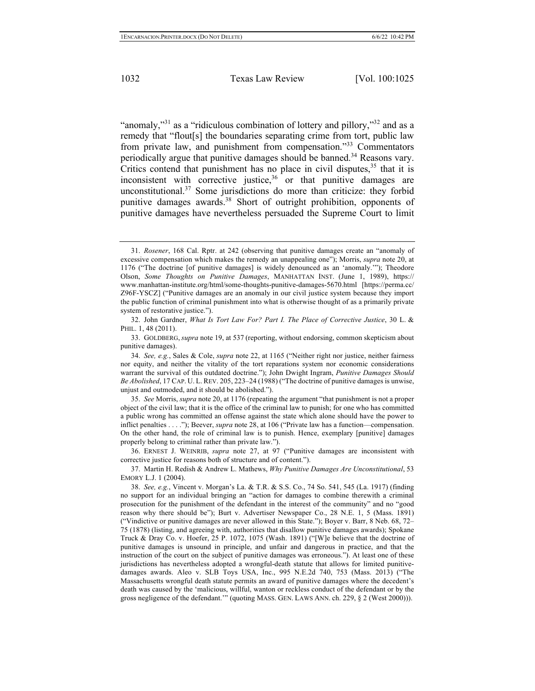"anomaly,"<sup>31</sup> as a "ridiculous combination of lottery and pillory,"<sup>32</sup> and as a remedy that "flout[s] the boundaries separating crime from tort, public law from private law, and punishment from compensation."<sup>33</sup> Commentators periodically argue that punitive damages should be banned.<sup>34</sup> Reasons vary. Critics contend that punishment has no place in civil disputes,  $35$  that it is inconsistent with corrective justice,  $36$  or that punitive damages are unconstitutional.<sup>37</sup> Some jurisdictions do more than criticize: they forbid punitive damages awards.38 Short of outright prohibition, opponents of punitive damages have nevertheless persuaded the Supreme Court to limit

35. *See* Morris, *supra* note 20, at 1176 (repeating the argument "that punishment is not a proper object of the civil law; that it is the office of the criminal law to punish; for one who has committed a public wrong has committed an offense against the state which alone should have the power to inflict penalties . . . ."); Beever, *supra* note 28, at 106 ("Private law has a function—compensation. On the other hand, the role of criminal law is to punish. Hence, exemplary [punitive] damages properly belong to criminal rather than private law.").

36. ERNEST J. WEINRIB, *supra* note 27, at 97 ("Punitive damages are inconsistent with corrective justice for reasons both of structure and of content.").

37. Martin H. Redish & Andrew L. Mathews, *Why Punitive Damages Are Unconstitutional*, 53 EMORY L.J. 1 (2004).

<sup>31.</sup> *Rosener*, 168 Cal. Rptr. at 242 (observing that punitive damages create an "anomaly of excessive compensation which makes the remedy an unappealing one"); Morris, *supra* note 20, at 1176 ("The doctrine [of punitive damages] is widely denounced as an 'anomaly.'"); Theodore Olson, *Some Thoughts on Punitive Damages*, MANHATTAN INST. (June 1, 1989), https:// www.manhattan-institute.org/html/some-thoughts-punitive-damages-5670.html [https://perma.cc/ Z96F-YSCZ] ("Punitive damages are an anomaly in our civil justice system because they import the public function of criminal punishment into what is otherwise thought of as a primarily private system of restorative justice.").

<sup>32.</sup> John Gardner, *What Is Tort Law For? Part I. The Place of Corrective Justice*, 30 L. & PHIL. 1, 48 (2011).

<sup>33.</sup> GOLDBERG, *supra* note 19, at 537 (reporting, without endorsing, common skepticism about punitive damages).

<sup>34.</sup> *See, e.g.*, Sales & Cole, *supra* note 22, at 1165 ("Neither right nor justice, neither fairness nor equity, and neither the vitality of the tort reparations system nor economic considerations warrant the survival of this outdated doctrine."); John Dwight Ingram, *Punitive Damages Should Be Abolished*, 17 CAP. U. L.REV. 205, 223–24 (1988) ("The doctrine of punitive damages is unwise, unjust and outmoded, and it should be abolished.").

<sup>38.</sup> *See, e.g.*, Vincent v. Morgan's La. & T.R. & S.S. Co., 74 So. 541, 545 (La. 1917) (finding no support for an individual bringing an "action for damages to combine therewith a criminal prosecution for the punishment of the defendant in the interest of the community" and no "good reason why there should be"); Burt v. Advertiser Newspaper Co., 28 N.E. 1, 5 (Mass. 1891) ("Vindictive or punitive damages are never allowed in this State."); Boyer v. Barr, 8 Neb. 68, 72– 75 (1878) (listing, and agreeing with, authorities that disallow punitive damages awards); Spokane Truck & Dray Co. v. Hoefer, 25 P. 1072, 1075 (Wash. 1891) ("[W]e believe that the doctrine of punitive damages is unsound in principle, and unfair and dangerous in practice, and that the instruction of the court on the subject of punitive damages was erroneous."). At least one of these jurisdictions has nevertheless adopted a wrongful-death statute that allows for limited punitivedamages awards. Aleo v. SLB Toys USA, Inc., 995 N.E.2d 740, 753 (Mass. 2013) ("The Massachusetts wrongful death statute permits an award of punitive damages where the decedent's death was caused by the 'malicious, willful, wanton or reckless conduct of the defendant or by the gross negligence of the defendant.'" (quoting MASS. GEN. LAWS ANN. ch. 229, § 2 (West 2000))).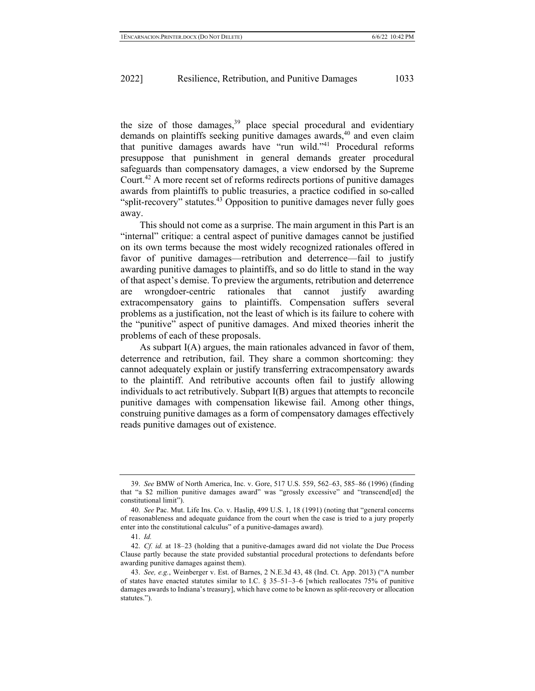the size of those damages, $39$  place special procedural and evidentiary demands on plaintiffs seeking punitive damages awards,  $40$  and even claim that punitive damages awards have "run wild."41 Procedural reforms presuppose that punishment in general demands greater procedural safeguards than compensatory damages, a view endorsed by the Supreme Court.<sup>42</sup> A more recent set of reforms redirects portions of punitive damages awards from plaintiffs to public treasuries, a practice codified in so-called "split-recovery" statutes.<sup>43</sup> Opposition to punitive damages never fully goes away.

This should not come as a surprise. The main argument in this Part is an "internal" critique: a central aspect of punitive damages cannot be justified on its own terms because the most widely recognized rationales offered in favor of punitive damages—retribution and deterrence—fail to justify awarding punitive damages to plaintiffs, and so do little to stand in the way of that aspect's demise. To preview the arguments, retribution and deterrence are wrongdoer-centric rationales that cannot justify awarding extracompensatory gains to plaintiffs. Compensation suffers several problems as a justification, not the least of which is its failure to cohere with the "punitive" aspect of punitive damages. And mixed theories inherit the problems of each of these proposals.

As subpart I(A) argues, the main rationales advanced in favor of them, deterrence and retribution, fail. They share a common shortcoming: they cannot adequately explain or justify transferring extracompensatory awards to the plaintiff. And retributive accounts often fail to justify allowing individuals to act retributively. Subpart I(B) argues that attempts to reconcile punitive damages with compensation likewise fail. Among other things, construing punitive damages as a form of compensatory damages effectively reads punitive damages out of existence.

<sup>39.</sup> *See* BMW of North America, Inc. v. Gore, 517 U.S. 559, 562–63, 585–86 (1996) (finding that "a \$2 million punitive damages award" was "grossly excessive" and "transcend[ed] the constitutional limit").

<sup>40.</sup> *See* Pac. Mut. Life Ins. Co. v. Haslip, 499 U.S. 1, 18 (1991) (noting that "general concerns of reasonableness and adequate guidance from the court when the case is tried to a jury properly enter into the constitutional calculus" of a punitive-damages award).

<sup>41.</sup> *Id.*

<sup>42.</sup> *Cf. id.* at 18–23 (holding that a punitive-damages award did not violate the Due Process Clause partly because the state provided substantial procedural protections to defendants before awarding punitive damages against them).

<sup>43.</sup> *See, e.g.*, Weinberger v. Est. of Barnes, 2 N.E.3d 43, 48 (Ind. Ct. App. 2013) ("A number of states have enacted statutes similar to I.C. § 35–51–3–6 [which reallocates 75% of punitive damages awards to Indiana's treasury], which have come to be known as split-recovery or allocation statutes.").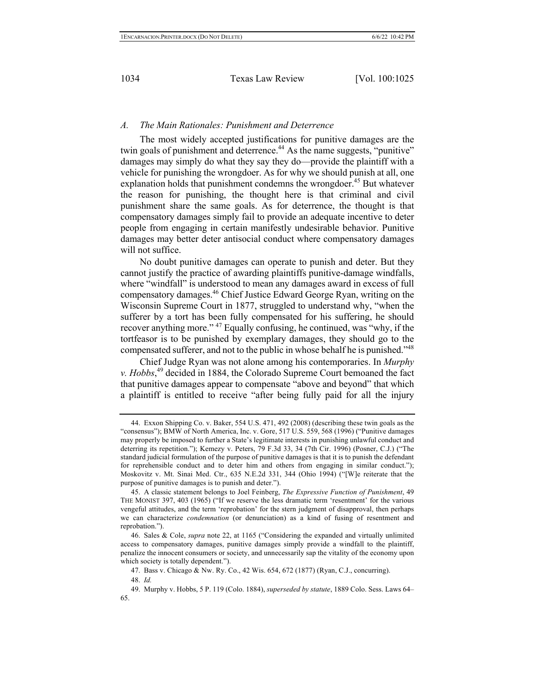#### *A. The Main Rationales: Punishment and Deterrence*

The most widely accepted justifications for punitive damages are the twin goals of punishment and deterrence.<sup>44</sup> As the name suggests, "punitive" damages may simply do what they say they do—provide the plaintiff with a vehicle for punishing the wrongdoer. As for why we should punish at all, one explanation holds that punishment condemns the wrongdoer.<sup>45</sup> But whatever the reason for punishing, the thought here is that criminal and civil punishment share the same goals. As for deterrence, the thought is that compensatory damages simply fail to provide an adequate incentive to deter people from engaging in certain manifestly undesirable behavior. Punitive damages may better deter antisocial conduct where compensatory damages will not suffice.

No doubt punitive damages can operate to punish and deter. But they cannot justify the practice of awarding plaintiffs punitive-damage windfalls, where "windfall" is understood to mean any damages award in excess of full compensatory damages.46 Chief Justice Edward George Ryan, writing on the Wisconsin Supreme Court in 1877, struggled to understand why, "when the sufferer by a tort has been fully compensated for his suffering, he should recover anything more." <sup>47</sup> Equally confusing, he continued, was "why, if the tortfeasor is to be punished by exemplary damages, they should go to the compensated sufferer, and not to the public in whose behalf he is punished."48

Chief Judge Ryan was not alone among his contemporaries. In *Murphy v. Hobbs*, <sup>49</sup> decided in 1884, the Colorado Supreme Court bemoaned the fact that punitive damages appear to compensate "above and beyond" that which a plaintiff is entitled to receive "after being fully paid for all the injury

<sup>44.</sup> Exxon Shipping Co. v. Baker, 554 U.S. 471, 492 (2008) (describing these twin goals as the "consensus"); BMW of North America, Inc. v. Gore, 517 U.S. 559, 568 (1996) ("Punitive damages may properly be imposed to further a State's legitimate interests in punishing unlawful conduct and deterring its repetition."); Kemezy v. Peters, 79 F.3d 33, 34 (7th Cir. 1996) (Posner, C.J.) ("The standard judicial formulation of the purpose of punitive damages is that it is to punish the defendant for reprehensible conduct and to deter him and others from engaging in similar conduct."); Moskovitz v. Mt. Sinai Med. Ctr., 635 N.E.2d 331, 344 (Ohio 1994) ("[W]e reiterate that the purpose of punitive damages is to punish and deter.").

<sup>45.</sup> A classic statement belongs to Joel Feinberg, *The Expressive Function of Punishment*, 49 THE MONIST 397, 403 (1965) ("If we reserve the less dramatic term 'resentment' for the various vengeful attitudes, and the term 'reprobation' for the stern judgment of disapproval, then perhaps we can characterize *condemnation* (or denunciation) as a kind of fusing of resentment and reprobation.").

<sup>46.</sup> Sales & Cole, *supra* note 22, at 1165 ("Considering the expanded and virtually unlimited access to compensatory damages, punitive damages simply provide a windfall to the plaintiff, penalize the innocent consumers or society, and unnecessarily sap the vitality of the economy upon which society is totally dependent.").

<sup>47.</sup> Bass v. Chicago & Nw. Ry. Co., 42 Wis. 654, 672 (1877) (Ryan, C.J., concurring).

<sup>48.</sup> *Id.*

<sup>49.</sup> Murphy v. Hobbs, 5 P. 119 (Colo. 1884), *superseded by statute*, 1889 Colo. Sess. Laws 64– 65.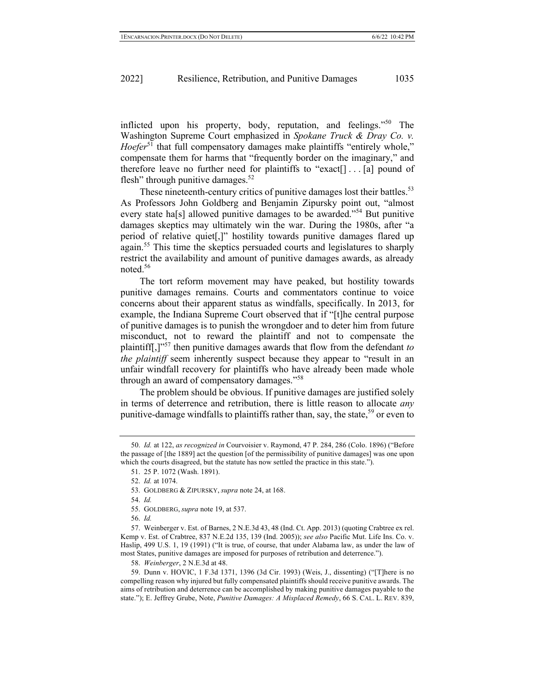inflicted upon his property, body, reputation, and feelings."50 The Washington Supreme Court emphasized in *Spokane Truck & Dray Co. v. Hoefer*<sup>51</sup> that full compensatory damages make plaintiffs "entirely whole," compensate them for harms that "frequently border on the imaginary," and therefore leave no further need for plaintiffs to "exact[] . . . [a] pound of flesh" through punitive damages. $52$ 

These nineteenth-century critics of punitive damages lost their battles.<sup>53</sup> As Professors John Goldberg and Benjamin Zipursky point out, "almost every state ha<sup>[s]</sup> allowed punitive damages to be awarded."<sup>54</sup> But punitive damages skeptics may ultimately win the war. During the 1980s, after "a period of relative quiet[,]" hostility towards punitive damages flared up again.<sup>55</sup> This time the skeptics persuaded courts and legislatures to sharply restrict the availability and amount of punitive damages awards, as already noted.56

The tort reform movement may have peaked, but hostility towards punitive damages remains. Courts and commentators continue to voice concerns about their apparent status as windfalls, specifically. In 2013, for example, the Indiana Supreme Court observed that if "[t]he central purpose of punitive damages is to punish the wrongdoer and to deter him from future misconduct, not to reward the plaintiff and not to compensate the plaintiff[,]"57 then punitive damages awards that flow from the defendant *to the plaintiff* seem inherently suspect because they appear to "result in an unfair windfall recovery for plaintiffs who have already been made whole through an award of compensatory damages."<sup>58</sup>

The problem should be obvious. If punitive damages are justified solely in terms of deterrence and retribution, there is little reason to allocate *any* punitive-damage windfalls to plaintiffs rather than, say, the state,<sup>59</sup> or even to

54. *Id.*

<sup>50.</sup> *Id.* at 122, *as recognized in* Courvoisier v. Raymond, 47 P. 284, 286 (Colo. 1896) ("Before the passage of [the 1889] act the question [of the permissibility of punitive damages] was one upon which the courts disagreed, but the statute has now settled the practice in this state.").

<sup>51.</sup> 25 P. 1072 (Wash. 1891).

<sup>52.</sup> *Id.* at 1074.

<sup>53.</sup> GOLDBERG & ZIPURSKY, *supra* note 24, at 168.

<sup>55.</sup> GOLDBERG, *supra* note 19, at 537.

<sup>56.</sup> *Id.*

<sup>57.</sup> Weinberger v. Est. of Barnes, 2 N.E.3d 43, 48 (Ind. Ct. App. 2013) (quoting Crabtree ex rel. Kemp v. Est. of Crabtree, 837 N.E.2d 135, 139 (Ind. 2005)); *see also* Pacific Mut. Life Ins. Co. v. Haslip, 499 U.S. 1, 19 (1991) ("It is true, of course, that under Alabama law, as under the law of most States, punitive damages are imposed for purposes of retribution and deterrence.").

<sup>58.</sup> *Weinberger*, 2 N.E.3d at 48.

<sup>59.</sup> Dunn v. HOVIC, 1 F.3d 1371, 1396 (3d Cir. 1993) (Weis, J., dissenting) ("[T]here is no compelling reason why injured but fully compensated plaintiffs should receive punitive awards. The aims of retribution and deterrence can be accomplished by making punitive damages payable to the state."); E. Jeffrey Grube, Note, *Punitive Damages: A Misplaced Remedy*, 66 S. CAL. L. REV. 839,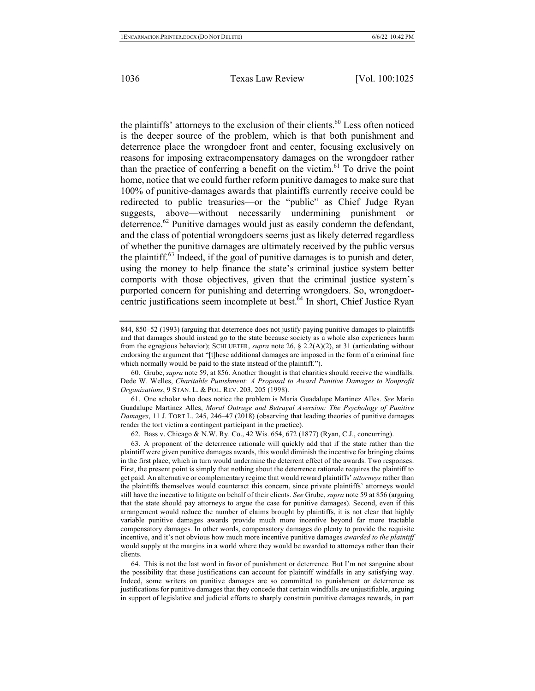the plaintiffs' attorneys to the exclusion of their clients. $60$  Less often noticed is the deeper source of the problem, which is that both punishment and deterrence place the wrongdoer front and center, focusing exclusively on reasons for imposing extracompensatory damages on the wrongdoer rather than the practice of conferring a benefit on the victim.<sup>61</sup> To drive the point home, notice that we could further reform punitive damages to make sure that 100% of punitive-damages awards that plaintiffs currently receive could be redirected to public treasuries—or the "public" as Chief Judge Ryan suggests, above—without necessarily undermining punishment or deterrence.<sup>62</sup> Punitive damages would just as easily condemn the defendant, and the class of potential wrongdoers seems just as likely deterred regardless of whether the punitive damages are ultimately received by the public versus the plaintiff. $63$  Indeed, if the goal of punitive damages is to punish and deter, using the money to help finance the state's criminal justice system better comports with those objectives, given that the criminal justice system's purported concern for punishing and deterring wrongdoers. So, wrongdoercentric justifications seem incomplete at best.<sup>64</sup> In short, Chief Justice Ryan

61. One scholar who does notice the problem is Maria Guadalupe Martinez Alles. *See* Maria Guadalupe Martinez Alles, *Moral Outrage and Betrayal Aversion: The Psychology of Punitive Damages*, 11 J. TORT L. 245, 246–47 (2018) (observing that leading theories of punitive damages render the tort victim a contingent participant in the practice).

62. Bass v. Chicago & N.W. Ry. Co., 42 Wis. 654, 672 (1877) (Ryan, C.J., concurring).

63. A proponent of the deterrence rationale will quickly add that if the state rather than the plaintiff were given punitive damages awards, this would diminish the incentive for bringing claims in the first place, which in turn would undermine the deterrent effect of the awards. Two responses: First, the present point is simply that nothing about the deterrence rationale requires the plaintiff to get paid. An alternative or complementary regime that would reward plaintiffs' *attorneys* rather than the plaintiffs themselves would counteract this concern, since private plaintiffs' attorneys would still have the incentive to litigate on behalf of their clients. *See* Grube, *supra* note 59 at 856 (arguing that the state should pay attorneys to argue the case for punitive damages). Second, even if this arrangement would reduce the number of claims brought by plaintiffs, it is not clear that highly variable punitive damages awards provide much more incentive beyond far more tractable compensatory damages. In other words, compensatory damages do plenty to provide the requisite incentive, and it's not obvious how much more incentive punitive damages *awarded to the plaintiff*  would supply at the margins in a world where they would be awarded to attorneys rather than their clients.

64. This is not the last word in favor of punishment or deterrence. But I'm not sanguine about the possibility that these justifications can account for plaintiff windfalls in any satisfying way. Indeed, some writers on punitive damages are so committed to punishment or deterrence as justifications for punitive damages that they concede that certain windfalls are unjustifiable, arguing in support of legislative and judicial efforts to sharply constrain punitive damages rewards, in part

<sup>844, 850–52 (1993) (</sup>arguing that deterrence does not justify paying punitive damages to plaintiffs and that damages should instead go to the state because society as a whole also experiences harm from the egregious behavior); SCHLUETER, *supra* note 26, § 2.2(A)(2), at 31 (articulating without endorsing the argument that "[t]hese additional damages are imposed in the form of a criminal fine which normally would be paid to the state instead of the plaintiff.").

<sup>60.</sup> Grube, *supra* note 59, at 856. Another thought is that charities should receive the windfalls. Dede W. Welles, *Charitable Punishment: A Proposal to Award Punitive Damages to Nonprofit Organizations*, 9 STAN. L. & POL. REV. 203, 205 (1998).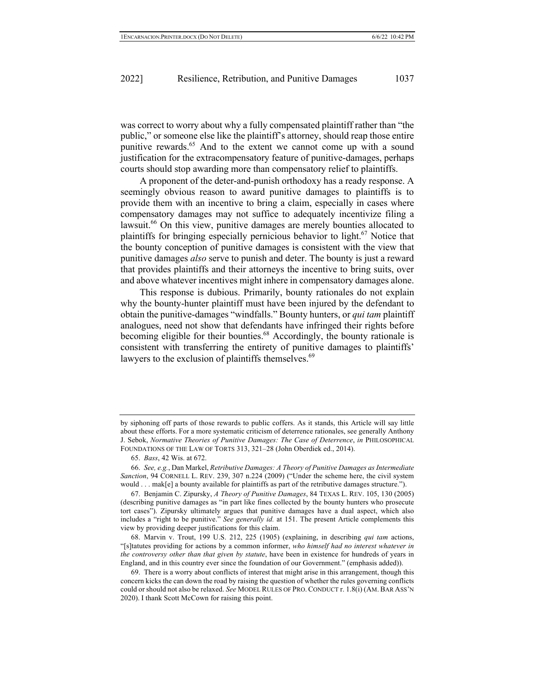was correct to worry about why a fully compensated plaintiff rather than "the public," or someone else like the plaintiff's attorney, should reap those entire punitive rewards.<sup>65</sup> And to the extent we cannot come up with a sound justification for the extracompensatory feature of punitive-damages, perhaps courts should stop awarding more than compensatory relief to plaintiffs.

A proponent of the deter-and-punish orthodoxy has a ready response. A seemingly obvious reason to award punitive damages to plaintiffs is to provide them with an incentive to bring a claim, especially in cases where compensatory damages may not suffice to adequately incentivize filing a lawsuit.<sup>66</sup> On this view, punitive damages are merely bounties allocated to plaintiffs for bringing especially pernicious behavior to light.<sup>67</sup> Notice that the bounty conception of punitive damages is consistent with the view that punitive damages *also* serve to punish and deter. The bounty is just a reward that provides plaintiffs and their attorneys the incentive to bring suits, over and above whatever incentives might inhere in compensatory damages alone.

This response is dubious. Primarily, bounty rationales do not explain why the bounty-hunter plaintiff must have been injured by the defendant to obtain the punitive-damages "windfalls." Bounty hunters, or *qui tam* plaintiff analogues, need not show that defendants have infringed their rights before becoming eligible for their bounties.<sup>68</sup> Accordingly, the bounty rationale is consistent with transferring the entirety of punitive damages to plaintiffs' lawyers to the exclusion of plaintiffs themselves.<sup>69</sup>

by siphoning off parts of those rewards to public coffers. As it stands, this Article will say little about these efforts. For a more systematic criticism of deterrence rationales, see generally Anthony J. Sebok, *Normative Theories of Punitive Damages: The Case of Deterrence*, *in* PHILOSOPHICAL FOUNDATIONS OF THE LAW OF TORTS 313, 321–28 (John Oberdiek ed., 2014).

<sup>65.</sup> *Bass*, 42 Wis. at 672.

<sup>66.</sup> *See, e.g.*, Dan Markel, *Retributive Damages: A Theory of Punitive Damages as Intermediate Sanction*, 94 CORNELL L. REV. 239, 307 n.224 (2009) ("Under the scheme here, the civil system would . . . mak[e] a bounty available for plaintiffs as part of the retributive damages structure.").

<sup>67.</sup> Benjamin C. Zipursky, *A Theory of Punitive Damages*, 84 TEXAS L. REV. 105, 130 (2005) (describing punitive damages as "in part like fines collected by the bounty hunters who prosecute tort cases"). Zipursky ultimately argues that punitive damages have a dual aspect, which also includes a "right to be punitive." *See generally id.* at 151. The present Article complements this view by providing deeper justifications for this claim.

<sup>68.</sup> Marvin v. Trout, 199 U.S. 212, 225 (1905) (explaining, in describing *qui tam* actions, "[s]tatutes providing for actions by a common informer, *who himself had no interest whatever in the controversy other than that given by statute*, have been in existence for hundreds of years in England, and in this country ever since the foundation of our Government." (emphasis added)).

<sup>69.</sup> There is a worry about conflicts of interest that might arise in this arrangement, though this concern kicks the can down the road by raising the question of whether the rules governing conflicts could or should not also be relaxed. *See* MODEL RULES OF PRO. CONDUCT r. 1.8(i) (AM. BAR ASS'N 2020). I thank Scott McCown for raising this point.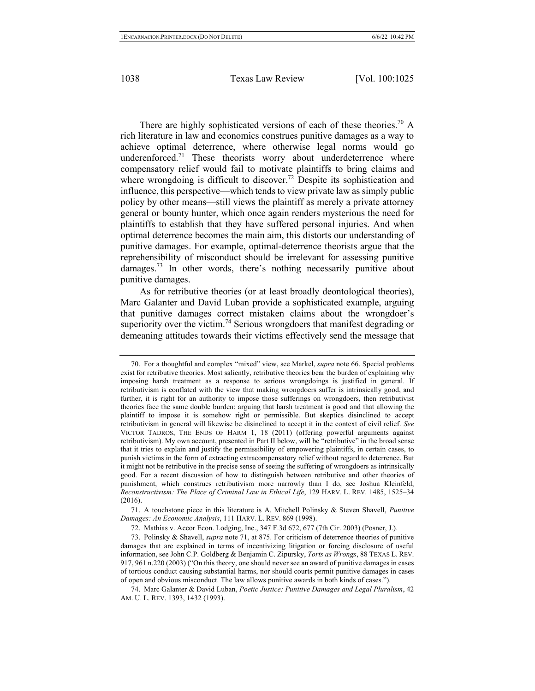There are highly sophisticated versions of each of these theories.<sup>70</sup> A rich literature in law and economics construes punitive damages as a way to achieve optimal deterrence, where otherwise legal norms would go underenforced.<sup>71</sup> These theorists worry about underdeterrence where compensatory relief would fail to motivate plaintiffs to bring claims and where wrongdoing is difficult to discover.<sup>72</sup> Despite its sophistication and influence, this perspective—which tends to view private law as simply public policy by other means—still views the plaintiff as merely a private attorney general or bounty hunter, which once again renders mysterious the need for plaintiffs to establish that they have suffered personal injuries. And when optimal deterrence becomes the main aim, this distorts our understanding of punitive damages. For example, optimal-deterrence theorists argue that the reprehensibility of misconduct should be irrelevant for assessing punitive damages.<sup>73</sup> In other words, there's nothing necessarily punitive about punitive damages.

As for retributive theories (or at least broadly deontological theories), Marc Galanter and David Luban provide a sophisticated example, arguing that punitive damages correct mistaken claims about the wrongdoer's superiority over the victim.<sup>74</sup> Serious wrongdoers that manifest degrading or demeaning attitudes towards their victims effectively send the message that

71. A touchstone piece in this literature is A. Mitchell Polinsky & Steven Shavell, *Punitive Damages: An Economic Analysis*, 111 HARV. L. REV. 869 (1998).

<sup>70.</sup> For a thoughtful and complex "mixed" view, see Markel, *supra* note 66. Special problems exist for retributive theories. Most saliently, retributive theories bear the burden of explaining why imposing harsh treatment as a response to serious wrongdoings is justified in general. If retributivism is conflated with the view that making wrongdoers suffer is intrinsically good, and further, it is right for an authority to impose those sufferings on wrongdoers, then retributivist theories face the same double burden: arguing that harsh treatment is good and that allowing the plaintiff to impose it is somehow right or permissible. But skeptics disinclined to accept retributivism in general will likewise be disinclined to accept it in the context of civil relief. *See* VICTOR TADROS, THE ENDS OF HARM 1, 18 (2011) (offering powerful arguments against retributivism). My own account, presented in Part II below, will be "retributive" in the broad sense that it tries to explain and justify the permissibility of empowering plaintiffs, in certain cases, to punish victims in the form of extracting extracompensatory relief without regard to deterrence. But it might not be retributive in the precise sense of seeing the suffering of wrongdoers as intrinsically good. For a recent discussion of how to distinguish between retributive and other theories of punishment, which construes retributivism more narrowly than I do, see Joshua Kleinfeld, *Reconstructivism: The Place of Criminal Law in Ethical Life*, 129 HARV. L. REV. 1485, 1525–34 (2016).

<sup>72.</sup> Mathias v. Accor Econ. Lodging, Inc., 347 F.3d 672, 677 (7th Cir. 2003) (Posner, J.).

<sup>73.</sup> Polinsky & Shavell, *supra* note 71, at 875. For criticism of deterrence theories of punitive damages that are explained in terms of incentivizing litigation or forcing disclosure of useful information, see John C.P. Goldberg & Benjamin C. Zipursky, *Torts as Wrongs*, 88 TEXAS L. REV. 917, 961 n.220 (2003) ("On this theory, one should never see an award of punitive damages in cases of tortious conduct causing substantial harms, nor should courts permit punitive damages in cases of open and obvious misconduct. The law allows punitive awards in both kinds of cases.").

<sup>74.</sup> Marc Galanter & David Luban, *Poetic Justice: Punitive Damages and Legal Pluralism*, 42 AM. U. L. REV. 1393, 1432 (1993).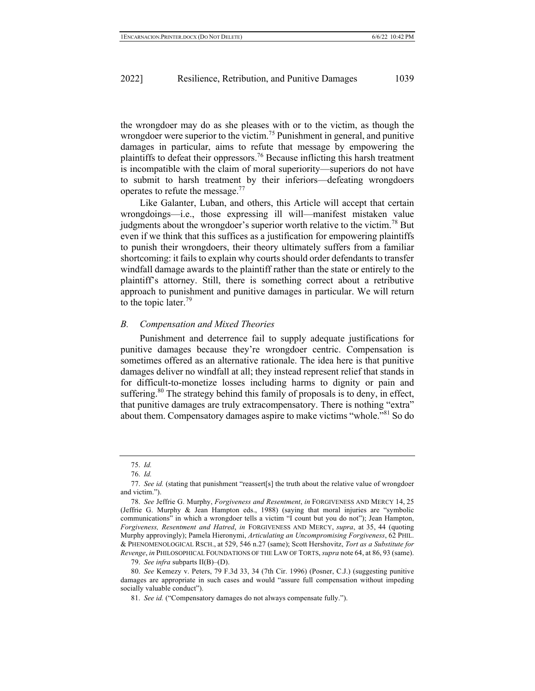the wrongdoer may do as she pleases with or to the victim, as though the wrongdoer were superior to the victim.<sup>75</sup> Punishment in general, and punitive damages in particular, aims to refute that message by empowering the plaintiffs to defeat their oppressors.<sup>76</sup> Because inflicting this harsh treatment is incompatible with the claim of moral superiority—superiors do not have to submit to harsh treatment by their inferiors—defeating wrongdoers operates to refute the message.<sup>77</sup>

Like Galanter, Luban, and others, this Article will accept that certain wrongdoings—i.e., those expressing ill will—manifest mistaken value judgments about the wrongdoer's superior worth relative to the victim.<sup>78</sup> But even if we think that this suffices as a justification for empowering plaintiffs to punish their wrongdoers, their theory ultimately suffers from a familiar shortcoming: it fails to explain why courts should order defendants to transfer windfall damage awards to the plaintiff rather than the state or entirely to the plaintiff's attorney. Still, there is something correct about a retributive approach to punishment and punitive damages in particular. We will return to the topic later. 79

#### *B. Compensation and Mixed Theories*

Punishment and deterrence fail to supply adequate justifications for punitive damages because they're wrongdoer centric. Compensation is sometimes offered as an alternative rationale. The idea here is that punitive damages deliver no windfall at all; they instead represent relief that stands in for difficult-to-monetize losses including harms to dignity or pain and suffering. $80$  The strategy behind this family of proposals is to deny, in effect, that punitive damages are truly extracompensatory. There is nothing "extra" about them. Compensatory damages aspire to make victims "whole."<sup>81</sup> So do

<sup>75.</sup> *Id.*

<sup>76.</sup> *Id.*

<sup>77.</sup> *See id.* (stating that punishment "reassert[s] the truth about the relative value of wrongdoer and victim.").

<sup>78.</sup> *See* Jeffrie G. Murphy, *Forgiveness and Resentment*, *in* FORGIVENESS AND MERCY 14, 25 (Jeffrie G. Murphy & Jean Hampton eds., 1988) (saying that moral injuries are "symbolic communications" in which a wrongdoer tells a victim "I count but you do not"); Jean Hampton, *Forgiveness, Resentment and Hatred*, *in* FORGIVENESS AND MERCY, *supra*, at 35, 44 (quoting Murphy approvingly); Pamela Hieronymi, *Articulating an Uncompromising Forgiveness*, 62 PHIL. & PHENOMENOLOGICAL RSCH., at 529, 546 n.27 (same); Scott Hershovitz, *Tort as a Substitute for Revenge*, *in* PHILOSOPHICAL FOUNDATIONS OF THE LAW OF TORTS, *supra* note 64, at 86, 93 (same).

<sup>79.</sup> *See infra* subparts II(B)–(D).

<sup>80.</sup> *See* Kemezy v. Peters, 79 F.3d 33, 34 (7th Cir. 1996) (Posner, C.J.) (suggesting punitive damages are appropriate in such cases and would "assure full compensation without impeding socially valuable conduct").

<sup>81.</sup> *See id.* ("Compensatory damages do not always compensate fully.").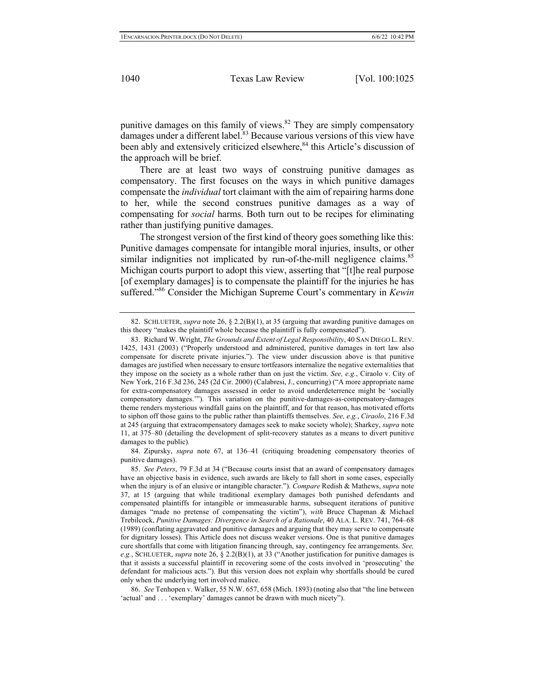punitive damages on this family of views. $82$  They are simply compensatory  $\overline{d}$  damages under a different label.<sup>83</sup> Because various versions of this view have been ably and extensively criticized elsewhere,<sup>84</sup> this Article's discussion of the approach will be brief.

There are at least two ways of construing punitive damages as compensatory. The first focuses on the ways in which punitive damages compensate the *individual* tort claimant with the aim of repairing harms done to her, while the second construes punitive damages as a way of compensating for *social* harms. Both turn out to be recipes for eliminating rather than justifying punitive damages.

The strongest version of the first kind of theory goes something like this: Punitive damages compensate for intangible moral injuries, insults, or other similar indignities not implicated by run-of-the-mill negligence claims.<sup>85</sup> Michigan courts purport to adopt this view, asserting that "[t]he real purpose [of exemplary damages] is to compensate the plaintiff for the injuries he has suffered."86 Consider the Michigan Supreme Court's commentary in *Kewin* 

<sup>82.</sup> SCHLUETER, *supra* note 26, § 2.2(B)(1), at 35 (arguing that awarding punitive damages on this theory "makes the plaintiff whole because the plaintiff is fully compensated").

<sup>83.</sup> Richard W. Wright, *The Grounds and Extent of Legal Responsibility*, 40 SAN DIEGO L.REV. 1425, 1431 (2003) ("Properly understood and administered, punitive damages in tort law also compensate for discrete private injuries."). The view under discussion above is that punitive damages are justified when necessary to ensure tortfeasors internalize the negative externalities that they impose on the society as a whole rather than on just the victim. *See, e.g.*, Ciraolo v. City of New York, 216 F.3d 236, 245 (2d Cir. 2000) (Calabresi, J., concurring) ("A more appropriate name for extra-compensatory damages assessed in order to avoid underdeterrence might be 'socially compensatory damages.'"). This variation on the punitive-damages-as-compensatory-damages theme renders mysterious windfall gains on the plaintiff, and for that reason, has motivated efforts to siphon off those gains to the public rather than plaintiffs themselves. *See, e.g.*, *Ciraolo*, 216 F.3d at 245 (arguing that extracompensatory damages seek to make society whole); Sharkey, *supra* note 11, at 375–80 (detailing the development of split-recovery statutes as a means to divert punitive damages to the public)*.*

<sup>84.</sup> Zipursky, *supra* note 67, at 136–41 (critiquing broadening compensatory theories of punitive damages).

<sup>85.</sup> *See Peters*, 79 F.3d at 34 ("Because courts insist that an award of compensatory damages have an objective basis in evidence, such awards are likely to fall short in some cases, especially when the injury is of an elusive or intangible character."). *Compare* Redish & Mathews, *supra* note 37, at 15 (arguing that while traditional exemplary damages both punished defendants and compensated plaintiffs for intangible or immeasurable harms, subsequent iterations of punitive damages "made no pretense of compensating the victim"), *with* Bruce Chapman & Michael Trebilcock, *Punitive Damages: Divergence in Search of a Rationale*, 40 ALA. L. REV. 741, 764–68 (1989) (conflating aggravated and punitive damages and arguing that they may serve to compensate for dignitary losses). This Article does not discuss weaker versions. One is that punitive damages cure shortfalls that come with litigation financing through, say, contingency fee arrangements. *See, e.g.*, SCHLUETER, *supra* note 26, § 2.2(B)(1), at 33 ("Another justification for punitive damages is that it assists a successful plaintiff in recovering some of the costs involved in 'prosecuting' the defendant for malicious acts."). But this version does not explain why shortfalls should be cured only when the underlying tort involved malice.

<sup>86.</sup> *See* Tenhopen v. Walker, 55 N.W. 657, 658 (Mich. 1893) (noting also that "the line between 'actual' and . . . 'exemplary' damages cannot be drawn with much nicety").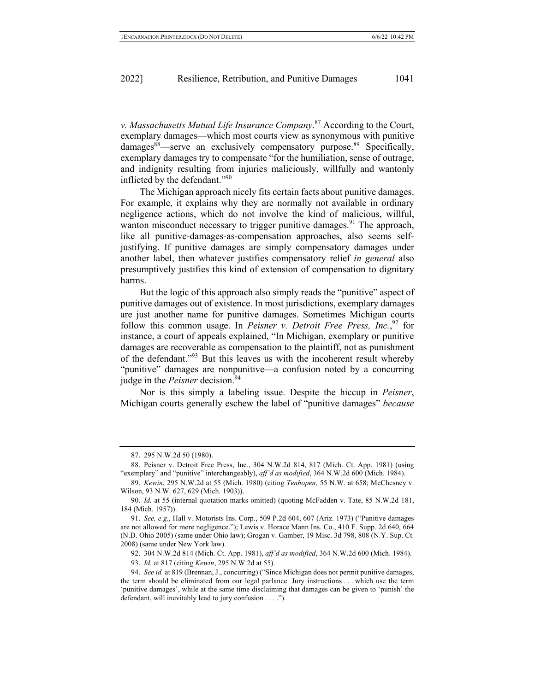*v. Massachusetts Mutual Life Insurance Company*. <sup>87</sup> According to the Court, exemplary damages—which most courts view as synonymous with punitive  $damages^{88}$ —serve an exclusively compensatory purpose.<sup>89</sup> Specifically, exemplary damages try to compensate "for the humiliation, sense of outrage, and indignity resulting from injuries maliciously, willfully and wantonly inflicted by the defendant."90

The Michigan approach nicely fits certain facts about punitive damages. For example, it explains why they are normally not available in ordinary negligence actions, which do not involve the kind of malicious, willful, wanton misconduct necessary to trigger punitive damages.<sup>91</sup> The approach, like all punitive-damages-as-compensation approaches, also seems selfjustifying. If punitive damages are simply compensatory damages under another label, then whatever justifies compensatory relief *in general* also presumptively justifies this kind of extension of compensation to dignitary harms.

But the logic of this approach also simply reads the "punitive" aspect of punitive damages out of existence. In most jurisdictions, exemplary damages are just another name for punitive damages. Sometimes Michigan courts follow this common usage. In *Peisner v. Detroit Free Press, Inc.*<sup>92</sup> for instance, a court of appeals explained, "In Michigan, exemplary or punitive damages are recoverable as compensation to the plaintiff, not as punishment of the defendant."93 But this leaves us with the incoherent result whereby "punitive" damages are nonpunitive—a confusion noted by a concurring judge in the *Peisner* decision.<sup>94</sup>

Nor is this simply a labeling issue. Despite the hiccup in *Peisner*, Michigan courts generally eschew the label of "punitive damages" *because* 

<sup>87.</sup> 295 N.W.2d 50 (1980).

<sup>88.</sup> Peisner v. Detroit Free Press, Inc., 304 N.W.2d 814, 817 (Mich. Ct. App. 1981) (using "exemplary" and "punitive" interchangeably), *aff'd as modified*, 364 N.W.2d 600 (Mich. 1984).

<sup>89.</sup> *Kewin*, 295 N.W.2d at 55 (Mich. 1980) (citing *Tenhopen*, 55 N.W. at 658; McChesney v. Wilson, 93 N.W. 627, 629 (Mich. 1903)).

<sup>90.</sup> *Id.* at 55 (internal quotation marks omitted) (quoting McFadden v. Tate, 85 N.W.2d 181, 184 (Mich. 1957)).

<sup>91.</sup> *See, e.g.*, Hall v. Motorists Ins. Corp., 509 P.2d 604, 607 (Ariz. 1973) ("Punitive damages are not allowed for mere negligence."); Lewis v. Horace Mann Ins. Co., 410 F. Supp. 2d 640, 664 (N.D. Ohio 2005) (same under Ohio law); Grogan v. Gamber, 19 Misc. 3d 798, 808 (N.Y. Sup. Ct. 2008) (same under New York law).

<sup>92.</sup> 304 N.W.2d 814 (Mich. Ct. App. 1981), *aff'd as modified*, 364 N.W.2d 600 (Mich. 1984).

<sup>93.</sup> *Id.* at 817 (citing *Kewin*, 295 N.W.2d at 55).

<sup>94.</sup> *See id.* at 819 (Brennan, J., concurring) ("Since Michigan does not permit punitive damages, the term should be eliminated from our legal parlance. Jury instructions . . . which use the term 'punitive damages', while at the same time disclaiming that damages can be given to 'punish' the defendant, will inevitably lead to jury confusion . . . .").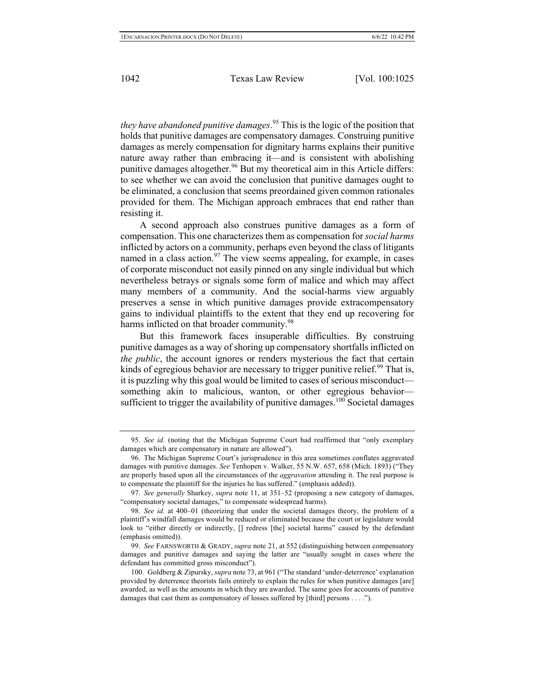*they have abandoned punitive damages*. <sup>95</sup> This is the logic of the position that holds that punitive damages are compensatory damages. Construing punitive damages as merely compensation for dignitary harms explains their punitive nature away rather than embracing it—and is consistent with abolishing punitive damages altogether.<sup>96</sup> But my theoretical aim in this Article differs: to see whether we can avoid the conclusion that punitive damages ought to be eliminated, a conclusion that seems preordained given common rationales provided for them. The Michigan approach embraces that end rather than resisting it.

A second approach also construes punitive damages as a form of compensation. This one characterizes them as compensation for *social harms*  inflicted by actors on a community, perhaps even beyond the class of litigants named in a class action. $97$  The view seems appealing, for example, in cases of corporate misconduct not easily pinned on any single individual but which nevertheless betrays or signals some form of malice and which may affect many members of a community. And the social-harms view arguably preserves a sense in which punitive damages provide extracompensatory gains to individual plaintiffs to the extent that they end up recovering for harms inflicted on that broader community.<sup>98</sup>

But this framework faces insuperable difficulties. By construing punitive damages as a way of shoring up compensatory shortfalls inflicted on *the public*, the account ignores or renders mysterious the fact that certain kinds of egregious behavior are necessary to trigger punitive relief.<sup>99</sup> That is, it is puzzling why this goal would be limited to cases of serious misconduct something akin to malicious, wanton, or other egregious behavior sufficient to trigger the availability of punitive damages.<sup>100</sup> Societal damages

<sup>95.</sup> *See id.* (noting that the Michigan Supreme Court had reaffirmed that "only exemplary damages which are compensatory in nature are allowed").

<sup>96.</sup> The Michigan Supreme Court's jurisprudence in this area sometimes conflates aggravated damages with punitive damages. *See* Tenhopen v. Walker, 55 N.W. 657, 658 (Mich. 1893) ("They are properly based upon all the circumstances of the *aggravation* attending it. The real purpose is to compensate the plaintiff for the injuries he has suffered." (emphasis added)).

<sup>97.</sup> *See generally* Sharkey, *supra* note 11, at 351–52 (proposing a new category of damages, "compensatory societal damages," to compensate widespread harms).

<sup>98.</sup> *See id.* at 400–01 (theorizing that under the societal damages theory, the problem of a plaintiff's windfall damages would be reduced or eliminated because the court or legislature would look to "either directly or indirectly, [] redress [the] societal harms" caused by the defendant (emphasis omitted)).

<sup>99.</sup> *See* FARNSWORTH & GRADY, *supra* note 21, at 552 (distinguishing between compensatory damages and punitive damages and saying the latter are "usually sought in cases where the defendant has committed gross misconduct").

<sup>100.</sup> Goldberg & Zipursky, *supra* note 73, at 961 ("The standard 'under-deterrence' explanation provided by deterrence theorists fails entirely to explain the rules for when punitive damages [are] awarded, as well as the amounts in which they are awarded. The same goes for accounts of punitive damages that cast them as compensatory of losses suffered by [third] persons . . . .").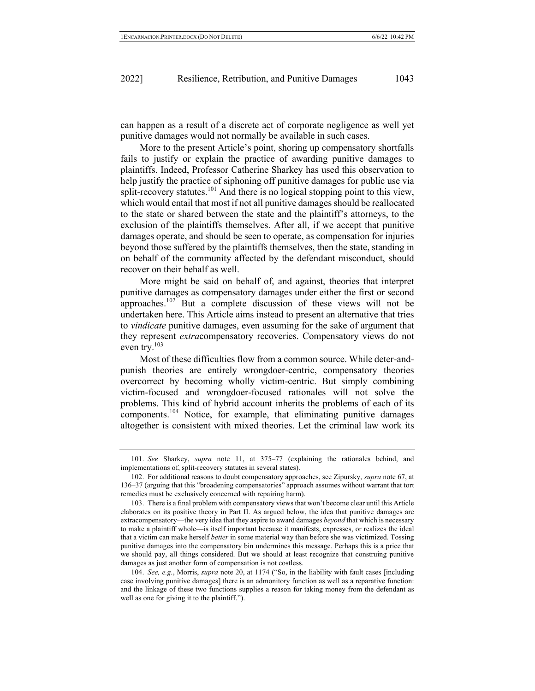can happen as a result of a discrete act of corporate negligence as well yet punitive damages would not normally be available in such cases.

More to the present Article's point, shoring up compensatory shortfalls fails to justify or explain the practice of awarding punitive damages to plaintiffs. Indeed, Professor Catherine Sharkey has used this observation to help justify the practice of siphoning off punitive damages for public use via split-recovery statutes.<sup>101</sup> And there is no logical stopping point to this view, which would entail that most if not all punitive damages should be reallocated to the state or shared between the state and the plaintiff's attorneys, to the exclusion of the plaintiffs themselves. After all, if we accept that punitive damages operate, and should be seen to operate, as compensation for injuries beyond those suffered by the plaintiffs themselves, then the state, standing in on behalf of the community affected by the defendant misconduct, should recover on their behalf as well.

More might be said on behalf of, and against, theories that interpret punitive damages as compensatory damages under either the first or second approaches.<sup>102</sup> But a complete discussion of these views will not be undertaken here. This Article aims instead to present an alternative that tries to *vindicate* punitive damages, even assuming for the sake of argument that they represent *extra*compensatory recoveries. Compensatory views do not even try. $103$ 

Most of these difficulties flow from a common source. While deter-andpunish theories are entirely wrongdoer-centric, compensatory theories overcorrect by becoming wholly victim-centric. But simply combining victim-focused and wrongdoer-focused rationales will not solve the problems. This kind of hybrid account inherits the problems of each of its components.104 Notice, for example, that eliminating punitive damages altogether is consistent with mixed theories. Let the criminal law work its

<sup>101.</sup> *See* Sharkey, *supra* note 11, at 375–77 (explaining the rationales behind, and implementations of, split-recovery statutes in several states).

<sup>102.</sup> For additional reasons to doubt compensatory approaches, see Zipursky, *supra* note 67, at 136–37 (arguing that this "broadening compensatories" approach assumes without warrant that tort remedies must be exclusively concerned with repairing harm).

<sup>103.</sup> There is a final problem with compensatory views that won't become clear until this Article elaborates on its positive theory in Part II. As argued below, the idea that punitive damages are extracompensatory—the very idea that they aspire to award damages *beyond* that which is necessary to make a plaintiff whole—is itself important because it manifests, expresses, or realizes the ideal that a victim can make herself *better* in some material way than before she was victimized. Tossing punitive damages into the compensatory bin undermines this message. Perhaps this is a price that we should pay, all things considered. But we should at least recognize that construing punitive damages as just another form of compensation is not costless.

<sup>104.</sup> *See, e.g.*, Morris, *supra* note 20, at 1174 ("So, in the liability with fault cases [including case involving punitive damages] there is an admonitory function as well as a reparative function: and the linkage of these two functions supplies a reason for taking money from the defendant as well as one for giving it to the plaintiff.").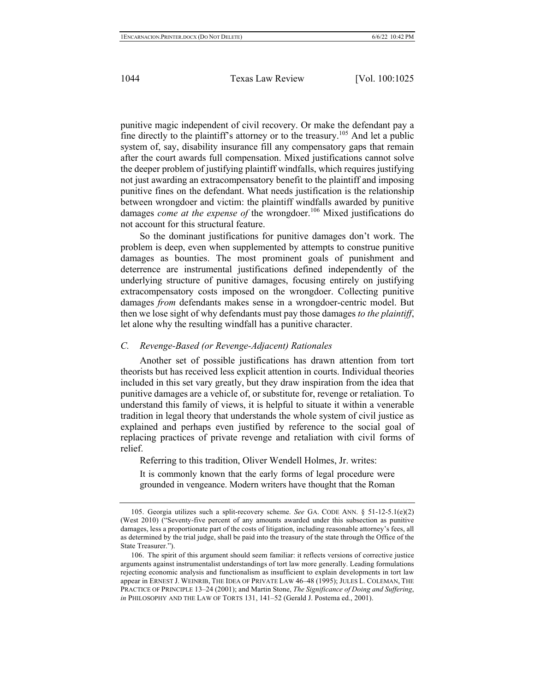punitive magic independent of civil recovery. Or make the defendant pay a fine directly to the plaintiff's attorney or to the treasury.<sup>105</sup> And let a public system of, say, disability insurance fill any compensatory gaps that remain after the court awards full compensation. Mixed justifications cannot solve the deeper problem of justifying plaintiff windfalls, which requires justifying not just awarding an extracompensatory benefit to the plaintiff and imposing punitive fines on the defendant. What needs justification is the relationship between wrongdoer and victim: the plaintiff windfalls awarded by punitive damages *come at the expense of* the wrongdoer.<sup>106</sup> Mixed justifications do not account for this structural feature.

So the dominant justifications for punitive damages don't work. The problem is deep, even when supplemented by attempts to construe punitive damages as bounties. The most prominent goals of punishment and deterrence are instrumental justifications defined independently of the underlying structure of punitive damages, focusing entirely on justifying extracompensatory costs imposed on the wrongdoer. Collecting punitive damages *from* defendants makes sense in a wrongdoer-centric model. But then we lose sight of why defendants must pay those damages *to the plaintiff*, let alone why the resulting windfall has a punitive character.

## *C. Revenge-Based (or Revenge-Adjacent) Rationales*

Another set of possible justifications has drawn attention from tort theorists but has received less explicit attention in courts. Individual theories included in this set vary greatly, but they draw inspiration from the idea that punitive damages are a vehicle of, or substitute for, revenge or retaliation. To understand this family of views, it is helpful to situate it within a venerable tradition in legal theory that understands the whole system of civil justice as explained and perhaps even justified by reference to the social goal of replacing practices of private revenge and retaliation with civil forms of relief.

Referring to this tradition, Oliver Wendell Holmes, Jr. writes:

It is commonly known that the early forms of legal procedure were grounded in vengeance. Modern writers have thought that the Roman

<sup>105.</sup> Georgia utilizes such a split-recovery scheme. *See* GA. CODE ANN. § 51-12-5.1(e)(2) (West 2010) ("Seventy-five percent of any amounts awarded under this subsection as punitive damages, less a proportionate part of the costs of litigation, including reasonable attorney's fees, all as determined by the trial judge, shall be paid into the treasury of the state through the Office of the State Treasurer.").

<sup>106.</sup> The spirit of this argument should seem familiar: it reflects versions of corrective justice arguments against instrumentalist understandings of tort law more generally. Leading formulations rejecting economic analysis and functionalism as insufficient to explain developments in tort law appear in ERNEST J. WEINRIB, THE IDEA OF PRIVATE LAW 46–48 (1995); JULES L. COLEMAN, THE PRACTICE OF PRINCIPLE 13–24 (2001); and Martin Stone, *The Significance of Doing and Suffering*, *in* PHILOSOPHY AND THE LAW OF TORTS 131, 141–52 (Gerald J. Postema ed., 2001).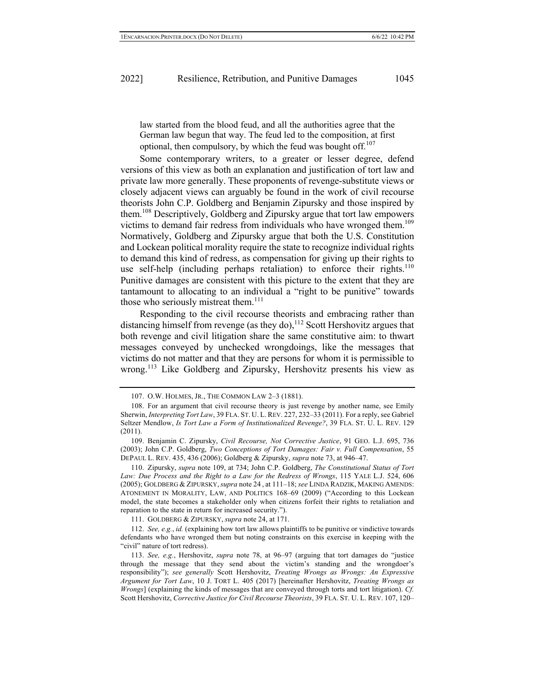law started from the blood feud, and all the authorities agree that the German law begun that way. The feud led to the composition, at first optional, then compulsory, by which the feud was bought off.<sup>107</sup>

Some contemporary writers, to a greater or lesser degree, defend versions of this view as both an explanation and justification of tort law and private law more generally. These proponents of revenge-substitute views or closely adjacent views can arguably be found in the work of civil recourse theorists John C.P. Goldberg and Benjamin Zipursky and those inspired by them.108 Descriptively, Goldberg and Zipursky argue that tort law empowers victims to demand fair redress from individuals who have wronged them.<sup>109</sup> Normatively, Goldberg and Zipursky argue that both the U.S. Constitution and Lockean political morality require the state to recognize individual rights to demand this kind of redress, as compensation for giving up their rights to use self-help (including perhaps retaliation) to enforce their rights.<sup>110</sup> Punitive damages are consistent with this picture to the extent that they are tantamount to allocating to an individual a "right to be punitive" towards those who seriously mistreat them. $111$ 

Responding to the civil recourse theorists and embracing rather than distancing himself from revenge (as they do),  $^{112}$  Scott Hershovitz argues that both revenge and civil litigation share the same constitutive aim: to thwart messages conveyed by unchecked wrongdoings, like the messages that victims do not matter and that they are persons for whom it is permissible to wrong.<sup>113</sup> Like Goldberg and Zipursky, Hershovitz presents his view as

<sup>107.</sup> O.W. HOLMES, JR., THE COMMON LAW 2–3 (1881).

<sup>108.</sup> For an argument that civil recourse theory is just revenge by another name, see Emily Sherwin, *Interpreting Tort Law*, 39 FLA. ST. U. L. REV. 227, 232–33 (2011). For a reply, see Gabriel Seltzer Mendlow, *Is Tort Law a Form of Institutionalized Revenge?*, 39 FLA. ST. U. L. REV. 129 (2011).

<sup>109.</sup> Benjamin C. Zipursky, *Civil Recourse, Not Corrective Justice*, 91 GEO. L.J. 695, 736 (2003); John C.P. Goldberg, *Two Conceptions of Tort Damages: Fair v. Full Compensation*, 55 DEPAUL L. REV. 435, 436 (2006); Goldberg & Zipursky, *supra* note 73, at 946–47.

<sup>110.</sup> Zipursky, *supra* note 109, at 734; John C.P. Goldberg, *The Constitutional Status of Tort Law: Due Process and the Right to a Law for the Redress of Wrongs*, 115 YALE L.J. 524, 606 (2005); GOLDBERG & ZIPURSKY,*supra* note 24 , at 111–18; *see* LINDA RADZIK, MAKING AMENDS: ATONEMENT IN MORALITY, LAW, AND POLITICS 168–69 (2009) ("According to this Lockean model, the state becomes a stakeholder only when citizens forfeit their rights to retaliation and reparation to the state in return for increased security.").

<sup>111.</sup> GOLDBERG & ZIPURSKY, *supra* note 24, at 171.

<sup>112.</sup> *See, e.g.*, *id.* (explaining how tort law allows plaintiffs to be punitive or vindictive towards defendants who have wronged them but noting constraints on this exercise in keeping with the "civil" nature of tort redress).

<sup>113.</sup> *See, e.g.*, Hershovitz, *supra* note 78, at 96–97 (arguing that tort damages do "justice through the message that they send about the victim's standing and the wrongdoer's responsibility"); *see generally* Scott Hershovitz, *Treating Wrongs as Wrongs: An Expressive Argument for Tort Law*, 10 J. TORT L. 405 (2017) [hereinafter Hershovitz, *Treating Wrongs as Wrongs*] (explaining the kinds of messages that are conveyed through torts and tort litigation). *Cf.*  Scott Hershovitz, *Corrective Justice for Civil Recourse Theorists*, 39 FLA. ST. U. L. REV. 107, 120–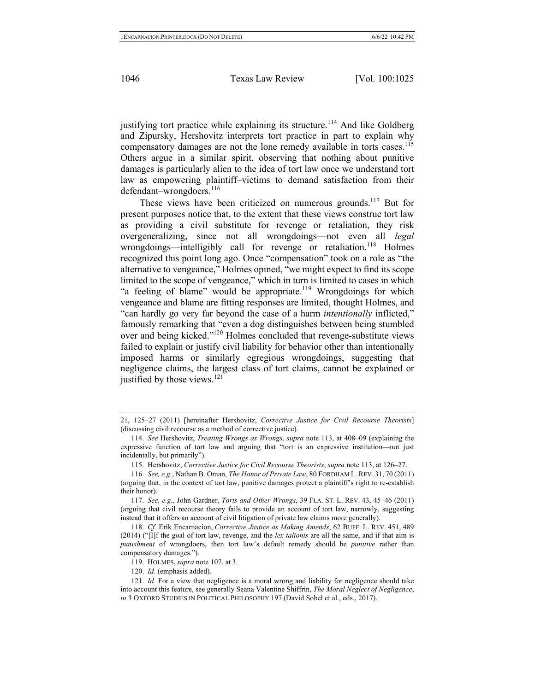justifying tort practice while explaining its structure.<sup>114</sup> And like Goldberg and Zipursky, Hershovitz interprets tort practice in part to explain why compensatory damages are not the lone remedy available in torts cases.<sup>115</sup> Others argue in a similar spirit, observing that nothing about punitive damages is particularly alien to the idea of tort law once we understand tort law as empowering plaintiff–victims to demand satisfaction from their defendant–wrongdoers.<sup>116</sup>

These views have been criticized on numerous grounds.<sup>117</sup> But for present purposes notice that, to the extent that these views construe tort law as providing a civil substitute for revenge or retaliation, they risk overgeneralizing, since not all wrongdoings—not even all *legal*  wrongdoings—intelligibly call for revenge or retaliation.<sup>118</sup> Holmes recognized this point long ago. Once "compensation" took on a role as "the alternative to vengeance," Holmes opined, "we might expect to find its scope limited to the scope of vengeance," which in turn is limited to cases in which "a feeling of blame" would be appropriate.<sup>119</sup> Wrongdoings for which vengeance and blame are fitting responses are limited, thought Holmes, and "can hardly go very far beyond the case of a harm *intentionally* inflicted," famously remarking that "even a dog distinguishes between being stumbled over and being kicked."<sup>120</sup> Holmes concluded that revenge-substitute views failed to explain or justify civil liability for behavior other than intentionally imposed harms or similarly egregious wrongdoings, suggesting that negligence claims, the largest class of tort claims, cannot be explained or justified by those views.<sup>121</sup>

<sup>21, 125–27 (2011) [</sup>hereinafter Hershovitz, *Corrective Justice for Civil Recourse Theorists*] (discussing civil recourse as a method of corrective justice).

<sup>114.</sup> *See* Hershovitz, *Treating Wrongs as Wrongs*, *supra* note 113, at 408–09 (explaining the expressive function of tort law and arguing that "tort is an expressive institution—not just incidentally, but primarily").

<sup>115.</sup> Hershovitz, *Corrective Justice for Civil Recourse Theorists*, *supra* note 113, at 126–27.

<sup>116.</sup> *See, e.g.*, Nathan B. Oman, *The Honor of Private Law*, 80 FORDHAM L. REV. 31, 70 (2011) (arguing that, in the context of tort law, punitive damages protect a plaintiff's right to re-establish their honor).

<sup>117.</sup> *See, e.g.*, John Gardner, *Torts and Other Wrongs*, 39 FLA. ST. L. REV. 43, 45–46 (2011) (arguing that civil recourse theory fails to provide an account of tort law, narrowly, suggesting instead that it offers an account of civil litigation of private law claims more generally).

<sup>118.</sup> *Cf.* Erik Encarnacion, *Corrective Justice as Making Amends*, 62 BUFF. L. REV. 451, 489 (2014) ("[I]f the goal of tort law, revenge, and the *lex talionis* are all the same, and if that aim is *punishment* of wrongdoers, then tort law's default remedy should be *punitive* rather than compensatory damages.").

<sup>119.</sup> HOLMES, *supra* note 107, at 3.

<sup>120.</sup> *Id.* (emphasis added).

<sup>121.</sup> *Id.* For a view that negligence is a moral wrong and liability for negligence should take into account this feature, see generally Seana Valentine Shiffrin, *The Moral Neglect of Negligence*, *in* 3 OXFORD STUDIES IN POLITICAL PHILOSOPHY 197 (David Sobel et al., eds., 2017).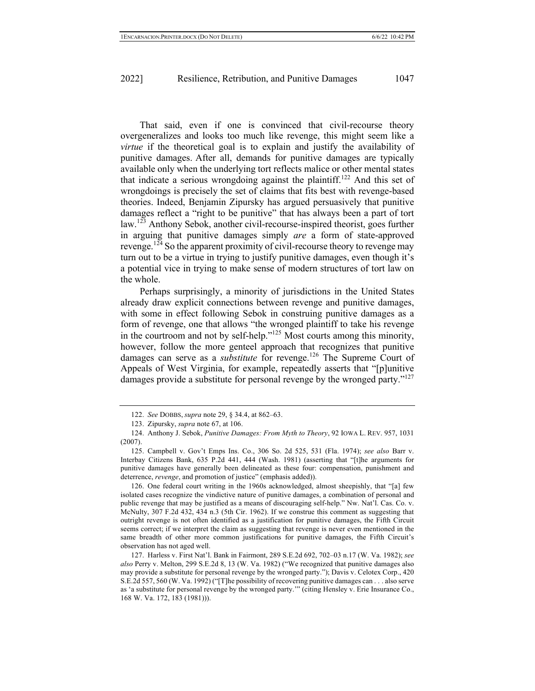That said, even if one is convinced that civil-recourse theory overgeneralizes and looks too much like revenge, this might seem like a *virtue* if the theoretical goal is to explain and justify the availability of punitive damages. After all, demands for punitive damages are typically available only when the underlying tort reflects malice or other mental states that indicate a serious wrongdoing against the plaintiff.<sup>122</sup> And this set of wrongdoings is precisely the set of claims that fits best with revenge-based theories. Indeed, Benjamin Zipursky has argued persuasively that punitive damages reflect a "right to be punitive" that has always been a part of tort law.<sup>123</sup> Anthony Sebok, another civil-recourse-inspired theorist, goes further in arguing that punitive damages simply *are* a form of state-approved revenge.<sup>124</sup> So the apparent proximity of civil-recourse theory to revenge may turn out to be a virtue in trying to justify punitive damages, even though it's a potential vice in trying to make sense of modern structures of tort law on the whole.

Perhaps surprisingly, a minority of jurisdictions in the United States already draw explicit connections between revenge and punitive damages, with some in effect following Sebok in construing punitive damages as a form of revenge, one that allows "the wronged plaintiff to take his revenge in the courtroom and not by self-help." $125$  Most courts among this minority, however, follow the more genteel approach that recognizes that punitive damages can serve as a *substitute* for revenge.<sup>126</sup> The Supreme Court of Appeals of West Virginia, for example, repeatedly asserts that "[p]unitive damages provide a substitute for personal revenge by the wronged party."<sup>127</sup>

126. One federal court writing in the 1960s acknowledged, almost sheepishly, that "[a] few isolated cases recognize the vindictive nature of punitive damages, a combination of personal and public revenge that may be justified as a means of discouraging self-help." Nw. Nat'l. Cas. Co. v. McNulty, 307 F.2d 432, 434 n.3 (5th Cir. 1962). If we construe this comment as suggesting that outright revenge is not often identified as a justification for punitive damages, the Fifth Circuit seems correct; if we interpret the claim as suggesting that revenge is never even mentioned in the same breadth of other more common justifications for punitive damages, the Fifth Circuit's observation has not aged well.

127. Harless v. First Nat'l. Bank in Fairmont, 289 S.E.2d 692, 702–03 n.17 (W. Va. 1982); *see also* Perry v. Melton, 299 S.E.2d 8, 13 (W. Va. 1982) ("We recognized that punitive damages also may provide a substitute for personal revenge by the wronged party."); Davis v. Celotex Corp., 420 S.E.2d 557, 560 (W. Va. 1992) ("[T]he possibility of recovering punitive damages can . . . also serve as 'a substitute for personal revenge by the wronged party.'" (citing Hensley v. Erie Insurance Co., 168 W. Va. 172, 183 (1981))).

<sup>122.</sup> *See* DOBBS, *supra* note 29, § 34.4, at 862–63.

<sup>123.</sup> Zipursky, *supra* note 67, at 106.

<sup>124.</sup> Anthony J. Sebok, *Punitive Damages: From Myth to Theory*, 92 IOWA L. REV. 957, 1031 (2007).

<sup>125.</sup> Campbell v. Gov't Emps Ins. Co., 306 So. 2d 525, 531 (Fla. 1974); *see also* Barr v. Interbay Citizens Bank, 635 P.2d 441, 444 (Wash. 1981) (asserting that "[t]he arguments for punitive damages have generally been delineated as these four: compensation, punishment and deterrence, *revenge*, and promotion of justice" (emphasis added)).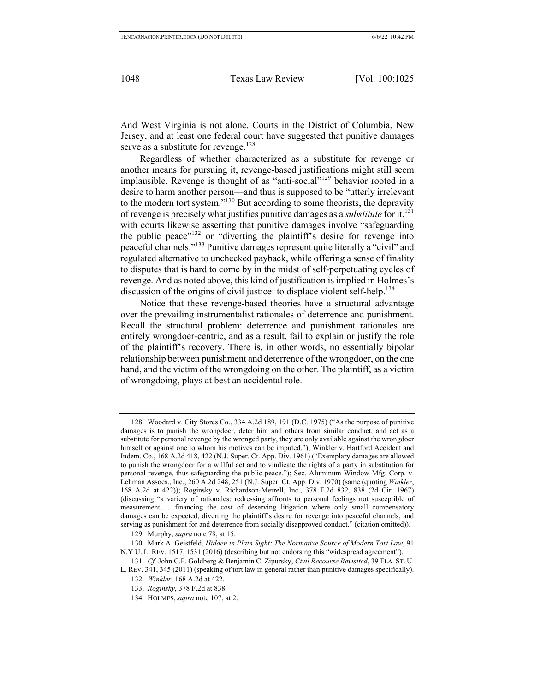And West Virginia is not alone. Courts in the District of Columbia, New Jersey, and at least one federal court have suggested that punitive damages serve as a substitute for revenge.<sup>128</sup>

Regardless of whether characterized as a substitute for revenge or another means for pursuing it, revenge-based justifications might still seem implausible. Revenge is thought of as "anti-social"<sup>129</sup> behavior rooted in a desire to harm another person—and thus is supposed to be "utterly irrelevant to the modern tort system."130 But according to some theorists, the depravity of revenge is precisely what justifies punitive damages as a *substitute* for it,131 with courts likewise asserting that punitive damages involve "safeguarding" the public peace"<sup>132</sup> or "diverting the plaintiff's desire for revenge into peaceful channels."<sup>133</sup> Punitive damages represent quite literally a "civil" and regulated alternative to unchecked payback, while offering a sense of finality to disputes that is hard to come by in the midst of self-perpetuating cycles of revenge. And as noted above, this kind of justification is implied in Holmes's discussion of the origins of civil justice: to displace violent self-help.<sup>134</sup>

Notice that these revenge-based theories have a structural advantage over the prevailing instrumentalist rationales of deterrence and punishment. Recall the structural problem: deterrence and punishment rationales are entirely wrongdoer-centric, and as a result, fail to explain or justify the role of the plaintiff's recovery. There is, in other words, no essentially bipolar relationship between punishment and deterrence of the wrongdoer, on the one hand, and the victim of the wrongdoing on the other. The plaintiff, as a victim of wrongdoing, plays at best an accidental role.

<sup>128.</sup> Woodard v. City Stores Co., 334 A.2d 189, 191 (D.C. 1975) ("As the purpose of punitive damages is to punish the wrongdoer, deter him and others from similar conduct, and act as a substitute for personal revenge by the wronged party, they are only available against the wrongdoer himself or against one to whom his motives can be imputed."); Winkler v. Hartford Accident and Indem. Co., 168 A.2d 418, 422 (N.J. Super. Ct. App. Div. 1961) ("Exemplary damages are allowed to punish the wrongdoer for a willful act and to vindicate the rights of a party in substitution for personal revenge, thus safeguarding the public peace."); Sec. Aluminum Window Mfg. Corp. v. Lehman Assocs., Inc., 260 A.2d 248, 251 (N.J. Super. Ct. App. Div. 1970) (same (quoting *Winkler*, 168 A.2d at 422)); Roginsky v. Richardson-Merrell, Inc., 378 F.2d 832, 838 (2d Cir. 1967) (discussing "a variety of rationales: redressing affronts to personal feelings not susceptible of measurement, . . . financing the cost of deserving litigation where only small compensatory damages can be expected, diverting the plaintiff's desire for revenge into peaceful channels, and serving as punishment for and deterrence from socially disapproved conduct." (citation omitted)).

<sup>129.</sup> Murphy, *supra* note 78, at 15.

<sup>130.</sup> Mark A. Geistfeld, *Hidden in Plain Sight: The Normative Source of Modern Tort Law*, 91 N.Y.U. L. REV. 1517, 1531 (2016) (describing but not endorsing this "widespread agreement").

<sup>131.</sup> *Cf.* John C.P. Goldberg & Benjamin C. Zipursky, *Civil Recourse Revisited*, 39 FLA. ST. U. L. REV. 341, 345 (2011) (speaking of tort law in general rather than punitive damages specifically).

<sup>132.</sup> *Winkler*, 168 A.2d at 422.

<sup>133.</sup> *Roginsky*, 378 F.2d at 838.

<sup>134.</sup> HOLMES, *supra* note 107, at 2.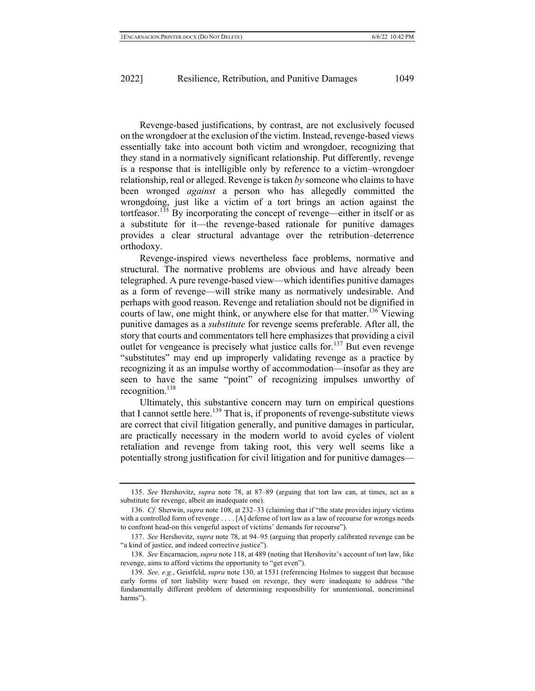Revenge-based justifications, by contrast, are not exclusively focused on the wrongdoer at the exclusion of the victim. Instead, revenge-based views essentially take into account both victim and wrongdoer, recognizing that they stand in a normatively significant relationship. Put differently, revenge is a response that is intelligible only by reference to a victim–wrongdoer relationship, real or alleged. Revenge is taken *by* someone who claims to have been wronged *against* a person who has allegedly committed the wrongdoing, just like a victim of a tort brings an action against the tortfeasor.<sup>135</sup> By incorporating the concept of revenge—either in itself or as a substitute for it—the revenge-based rationale for punitive damages provides a clear structural advantage over the retribution–deterrence orthodoxy.

Revenge-inspired views nevertheless face problems, normative and structural. The normative problems are obvious and have already been telegraphed. A pure revenge-based view—which identifies punitive damages as a form of revenge—will strike many as normatively undesirable. And perhaps with good reason. Revenge and retaliation should not be dignified in courts of law, one might think, or anywhere else for that matter.<sup>136</sup> Viewing punitive damages as a *substitute* for revenge seems preferable. After all, the story that courts and commentators tell here emphasizes that providing a civil outlet for vengeance is precisely what justice calls for.<sup>137</sup> But even revenge "substitutes" may end up improperly validating revenge as a practice by recognizing it as an impulse worthy of accommodation—insofar as they are seen to have the same "point" of recognizing impulses unworthy of recognition.<sup>138</sup>

Ultimately, this substantive concern may turn on empirical questions that I cannot settle here.<sup>139</sup> That is, if proponents of revenge-substitute views are correct that civil litigation generally, and punitive damages in particular, are practically necessary in the modern world to avoid cycles of violent retaliation and revenge from taking root, this very well seems like a potentially strong justification for civil litigation and for punitive damages—

<sup>135.</sup> *See* Hershovitz, *supra* note 78, at 87–89 (arguing that tort law can, at times, act as a substitute for revenge, albeit an inadequate one).

<sup>136.</sup> *Cf.* Sherwin, *supra* note 108, at 232–33 (claiming that if "the state provides injury victims with a controlled form of revenge . . . . [A] defense of tort law as a law of recourse for wrongs needs to confront head-on this vengeful aspect of victims' demands for recourse").

<sup>137.</sup> *See* Hershovitz, *supra* note 78, at 94–95 (arguing that properly calibrated revenge can be "a kind of justice, and indeed corrective justice").

<sup>138.</sup> *See* Encarnacion, *supra* note 118, at 489 (noting that Hershovitz's account of tort law, like revenge, aims to afford victims the opportunity to "get even").

<sup>139.</sup> *See, e.g.*, Geistfeld, *supra* note 130, at 1531 (referencing Holmes to suggest that because early forms of tort liability were based on revenge, they were inadequate to address "the fundamentally different problem of determining responsibility for unintentional, noncriminal harms").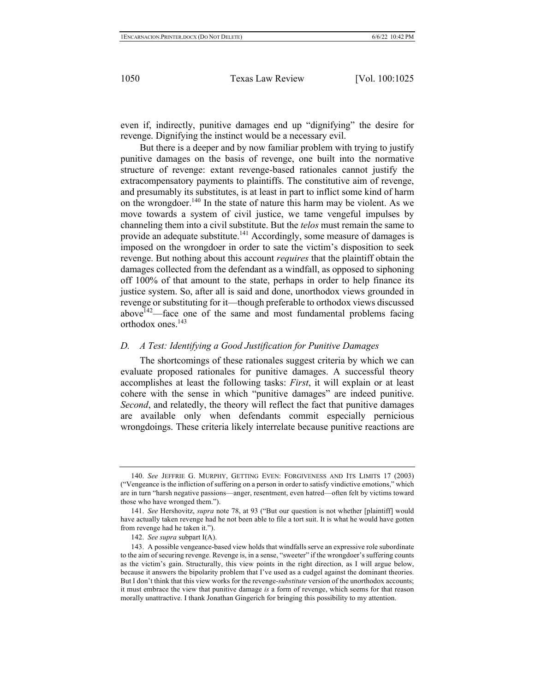even if, indirectly, punitive damages end up "dignifying" the desire for revenge. Dignifying the instinct would be a necessary evil.

But there is a deeper and by now familiar problem with trying to justify punitive damages on the basis of revenge, one built into the normative structure of revenge: extant revenge-based rationales cannot justify the extracompensatory payments to plaintiffs. The constitutive aim of revenge, and presumably its substitutes, is at least in part to inflict some kind of harm on the wrongdoer.<sup>140</sup> In the state of nature this harm may be violent. As we move towards a system of civil justice, we tame vengeful impulses by channeling them into a civil substitute. But the *telos* must remain the same to provide an adequate substitute.<sup>141</sup> Accordingly, some measure of damages is imposed on the wrongdoer in order to sate the victim's disposition to seek revenge. But nothing about this account *requires* that the plaintiff obtain the damages collected from the defendant as a windfall, as opposed to siphoning off 100% of that amount to the state, perhaps in order to help finance its justice system. So, after all is said and done, unorthodox views grounded in revenge or substituting for it—though preferable to orthodox views discussed above $142$ —face one of the same and most fundamental problems facing orthodox ones.143

## *D. A Test: Identifying a Good Justification for Punitive Damages*

The shortcomings of these rationales suggest criteria by which we can evaluate proposed rationales for punitive damages. A successful theory accomplishes at least the following tasks: *First*, it will explain or at least cohere with the sense in which "punitive damages" are indeed punitive. *Second*, and relatedly, the theory will reflect the fact that punitive damages are available only when defendants commit especially pernicious wrongdoings. These criteria likely interrelate because punitive reactions are

<sup>140.</sup> *See* JEFFRIE G. MURPHY, GETTING EVEN: FORGIVENESS AND ITS LIMITS 17 (2003) ("Vengeance is the infliction of suffering on a person in order to satisfy vindictive emotions," which are in turn "harsh negative passions—anger, resentment, even hatred—often felt by victims toward those who have wronged them.").

<sup>141.</sup> *See* Hershovitz, *supra* note 78, at 93 ("But our question is not whether [plaintiff] would have actually taken revenge had he not been able to file a tort suit. It is what he would have gotten from revenge had he taken it.").

<sup>142.</sup> *See supra* subpart I(A).

<sup>143.</sup> A possible vengeance-based view holds that windfalls serve an expressive role subordinate to the aim of securing revenge. Revenge is, in a sense, "sweeter" if the wrongdoer's suffering counts as the victim's gain. Structurally, this view points in the right direction, as I will argue below, because it answers the bipolarity problem that I've used as a cudgel against the dominant theories. But I don't think that this view works for the revenge-*substitute* version of the unorthodox accounts; it must embrace the view that punitive damage *is* a form of revenge, which seems for that reason morally unattractive. I thank Jonathan Gingerich for bringing this possibility to my attention.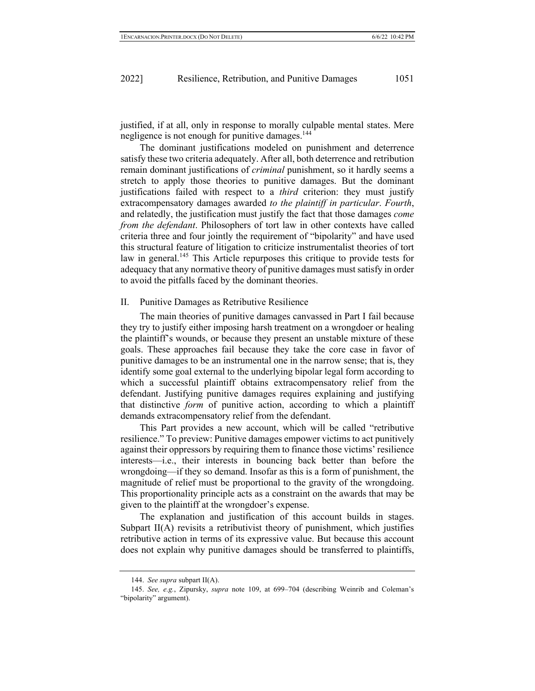justified, if at all, only in response to morally culpable mental states. Mere negligence is not enough for punitive damages.<sup>144</sup>

The dominant justifications modeled on punishment and deterrence satisfy these two criteria adequately. After all, both deterrence and retribution remain dominant justifications of *criminal* punishment, so it hardly seems a stretch to apply those theories to punitive damages. But the dominant justifications failed with respect to a *third* criterion: they must justify extracompensatory damages awarded *to the plaintiff in particular*. *Fourth*, and relatedly, the justification must justify the fact that those damages *come from the defendant*. Philosophers of tort law in other contexts have called criteria three and four jointly the requirement of "bipolarity" and have used this structural feature of litigation to criticize instrumentalist theories of tort law in general.<sup>145</sup> This Article repurposes this critique to provide tests for adequacy that any normative theory of punitive damages must satisfy in order to avoid the pitfalls faced by the dominant theories.

#### II. Punitive Damages as Retributive Resilience

The main theories of punitive damages canvassed in Part I fail because they try to justify either imposing harsh treatment on a wrongdoer or healing the plaintiff's wounds, or because they present an unstable mixture of these goals. These approaches fail because they take the core case in favor of punitive damages to be an instrumental one in the narrow sense; that is, they identify some goal external to the underlying bipolar legal form according to which a successful plaintiff obtains extracompensatory relief from the defendant. Justifying punitive damages requires explaining and justifying that distinctive *form* of punitive action, according to which a plaintiff demands extracompensatory relief from the defendant.

This Part provides a new account, which will be called "retributive resilience." To preview: Punitive damages empower victims to act punitively against their oppressors by requiring them to finance those victims' resilience interests—i.e., their interests in bouncing back better than before the wrongdoing—if they so demand. Insofar as this is a form of punishment, the magnitude of relief must be proportional to the gravity of the wrongdoing. This proportionality principle acts as a constraint on the awards that may be given to the plaintiff at the wrongdoer's expense.

The explanation and justification of this account builds in stages. Subpart II(A) revisits a retributivist theory of punishment, which justifies retributive action in terms of its expressive value. But because this account does not explain why punitive damages should be transferred to plaintiffs,

<sup>144.</sup> *See supra* subpart II(A).

<sup>145.</sup> *See, e.g.*, Zipursky, *supra* note 109, at 699–704 (describing Weinrib and Coleman's "bipolarity" argument).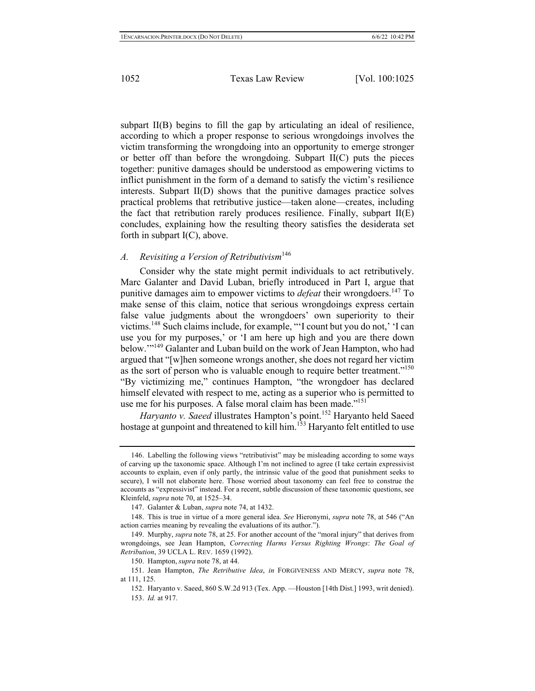subpart II(B) begins to fill the gap by articulating an ideal of resilience, according to which a proper response to serious wrongdoings involves the victim transforming the wrongdoing into an opportunity to emerge stronger or better off than before the wrongdoing. Subpart  $II(C)$  puts the pieces together: punitive damages should be understood as empowering victims to inflict punishment in the form of a demand to satisfy the victim's resilience interests. Subpart II(D) shows that the punitive damages practice solves practical problems that retributive justice—taken alone—creates, including the fact that retribution rarely produces resilience. Finally, subpart  $II(E)$ concludes, explaining how the resulting theory satisfies the desiderata set forth in subpart  $I(C)$ , above.

## *A. Revisiting a Version of Retributivism*<sup>146</sup>

Consider why the state might permit individuals to act retributively. Marc Galanter and David Luban, briefly introduced in Part I, argue that punitive damages aim to empower victims to *defeat* their wrongdoers.<sup>147</sup> To make sense of this claim, notice that serious wrongdoings express certain false value judgments about the wrongdoers' own superiority to their victims.148 Such claims include, for example, "'I count but you do not,' 'I can use you for my purposes,' or 'I am here up high and you are there down below.'"149 Galanter and Luban build on the work of Jean Hampton, who had argued that "[w]hen someone wrongs another, she does not regard her victim as the sort of person who is valuable enough to require better treatment."<sup>150</sup> "By victimizing me," continues Hampton, "the wrongdoer has declared himself elevated with respect to me, acting as a superior who is permitted to use me for his purposes. A false moral claim has been made."<sup>151</sup>

*Haryanto v. Saeed* illustrates Hampton's point.<sup>152</sup> Haryanto held Saeed hostage at gunpoint and threatened to kill him.<sup>153</sup> Haryanto felt entitled to use

<sup>146.</sup> Labelling the following views "retributivist" may be misleading according to some ways of carving up the taxonomic space. Although I'm not inclined to agree (I take certain expressivist accounts to explain, even if only partly, the intrinsic value of the good that punishment seeks to secure), I will not elaborate here. Those worried about taxonomy can feel free to construe the accounts as "expressivist" instead. For a recent, subtle discussion of these taxonomic questions, see Kleinfeld, *supra* note 70, at 1525–34.

<sup>147.</sup> Galanter & Luban, *supra* note 74, at 1432.

<sup>148.</sup> This is true in virtue of a more general idea. *See* Hieronymi, *supra* note 78, at 546 ("An action carries meaning by revealing the evaluations of its author.").

<sup>149.</sup> Murphy, *supra* note 78, at 25. For another account of the "moral injury" that derives from wrongdoings, see Jean Hampton, *Correcting Harms Versus Righting Wrongs*: *The Goal of Retribution*, 39 UCLA L. REV. 1659 (1992).

<sup>150.</sup> Hampton, *supra* note 78, at 44.

<sup>151.</sup> Jean Hampton, *The Retributive Idea*, *in* FORGIVENESS AND MERCY, *supra* note 78, at 111, 125.

<sup>152.</sup> Haryanto v. Saeed, 860 S.W.2d 913 (Tex. App. —Houston [14th Dist.] 1993, writ denied). 153. *Id.* at 917.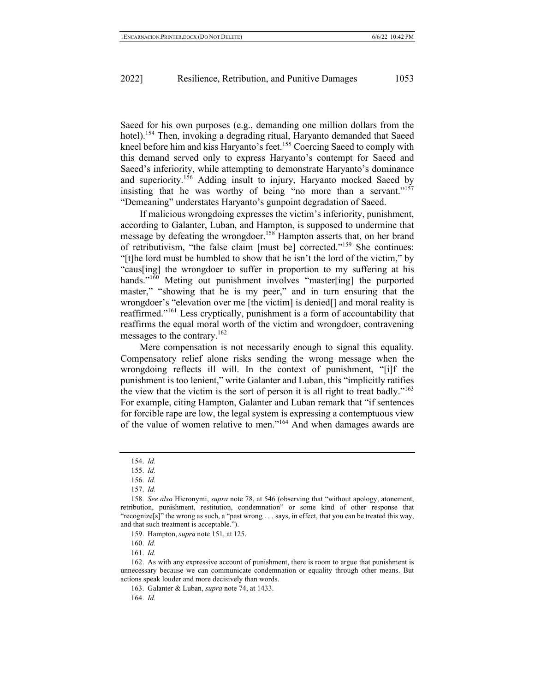Saeed for his own purposes (e.g., demanding one million dollars from the hotel).<sup>154</sup> Then, invoking a degrading ritual, Haryanto demanded that Saeed kneel before him and kiss Haryanto's feet.<sup>155</sup> Coercing Saeed to comply with this demand served only to express Haryanto's contempt for Saeed and Saeed's inferiority, while attempting to demonstrate Haryanto's dominance and superiority.<sup>156</sup> Adding insult to injury, Haryanto mocked Saeed by insisting that he was worthy of being "no more than a servant."<sup>157</sup> "Demeaning" understates Haryanto's gunpoint degradation of Saeed.

If malicious wrongdoing expresses the victim's inferiority, punishment, according to Galanter, Luban, and Hampton, is supposed to undermine that message by defeating the wrongdoer.<sup>158</sup> Hampton asserts that, on her brand of retributivism, "the false claim [must be] corrected."<sup>159</sup> She continues: "[t]he lord must be humbled to show that he isn't the lord of the victim," by "caus[ing] the wrongdoer to suffer in proportion to my suffering at his hands."<sup>160</sup> Meting out punishment involves "master[ing] the purported master," "showing that he is my peer," and in turn ensuring that the wrongdoer's "elevation over me [the victim] is denied[] and moral reality is reaffirmed."<sup>161</sup> Less cryptically, punishment is a form of accountability that reaffirms the equal moral worth of the victim and wrongdoer, contravening messages to the contrary.<sup>162</sup>

Mere compensation is not necessarily enough to signal this equality. Compensatory relief alone risks sending the wrong message when the wrongdoing reflects ill will. In the context of punishment, "[i]f the punishment is too lenient," write Galanter and Luban, this "implicitly ratifies the view that the victim is the sort of person it is all right to treat badly."163 For example, citing Hampton, Galanter and Luban remark that "if sentences for forcible rape are low, the legal system is expressing a contemptuous view of the value of women relative to men."<sup>164</sup> And when damages awards are

161. *Id.*

<sup>154.</sup> *Id.*

<sup>155.</sup> *Id.*

<sup>156.</sup> *Id.*

<sup>157.</sup> *Id.*

<sup>158.</sup> *See also* Hieronymi, *supra* note 78, at 546 (observing that "without apology, atonement, retribution, punishment, restitution, condemnation" or some kind of other response that "recognize[s]" the wrong as such, a "past wrong . . . says, in effect, that you can be treated this way, and that such treatment is acceptable.").

<sup>159.</sup> Hampton, *supra* note 151, at 125.

<sup>160.</sup> *Id.*

<sup>162.</sup> As with any expressive account of punishment, there is room to argue that punishment is unnecessary because we can communicate condemnation or equality through other means. But actions speak louder and more decisively than words.

<sup>163.</sup> Galanter & Luban, *supra* note 74, at 1433.

<sup>164.</sup> *Id.*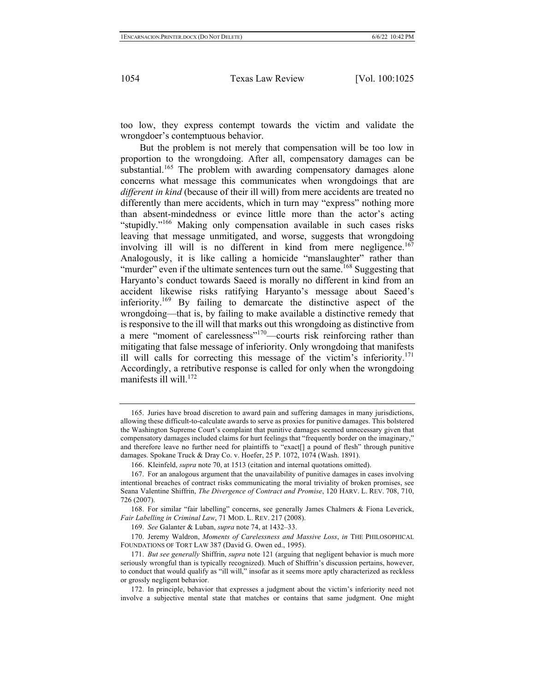too low, they express contempt towards the victim and validate the wrongdoer's contemptuous behavior.

But the problem is not merely that compensation will be too low in proportion to the wrongdoing. After all, compensatory damages can be substantial.<sup>165</sup> The problem with awarding compensatory damages alone concerns what message this communicates when wrongdoings that are *different in kind* (because of their ill will) from mere accidents are treated no differently than mere accidents, which in turn may "express" nothing more than absent-mindedness or evince little more than the actor's acting "stupidly."<sup>166</sup> Making only compensation available in such cases risks leaving that message unmitigated, and worse, suggests that wrongdoing involving ill will is no different in kind from mere negligence.<sup>167</sup> Analogously, it is like calling a homicide "manslaughter" rather than "murder" even if the ultimate sentences turn out the same.<sup>168</sup> Suggesting that Haryanto's conduct towards Saeed is morally no different in kind from an accident likewise risks ratifying Haryanto's message about Saeed's inferiority.169 By failing to demarcate the distinctive aspect of the wrongdoing—that is, by failing to make available a distinctive remedy that is responsive to the ill will that marks out this wrongdoing as distinctive from a mere "moment of carelessness"<sup>170</sup>—courts risk reinforcing rather than mitigating that false message of inferiority. Only wrongdoing that manifests ill will calls for correcting this message of the victim's inferiority.<sup>171</sup> Accordingly, a retributive response is called for only when the wrongdoing manifests ill will.<sup>172</sup>

<sup>165.</sup> Juries have broad discretion to award pain and suffering damages in many jurisdictions, allowing these difficult-to-calculate awards to serve as proxies for punitive damages. This bolstered the Washington Supreme Court's complaint that punitive damages seemed unnecessary given that compensatory damages included claims for hurt feelings that "frequently border on the imaginary," and therefore leave no further need for plaintiffs to "exact[] a pound of flesh" through punitive damages. Spokane Truck & Dray Co. v. Hoefer, 25 P. 1072, 1074 (Wash. 1891).

<sup>166.</sup> Kleinfeld, *supra* note 70, at 1513 (citation and internal quotations omitted).

<sup>167.</sup> For an analogous argument that the unavailability of punitive damages in cases involving intentional breaches of contract risks communicating the moral triviality of broken promises, see Seana Valentine Shiffrin, *The Divergence of Contract and Promise*, 120 HARV. L. REV. 708, 710, 726 (2007).

<sup>168.</sup> For similar "fair labelling" concerns, see generally James Chalmers & Fiona Leverick, *Fair Labelling in Criminal Law*, 71 MOD. L. REV. 217 (2008).

<sup>169.</sup> *See* Galanter & Luban, *supra* note 74, at 1432–33.

<sup>170.</sup> Jeremy Waldron, *Moments of Carelessness and Massive Loss*, *in* THE PHILOSOPHICAL FOUNDATIONS OF TORT LAW 387 (David G. Owen ed., 1995).

<sup>171.</sup> *But see generally* Shiffrin, *supra* note 121 (arguing that negligent behavior is much more seriously wrongful than is typically recognized). Much of Shiffrin's discussion pertains, however, to conduct that would qualify as "ill will," insofar as it seems more aptly characterized as reckless or grossly negligent behavior.

<sup>172.</sup> In principle, behavior that expresses a judgment about the victim's inferiority need not involve a subjective mental state that matches or contains that same judgment. One might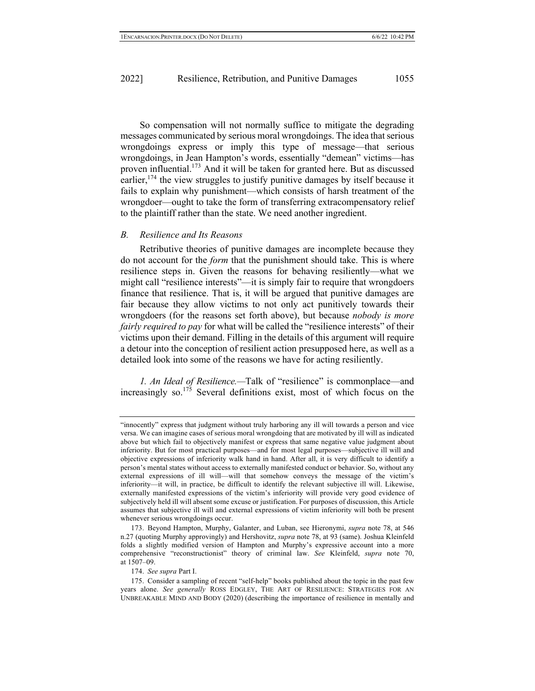So compensation will not normally suffice to mitigate the degrading messages communicated by serious moral wrongdoings. The idea that serious wrongdoings express or imply this type of message—that serious wrongdoings, in Jean Hampton's words, essentially "demean" victims—has proven influential.<sup>173</sup> And it will be taken for granted here. But as discussed earlier,  $174$  the view struggles to justify punitive damages by itself because it fails to explain why punishment—which consists of harsh treatment of the wrongdoer—ought to take the form of transferring extracompensatory relief to the plaintiff rather than the state. We need another ingredient.

## *B. Resilience and Its Reasons*

Retributive theories of punitive damages are incomplete because they do not account for the *form* that the punishment should take. This is where resilience steps in. Given the reasons for behaving resiliently—what we might call "resilience interests"—it is simply fair to require that wrongdoers finance that resilience. That is, it will be argued that punitive damages are fair because they allow victims to not only act punitively towards their wrongdoers (for the reasons set forth above), but because *nobody is more fairly required to pay* for what will be called the "resilience interests" of their victims upon their demand. Filling in the details of this argument will require a detour into the conception of resilient action presupposed here, as well as a detailed look into some of the reasons we have for acting resiliently.

*1. An Ideal of Resilience.—*Talk of "resilience" is commonplace—and increasingly so.<sup>175</sup> Several definitions exist, most of which focus on the

174. *See supra* Part I.

<sup>&</sup>quot;innocently" express that judgment without truly harboring any ill will towards a person and vice versa. We can imagine cases of serious moral wrongdoing that are motivated by ill will as indicated above but which fail to objectively manifest or express that same negative value judgment about inferiority. But for most practical purposes—and for most legal purposes—subjective ill will and objective expressions of inferiority walk hand in hand. After all, it is very difficult to identify a person's mental states without access to externally manifested conduct or behavior. So, without any external expressions of ill will—will that somehow conveys the message of the victim's inferiority—it will, in practice, be difficult to identify the relevant subjective ill will. Likewise, externally manifested expressions of the victim's inferiority will provide very good evidence of subjectively held ill will absent some excuse or justification. For purposes of discussion, this Article assumes that subjective ill will and external expressions of victim inferiority will both be present whenever serious wrongdoings occur.

<sup>173.</sup> Beyond Hampton, Murphy, Galanter, and Luban, see Hieronymi, *supra* note 78, at 546 n.27 (quoting Murphy approvingly) and Hershovitz, *supra* note 78, at 93 (same). Joshua Kleinfeld folds a slightly modified version of Hampton and Murphy's expressive account into a more comprehensive "reconstructionist" theory of criminal law. *See* Kleinfeld, *supra* note 70, at 1507–09.

<sup>175.</sup> Consider a sampling of recent "self-help" books published about the topic in the past few years alone. *See generally* ROSS EDGLEY, THE ART OF RESILIENCE: STRATEGIES FOR AN UNBREAKABLE MIND AND BODY (2020) (describing the importance of resilience in mentally and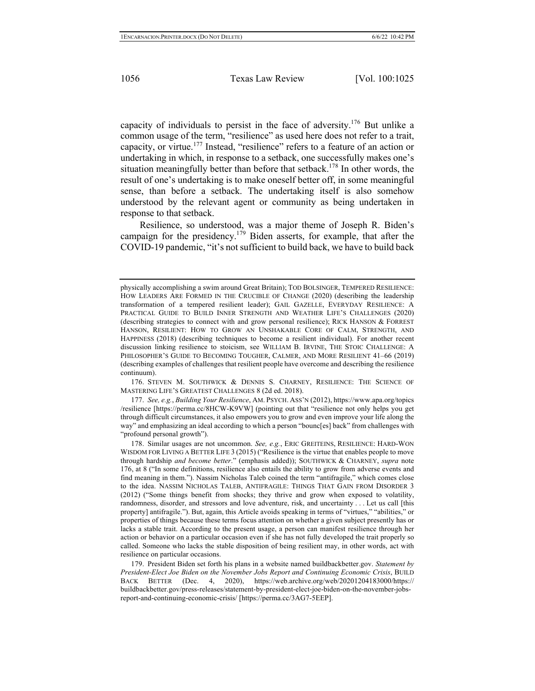capacity of individuals to persist in the face of adversity.176 But unlike a common usage of the term, "resilience" as used here does not refer to a trait, capacity, or virtue.<sup>177</sup> Instead, "resilience" refers to a feature of an action or undertaking in which, in response to a setback, one successfully makes one's situation meaningfully better than before that setback.<sup>178</sup> In other words, the result of one's undertaking is to make oneself better off, in some meaningful sense, than before a setback. The undertaking itself is also somehow understood by the relevant agent or community as being undertaken in response to that setback.

Resilience, so understood, was a major theme of Joseph R. Biden's campaign for the presidency.<sup>179</sup> Biden asserts, for example, that after the COVID-19 pandemic, "it's not sufficient to build back, we have to build back

176. STEVEN M. SOUTHWICK & DENNIS S. CHARNEY, RESILIENCE: THE SCIENCE OF MASTERING LIFE'S GREATEST CHALLENGES 8 (2d ed. 2018).

177. *See, e.g.*, *Building Your Resilience*, AM. PSYCH. ASS'N (2012), https://www.apa.org/topics /resilience [https://perma.cc/8HCW-K9VW] (pointing out that "resilience not only helps you get through difficult circumstances, it also empowers you to grow and even improve your life along the way" and emphasizing an ideal according to which a person "bounc[es] back" from challenges with "profound personal growth").

physically accomplishing a swim around Great Britain); TOD BOLSINGER, TEMPERED RESILIENCE: HOW LEADERS ARE FORMED IN THE CRUCIBLE OF CHANGE (2020) (describing the leadership transformation of a tempered resilient leader); GAIL GAZELLE, EVERYDAY RESILIENCE: A PRACTICAL GUIDE TO BUILD INNER STRENGTH AND WEATHER LIFE'S CHALLENGES (2020) (describing strategies to connect with and grow personal resilience); RICK HANSON & FORREST HANSON, RESILIENT: HOW TO GROW AN UNSHAKABLE CORE OF CALM, STRENGTH, AND HAPPINESS (2018) (describing techniques to become a resilient individual). For another recent discussion linking resilience to stoicism, see WILLIAM B. IRVINE, THE STOIC CHALLENGE: A PHILOSOPHER'S GUIDE TO BECOMING TOUGHER, CALMER, AND MORE RESILIENT 41–66 (2019) (describing examples of challenges that resilient people have overcome and describing the resilience continuum).

<sup>178.</sup> Similar usages are not uncommon. *See, e.g.*, ERIC GREITEINS, RESILIENCE: HARD-WON WISDOM FOR LIVING A BETTER LIFE 3 (2015) ("Resilience is the virtue that enables people to move through hardship *and become better*." (emphasis added)); SOUTHWICK & CHARNEY, *supra* note 176, at 8 ("In some definitions, resilience also entails the ability to grow from adverse events and find meaning in them."). Nassim Nicholas Taleb coined the term "antifragile," which comes close to the idea. NASSIM NICHOLAS TALEB, ANTIFRAGILE: THINGS THAT GAIN FROM DISORDER 3 (2012) ("Some things benefit from shocks; they thrive and grow when exposed to volatility, randomness, disorder, and stressors and love adventure, risk, and uncertainty . . . Let us call [this property] antifragile."). But, again, this Article avoids speaking in terms of "virtues," "abilities," or properties of things because these terms focus attention on whether a given subject presently has or lacks a stable trait. According to the present usage, a person can manifest resilience through her action or behavior on a particular occasion even if she has not fully developed the trait properly so called. Someone who lacks the stable disposition of being resilient may, in other words, act with resilience on particular occasions.

<sup>179.</sup> President Biden set forth his plans in a website named buildbackbetter.gov. *Statement by President-Elect Joe Biden on the November Jobs Report and Continuing Economic Crisis*, BUILD BACK BETTER (Dec. 4, 2020), https://web.archive.org/web/20201204183000/https:// buildbackbetter.gov/press-releases/statement-by-president-elect-joe-biden-on-the-november-jobsreport-and-continuing-economic-crisis/ [https://perma.cc/3AG7-5EEP].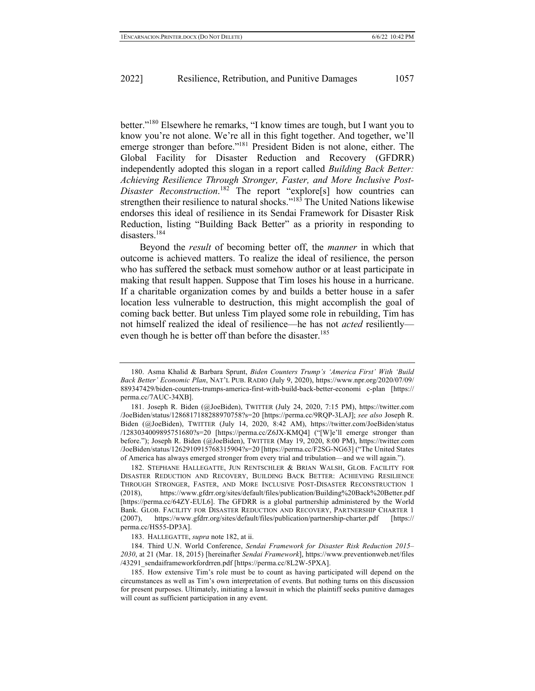better."180 Elsewhere he remarks, "I know times are tough, but I want you to know you're not alone. We're all in this fight together. And together, we'll emerge stronger than before."<sup>181</sup> President Biden is not alone, either. The Global Facility for Disaster Reduction and Recovery (GFDRR) independently adopted this slogan in a report called *Building Back Better: Achieving Resilience Through Stronger, Faster, and More Inclusive Post-Disaster Reconstruction*. <sup>182</sup> The report "explore[s] how countries can strengthen their resilience to natural shocks."<sup>183</sup> The United Nations likewise endorses this ideal of resilience in its Sendai Framework for Disaster Risk Reduction, listing "Building Back Better" as a priority in responding to disasters.<sup>184</sup>

Beyond the *result* of becoming better off, the *manner* in which that outcome is achieved matters. To realize the ideal of resilience, the person who has suffered the setback must somehow author or at least participate in making that result happen. Suppose that Tim loses his house in a hurricane. If a charitable organization comes by and builds a better house in a safer location less vulnerable to destruction, this might accomplish the goal of coming back better. But unless Tim played some role in rebuilding, Tim has not himself realized the ideal of resilience—he has not *acted* resiliently even though he is better off than before the disaster.<sup>185</sup>

182. STEPHANE HALLEGATTE, JUN RENTSCHLER & BRIAN WALSH, GLOB. FACILITY FOR DISASTER REDUCTION AND RECOVERY, BUILDING BACK BETTER: ACHIEVING RESILIENCE THROUGH STRONGER, FASTER, AND MORE INCLUSIVE POST-DISASTER RECONSTRUCTION 1 (2018), https://www.gfdrr.org/sites/default/files/publication/Building%20Back%20Better.pdf [https://perma.cc/64ZY-EUL6]. The GFDRR is a global partnership administered by the World Bank. GLOB. FACILITY FOR DISASTER REDUCTION AND RECOVERY, PARTNERSHIP CHARTER 1 (2007), https://www.gfdrr.org/sites/default/files/publication/partnership-charter.pdf [https:// perma.cc/HS55-DP3A].

184. Third U.N. World Conference, *Sendai Framework for Disaster Risk Reduction 2015– 2030*, at 21 (Mar. 18, 2015) [hereinafter *Sendai Framework*], https://www.preventionweb.net/files /43291\_sendaiframeworkfordrren.pdf [https://perma.cc/8L2W-5PXA].

<sup>180.</sup> Asma Khalid & Barbara Sprunt, *Biden Counters Trump's 'America First' With 'Build Back Better' Economic Plan*, NAT'L PUB. RADIO (July 9, 2020), https://www.npr.org/2020/07/09/ 889347429/biden-counters-trumps-america-first-with-build-back-better-economi c-plan [https:// perma.cc/7AUC-34XB].

<sup>181.</sup> Joseph R. Biden (@JoeBiden), TWITTER (July 24, 2020, 7:15 PM), https://twitter.com /JoeBiden/status/1286817188288970758?s=20 [https://perma.cc/9RQP-3LAJ]; *see also* Joseph R. Biden (@JoeBiden), TWITTER (July 14, 2020, 8:42 AM), https://twitter.com/JoeBiden/status /1283034009895751680?s=20 [https://perma.cc/Z6JX-KMQ4] ("[W]e'll emerge stronger than before."); Joseph R. Biden (@JoeBiden), TWITTER (May 19, 2020, 8:00 PM), https://twitter.com /JoeBiden/status/1262910915768315904?s=20 [https://perma.cc/F2SG-NG63] ("The United States of America has always emerged stronger from every trial and tribulation—and we will again.").

<sup>183.</sup> HALLEGATTE, *supra* note 182, at ii.

<sup>185.</sup> How extensive Tim's role must be to count as having participated will depend on the circumstances as well as Tim's own interpretation of events. But nothing turns on this discussion for present purposes. Ultimately, initiating a lawsuit in which the plaintiff seeks punitive damages will count as sufficient participation in any event.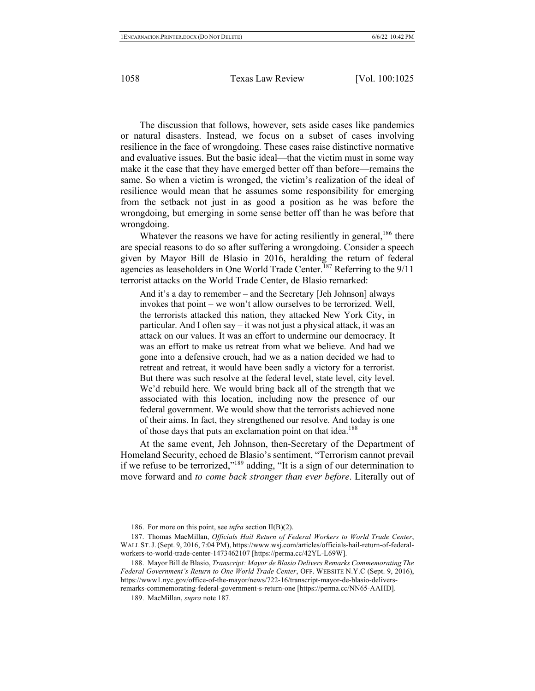The discussion that follows, however, sets aside cases like pandemics or natural disasters. Instead, we focus on a subset of cases involving resilience in the face of wrongdoing. These cases raise distinctive normative and evaluative issues. But the basic ideal—that the victim must in some way make it the case that they have emerged better off than before—remains the same. So when a victim is wronged, the victim's realization of the ideal of resilience would mean that he assumes some responsibility for emerging from the setback not just in as good a position as he was before the wrongdoing, but emerging in some sense better off than he was before that wrongdoing.

Whatever the reasons we have for acting resiliently in general,  $186$  there are special reasons to do so after suffering a wrongdoing. Consider a speech given by Mayor Bill de Blasio in 2016, heralding the return of federal agencies as leaseholders in One World Trade Center.<sup>187</sup> Referring to the  $9/11$ terrorist attacks on the World Trade Center, de Blasio remarked:

And it's a day to remember – and the Secretary [Jeh Johnson] always invokes that point – we won't allow ourselves to be terrorized. Well, the terrorists attacked this nation, they attacked New York City, in particular. And I often say – it was not just a physical attack, it was an attack on our values. It was an effort to undermine our democracy. It was an effort to make us retreat from what we believe. And had we gone into a defensive crouch, had we as a nation decided we had to retreat and retreat, it would have been sadly a victory for a terrorist. But there was such resolve at the federal level, state level, city level. We'd rebuild here. We would bring back all of the strength that we associated with this location, including now the presence of our federal government. We would show that the terrorists achieved none of their aims. In fact, they strengthened our resolve. And today is one of those days that puts an exclamation point on that idea.<sup>188</sup>

At the same event, Jeh Johnson, then-Secretary of the Department of Homeland Security, echoed de Blasio's sentiment, "Terrorism cannot prevail if we refuse to be terrorized,"<sup>189</sup> adding, "It is a sign of our determination to move forward and *to come back stronger than ever before*. Literally out of

<sup>186.</sup> For more on this point, see *infra* section II(B)(2).

<sup>187.</sup> Thomas MacMillan, *Officials Hail Return of Federal Workers to World Trade Center*, WALL ST.J.(Sept. 9, 2016, 7:04 PM), https://www.wsj.com/articles/officials-hail-return-of-federalworkers-to-world-trade-center-1473462107 [https://perma.cc/42YL-L69W].

<sup>188.</sup> Mayor Bill de Blasio, *Transcript: Mayor de Blasio Delivers Remarks Commemorating The Federal Government's Return to One World Trade Center*, OFF. WEBSITE N.Y.C (Sept. 9, 2016), https://www1.nyc.gov/office-of-the-mayor/news/722-16/transcript-mayor-de-blasio-deliversremarks-commemorating-federal-government-s-return-one [https://perma.cc/NN65-AAHD].

<sup>189.</sup> MacMillan, *supra* note 187.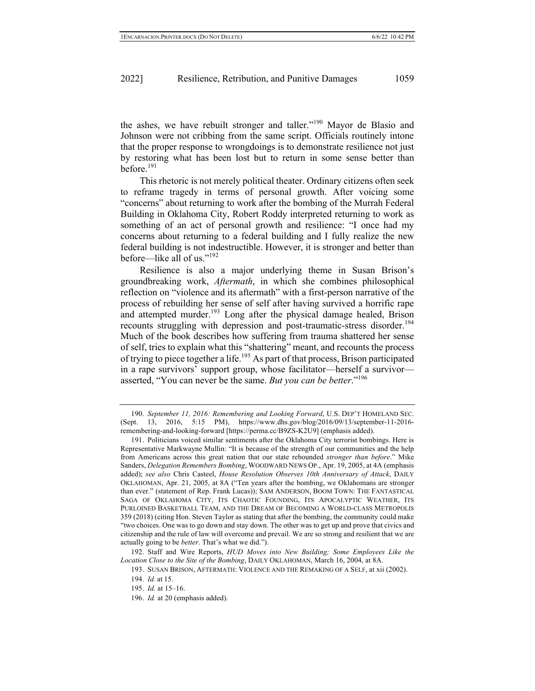the ashes, we have rebuilt stronger and taller."<sup>190</sup> Mayor de Blasio and Johnson were not cribbing from the same script. Officials routinely intone that the proper response to wrongdoings is to demonstrate resilience not just by restoring what has been lost but to return in some sense better than before.<sup>191</sup>

This rhetoric is not merely political theater. Ordinary citizens often seek to reframe tragedy in terms of personal growth. After voicing some "concerns" about returning to work after the bombing of the Murrah Federal Building in Oklahoma City, Robert Roddy interpreted returning to work as something of an act of personal growth and resilience: "I once had my concerns about returning to a federal building and I fully realize the new federal building is not indestructible. However, it is stronger and better than before—like all of us."<sup>192</sup>

Resilience is also a major underlying theme in Susan Brison's groundbreaking work, *Aftermath*, in which she combines philosophical reflection on "violence and its aftermath" with a first-person narrative of the process of rebuilding her sense of self after having survived a horrific rape and attempted murder.<sup>193</sup> Long after the physical damage healed, Brison recounts struggling with depression and post-traumatic-stress disorder.<sup>194</sup> Much of the book describes how suffering from trauma shattered her sense of self, tries to explain what this "shattering" meant, and recounts the process of trying to piece together a life.<sup>195</sup> As part of that process, Brison participated in a rape survivors' support group, whose facilitator—herself a survivor asserted, "You can never be the same. *But you can be better*."<sup>196</sup>

192. Staff and Wire Reports, *HUD Moves into New Building; Some Employees Like the Location Close to the Site of the Bombing*, DAILY OKLAHOMAN, March 16, 2004, at 8A.

<sup>190.</sup> *September 11, 2016: Remembering and Looking Forward*, U.S. DEP'T HOMELAND SEC. (Sept. 13, 2016, 5:15 PM), https://www.dhs.gov/blog/2016/09/13/september-11-2016 remembering-and-looking-forward [https://perma.cc/B9ZS-K2U9] (emphasis added).

<sup>191.</sup> Politicians voiced similar sentiments after the Oklahoma City terrorist bombings. Here is Representative Markwayne Mullin: "It is because of the strength of our communities and the help from Americans across this great nation that our state rebounded *stronger than before*." Mike Sanders, *Delegation Remembers Bombing*, WOODWARD NEWS OP., Apr. 19, 2005, at 4A (emphasis added); *see also* Chris Casteel, *House Resolution Observes 10th Anniversary of Attack*, DAILY OKLAHOMAN, Apr. 21, 2005, at 8A ("Ten years after the bombing, we Oklahomans are stronger than ever." (statement of Rep. Frank Lucas)); SAM ANDERSON, BOOM TOWN: THE FANTASTICAL SAGA OF OKLAHOMA CITY, ITS CHAOTIC FOUNDING, ITS APOCALYPTIC WEATHER, ITS PURLOINED BASKETBALL TEAM, AND THE DREAM OF BECOMING A WORLD-CLASS METROPOLIS 359 (2018) (citing Hon. Steven Taylor as stating that after the bombing, the community could make "two choices. One was to go down and stay down. The other was to get up and prove that civics and citizenship and the rule of law will overcome and prevail. We are so strong and resilient that we are actually going to be *better*. That's what we did.").

<sup>193.</sup> SUSAN BRISON, AFTERMATH: VIOLENCE AND THE REMAKING OF A SELF, at xii (2002).

<sup>194.</sup> *Id.* at 15.

<sup>195.</sup> *Id.* at 15–16.

<sup>196.</sup> *Id.* at 20 (emphasis added).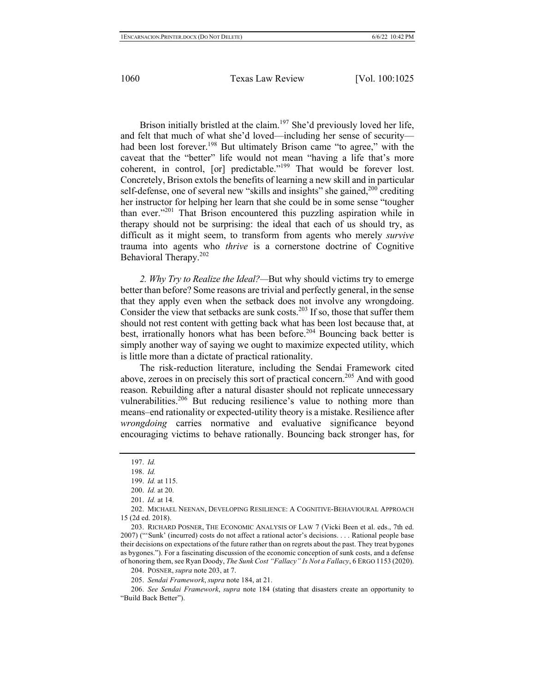Brison initially bristled at the claim.<sup>197</sup> She'd previously loved her life, and felt that much of what she'd loved—including her sense of security had been lost forever.<sup>198</sup> But ultimately Brison came "to agree," with the caveat that the "better" life would not mean "having a life that's more coherent, in control, [or] predictable."<sup>199</sup> That would be forever lost. Concretely, Brison extols the benefits of learning a new skill and in particular self-defense, one of several new "skills and insights" she gained,  $200$  crediting her instructor for helping her learn that she could be in some sense "tougher than ever."201 That Brison encountered this puzzling aspiration while in therapy should not be surprising: the ideal that each of us should try, as difficult as it might seem, to transform from agents who merely *survive*  trauma into agents who *thrive* is a cornerstone doctrine of Cognitive Behavioral Therapy.<sup>202</sup>

*2. Why Try to Realize the Ideal?—*But why should victims try to emerge better than before? Some reasons are trivial and perfectly general, in the sense that they apply even when the setback does not involve any wrongdoing. Consider the view that setbacks are sunk costs.<sup>203</sup> If so, those that suffer them should not rest content with getting back what has been lost because that, at best, irrationally honors what has been before.<sup>204</sup> Bouncing back better is simply another way of saying we ought to maximize expected utility, which is little more than a dictate of practical rationality.

The risk-reduction literature, including the Sendai Framework cited above, zeroes in on precisely this sort of practical concern.<sup>205</sup> And with good reason. Rebuilding after a natural disaster should not replicate unnecessary vulnerabilities.<sup>206</sup> But reducing resilience's value to nothing more than means–end rationality or expected-utility theory is a mistake. Resilience after *wrongdoing* carries normative and evaluative significance beyond encouraging victims to behave rationally. Bouncing back stronger has, for

<sup>197.</sup> *Id.*

<sup>198.</sup> *Id.*

<sup>199.</sup> *Id.* at 115.

<sup>200.</sup> *Id.* at 20.

<sup>201.</sup> *Id.* at 14.

<sup>202.</sup> MICHAEL NEENAN, DEVELOPING RESILIENCE: A COGNITIVE-BEHAVIOURAL APPROACH 15 (2d ed. 2018).

<sup>203.</sup> RICHARD POSNER, THE ECONOMIC ANALYSIS OF LAW 7 (Vicki Been et al. eds., 7th ed. 2007) ("'Sunk' (incurred) costs do not affect a rational actor's decisions. . . . Rational people base their decisions on expectations of the future rather than on regrets about the past. They treat bygones as bygones."). For a fascinating discussion of the economic conception of sunk costs, and a defense of honoring them, see Ryan Doody, *The Sunk Cost "Fallacy" Is Not a Fallacy*, 6 ERGO 1153 (2020).

<sup>204.</sup> POSNER, *supra* note 203, at 7.

<sup>205.</sup> *Sendai Framework*, *supra* note 184, at 21.

<sup>206.</sup> *See Sendai Framework*, *supra* note 184 (stating that disasters create an opportunity to "Build Back Better").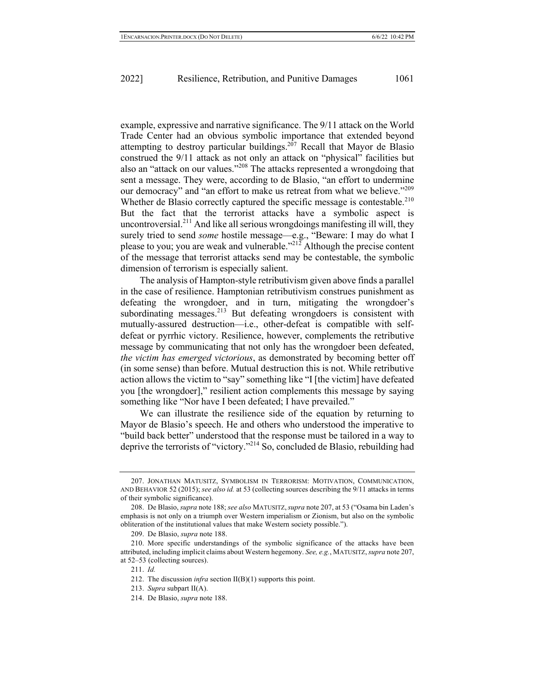example, expressive and narrative significance. The 9/11 attack on the World Trade Center had an obvious symbolic importance that extended beyond attempting to destroy particular buildings.<sup>207</sup> Recall that Mayor de Blasio construed the 9/11 attack as not only an attack on "physical" facilities but also an "attack on our values."<sup>208</sup> The attacks represented a wrongdoing that sent a message. They were, according to de Blasio, "an effort to undermine our democracy" and "an effort to make us retreat from what we believe."<sup>209</sup> Whether de Blasio correctly captured the specific message is contestable.<sup>210</sup> But the fact that the terrorist attacks have a symbolic aspect is uncontroversial.<sup>211</sup> And like all serious wrongdoings manifesting ill will, they surely tried to send *some* hostile message—e.g., "Beware: I may do what I please to you; you are weak and vulnerable."<sup>212</sup> Although the precise content of the message that terrorist attacks send may be contestable, the symbolic dimension of terrorism is especially salient.

The analysis of Hampton-style retributivism given above finds a parallel in the case of resilience. Hamptonian retributivism construes punishment as defeating the wrongdoer, and in turn, mitigating the wrongdoer's subordinating messages. $^{213}$  But defeating wrongdoers is consistent with mutually-assured destruction—i.e., other-defeat is compatible with selfdefeat or pyrrhic victory. Resilience, however, complements the retributive message by communicating that not only has the wrongdoer been defeated, *the victim has emerged victorious*, as demonstrated by becoming better off (in some sense) than before. Mutual destruction this is not. While retributive action allows the victim to "say" something like "I [the victim] have defeated you [the wrongdoer]," resilient action complements this message by saying something like "Nor have I been defeated; I have prevailed."

We can illustrate the resilience side of the equation by returning to Mayor de Blasio's speech. He and others who understood the imperative to "build back better" understood that the response must be tailored in a way to deprive the terrorists of "victory."214 So, concluded de Blasio, rebuilding had

<sup>207.</sup> JONATHAN MATUSITZ, SYMBOLISM IN TERRORISM: MOTIVATION, COMMUNICATION, AND BEHAVIOR 52 (2015); *see also id.* at 53 (collecting sources describing the 9/11 attacks in terms of their symbolic significance).

<sup>208.</sup> De Blasio, *supra* note 188; *see also* MATUSITZ,*supra* note 207, at 53 ("Osama bin Laden's emphasis is not only on a triumph over Western imperialism or Zionism, but also on the symbolic obliteration of the institutional values that make Western society possible.").

<sup>209.</sup> De Blasio, *supra* note 188.

<sup>210.</sup> More specific understandings of the symbolic significance of the attacks have been attributed, including implicit claims about Western hegemony. *See, e.g.*, MATUSITZ, *supra* note 207, at 52–53 (collecting sources).

<sup>211.</sup> *Id.*

<sup>212.</sup> The discussion *infra* section II(B)(1) supports this point.

<sup>213.</sup> *Supra* subpart II(A).

<sup>214.</sup> De Blasio, *supra* note 188.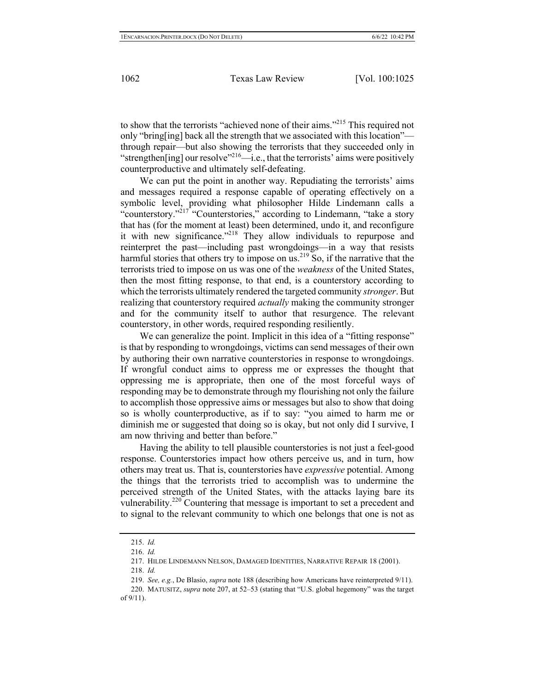to show that the terrorists "achieved none of their aims."<sup>215</sup> This required not only "bring[ing] back all the strength that we associated with this location" through repair—but also showing the terrorists that they succeeded only in "strengthen[ing] our resolve"<sup>216</sup>—i.e., that the terrorists' aims were positively counterproductive and ultimately self-defeating.

We can put the point in another way. Repudiating the terrorists' aims and messages required a response capable of operating effectively on a symbolic level, providing what philosopher Hilde Lindemann calls a "counterstory."<sup>217</sup> "Counterstories," according to Lindemann, "take a story that has (for the moment at least) been determined, undo it, and reconfigure it with new significance."<sup>218</sup> They allow individuals to repurpose and reinterpret the past—including past wrongdoings—in a way that resists harmful stories that others try to impose on us.<sup>219</sup> So, if the narrative that the terrorists tried to impose on us was one of the *weakness* of the United States, then the most fitting response, to that end, is a counterstory according to which the terrorists ultimately rendered the targeted community *stronger*. But realizing that counterstory required *actually* making the community stronger and for the community itself to author that resurgence. The relevant counterstory, in other words, required responding resiliently.

We can generalize the point. Implicit in this idea of a "fitting response" is that by responding to wrongdoings, victims can send messages of their own by authoring their own narrative counterstories in response to wrongdoings. If wrongful conduct aims to oppress me or expresses the thought that oppressing me is appropriate, then one of the most forceful ways of responding may be to demonstrate through my flourishing not only the failure to accomplish those oppressive aims or messages but also to show that doing so is wholly counterproductive, as if to say: "you aimed to harm me or diminish me or suggested that doing so is okay, but not only did I survive, I am now thriving and better than before."

Having the ability to tell plausible counterstories is not just a feel-good response. Counterstories impact how others perceive us, and in turn, how others may treat us. That is, counterstories have *expressive* potential. Among the things that the terrorists tried to accomplish was to undermine the perceived strength of the United States, with the attacks laying bare its vulnerability.<sup>220</sup> Countering that message is important to set a precedent and to signal to the relevant community to which one belongs that one is not as

<sup>215.</sup> *Id.*

<sup>216.</sup> *Id.*

<sup>217.</sup> HILDE LINDEMANN NELSON, DAMAGED IDENTITIES, NARRATIVE REPAIR 18 (2001).

<sup>218.</sup> *Id.*

<sup>219.</sup> *See, e.g.*, De Blasio, *supra* note 188 (describing how Americans have reinterpreted 9/11).

<sup>220.</sup> MATUSITZ, *supra* note 207, at 52–53 (stating that "U.S. global hegemony" was the target of 9/11).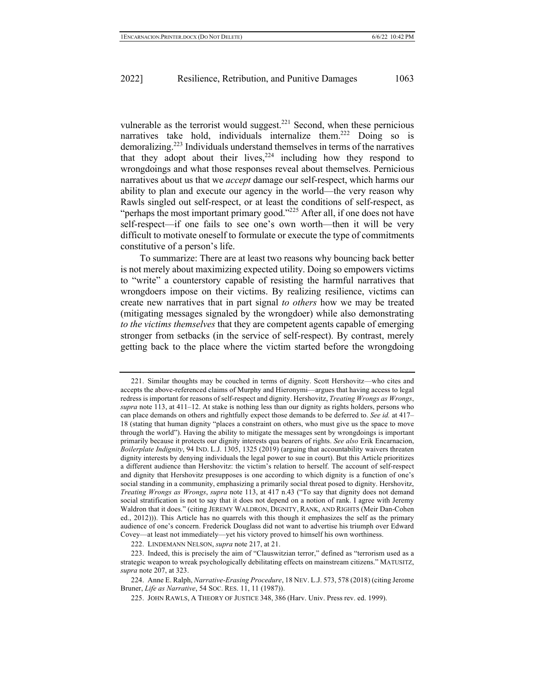vulnerable as the terrorist would suggest. $221$  Second, when these pernicious narratives take hold, individuals internalize them.<sup>222</sup> Doing so is demoralizing.223 Individuals understand themselves in terms of the narratives that they adopt about their lives,  $224$  including how they respond to wrongdoings and what those responses reveal about themselves. Pernicious narratives about us that we *accept* damage our self-respect, which harms our ability to plan and execute our agency in the world—the very reason why Rawls singled out self-respect, or at least the conditions of self-respect, as "perhaps the most important primary good."<sup>225</sup> After all, if one does not have self-respect—if one fails to see one's own worth—then it will be very difficult to motivate oneself to formulate or execute the type of commitments constitutive of a person's life.

To summarize: There are at least two reasons why bouncing back better is not merely about maximizing expected utility. Doing so empowers victims to "write" a counterstory capable of resisting the harmful narratives that wrongdoers impose on their victims. By realizing resilience, victims can create new narratives that in part signal *to others* how we may be treated (mitigating messages signaled by the wrongdoer) while also demonstrating *to the victims themselves* that they are competent agents capable of emerging stronger from setbacks (in the service of self-respect). By contrast, merely getting back to the place where the victim started before the wrongdoing

222. LINDEMANN NELSON, *supra* note 217, at 21.

<sup>221.</sup> Similar thoughts may be couched in terms of dignity. Scott Hershovitz—who cites and accepts the above-referenced claims of Murphy and Hieronymi—argues that having access to legal redress is important for reasons of self-respect and dignity. Hershovitz, *Treating Wrongs as Wrongs*, *supra* note 113, at 411–12. At stake is nothing less than our dignity as rights holders, persons who can place demands on others and rightfully expect those demands to be deferred to. *See id.* at 417– 18 (stating that human dignity "places a constraint on others, who must give us the space to move through the world"). Having the ability to mitigate the messages sent by wrongdoings is important primarily because it protects our dignity interests qua bearers of rights. *See also* Erik Encarnacion, *Boilerplate Indignity*, 94 IND. L.J. 1305, 1325 (2019) (arguing that accountability waivers threaten dignity interests by denying individuals the legal power to sue in court). But this Article prioritizes a different audience than Hershovitz: the victim's relation to herself. The account of self-respect and dignity that Hershovitz presupposes is one according to which dignity is a function of one's social standing in a community, emphasizing a primarily social threat posed to dignity. Hershovitz, *Treating Wrongs as Wrongs*, *supra* note 113, at 417 n.43 ("To say that dignity does not demand social stratification is not to say that it does not depend on a notion of rank. I agree with Jeremy Waldron that it does." (citing JEREMY WALDRON, DIGNITY, RANK, AND RIGHTS (Meir Dan-Cohen ed., 2012))). This Article has no quarrels with this though it emphasizes the self as the primary audience of one's concern. Frederick Douglass did not want to advertise his triumph over Edward Covey—at least not immediately—yet his victory proved to himself his own worthiness.

<sup>223.</sup> Indeed, this is precisely the aim of "Clauswitzian terror," defined as "terrorism used as a strategic weapon to wreak psychologically debilitating effects on mainstream citizens." MATUSITZ, *supra* note 207, at 323.

<sup>224.</sup> Anne E. Ralph, *Narrative-Erasing Procedure*, 18 NEV. L.J. 573, 578 (2018) (citing Jerome Bruner, *Life as Narrative*, 54 SOC. RES. 11, 11 (1987)).

<sup>225.</sup> JOHN RAWLS, A THEORY OF JUSTICE 348, 386 (Harv. Univ. Press rev. ed. 1999).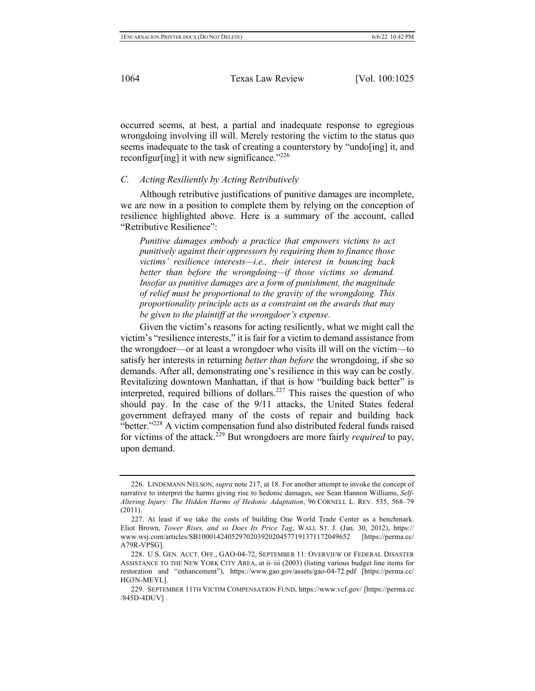occurred seems, at best, a partial and inadequate response to egregious wrongdoing involving ill will. Merely restoring the victim to the status quo seems inadequate to the task of creating a counterstory by "undo[ing] it, and reconfigur[ing] it with new significance." $226$ 

#### *C. Acting Resiliently by Acting Retributively*

Although retributive justifications of punitive damages are incomplete, we are now in a position to complete them by relying on the conception of resilience highlighted above. Here is a summary of the account, called "Retributive Resilience":

*Punitive damages embody a practice that empowers victims to act punitively against their oppressors by requiring them to finance those victims' resilience interests—i.e., their interest in bouncing back better than before the wrongdoing—if those victims so demand. Insofar as punitive damages are a form of punishment, the magnitude of relief must be proportional to the gravity of the wrongdoing. This proportionality principle acts as a constraint on the awards that may be given to the plaintiff at the wrongdoer's expense.*

Given the victim's reasons for acting resiliently, what we might call the victim's "resilience interests," it is fair for a victim to demand assistance from the wrongdoer—or at least a wrongdoer who visits ill will on the victim—to satisfy her interests in returning *better than before* the wrongdoing, if she so demands. After all, demonstrating one's resilience in this way can be costly. Revitalizing downtown Manhattan, if that is how "building back better" is interpreted, required billions of dollars.<sup>227</sup> This raises the question of who should pay. In the case of the 9/11 attacks, the United States federal government defrayed many of the costs of repair and building back "better."<sup>228</sup> A victim compensation fund also distributed federal funds raised for victims of the attack.<sup>229</sup> But wrongdoers are more fairly *required* to pay, upon demand.

<sup>226.</sup> LINDEMANN NELSON, *supra* note 217, at 18. For another attempt to invoke the concept of narrative to interpret the harms giving rise to hedonic damages, see Sean Hannon Williams, *Self-Altering Injury: The Hidden Harms of Hedonic Adaptation*, 96 CORNELL L. REV. 535, 568–79 (2011).

<sup>227.</sup> At least if we take the costs of building One World Trade Center as a benchmark. Eliot Brown, *Tower Rises, and so Does Its Price Tag*, WALL ST. J. (Jan. 30, 2012), https:// www.wsj.com/articles/SB10001424052970203920204577191371172049652 [https://perma.cc/ A79R-VPSG].

<sup>228.</sup> U.S. GEN. ACCT. OFF., GAO-04-72, SEPTEMBER 11: OVERVIEW OF FEDERAL DISASTER ASSISTANCE TO THE NEW YORK CITY AREA, at ii–iii (2003) (listing various budget line items for restoration and "enhancement"), https://www.gao.gov/assets/gao-04-72.pdf [https://perma.cc/ HG3N-MEYL].

<sup>229.</sup> SEPTEMBER 11TH VICTIM COMPENSATION FUND, https://www.vcf.gov/ [https://perma.cc /845D-4DUV] .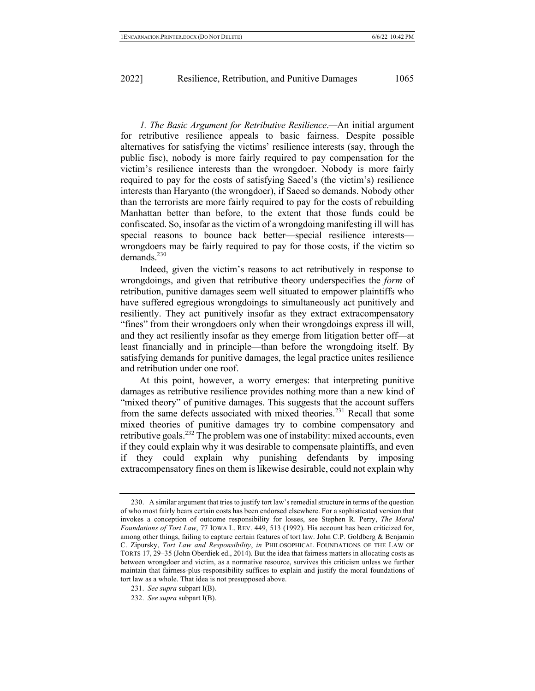*1. The Basic Argument for Retributive Resilience*.*—*An initial argument for retributive resilience appeals to basic fairness. Despite possible alternatives for satisfying the victims' resilience interests (say, through the public fisc), nobody is more fairly required to pay compensation for the victim's resilience interests than the wrongdoer. Nobody is more fairly required to pay for the costs of satisfying Saeed's (the victim's) resilience interests than Haryanto (the wrongdoer), if Saeed so demands. Nobody other than the terrorists are more fairly required to pay for the costs of rebuilding Manhattan better than before, to the extent that those funds could be confiscated. So, insofar as the victim of a wrongdoing manifesting ill will has special reasons to bounce back better—special resilience interests wrongdoers may be fairly required to pay for those costs, if the victim so demands. $^{230}$ 

Indeed, given the victim's reasons to act retributively in response to wrongdoings, and given that retributive theory underspecifies the *form* of retribution, punitive damages seem well situated to empower plaintiffs who have suffered egregious wrongdoings to simultaneously act punitively and resiliently. They act punitively insofar as they extract extracompensatory "fines" from their wrongdoers only when their wrongdoings express ill will, and they act resiliently insofar as they emerge from litigation better off—at least financially and in principle—than before the wrongdoing itself. By satisfying demands for punitive damages, the legal practice unites resilience and retribution under one roof.

At this point, however, a worry emerges: that interpreting punitive damages as retributive resilience provides nothing more than a new kind of "mixed theory" of punitive damages. This suggests that the account suffers from the same defects associated with mixed theories.<sup>231</sup> Recall that some mixed theories of punitive damages try to combine compensatory and retributive goals.<sup>232</sup> The problem was one of instability: mixed accounts, even if they could explain why it was desirable to compensate plaintiffs, and even if they could explain why punishing defendants by imposing extracompensatory fines on them is likewise desirable, could not explain why

<sup>230.</sup> A similar argument that tries to justify tort law's remedial structure in terms of the question of who most fairly bears certain costs has been endorsed elsewhere. For a sophisticated version that invokes a conception of outcome responsibility for losses, see Stephen R. Perry, *The Moral Foundations of Tort Law*, 77 IOWA L. REV. 449, 513 (1992). His account has been criticized for, among other things, failing to capture certain features of tort law. John C.P. Goldberg & Benjamin C. Zipursky, *Tort Law and Responsibility*, *in* PHILOSOPHICAL FOUNDATIONS OF THE LAW OF TORTS 17, 29–35 (John Oberdiek ed., 2014). But the idea that fairness matters in allocating costs as between wrongdoer and victim, as a normative resource, survives this criticism unless we further maintain that fairness-plus-responsibility suffices to explain and justify the moral foundations of tort law as a whole. That idea is not presupposed above.

<sup>231.</sup> *See supra* subpart I(B).

<sup>232.</sup> *See supra* subpart I(B).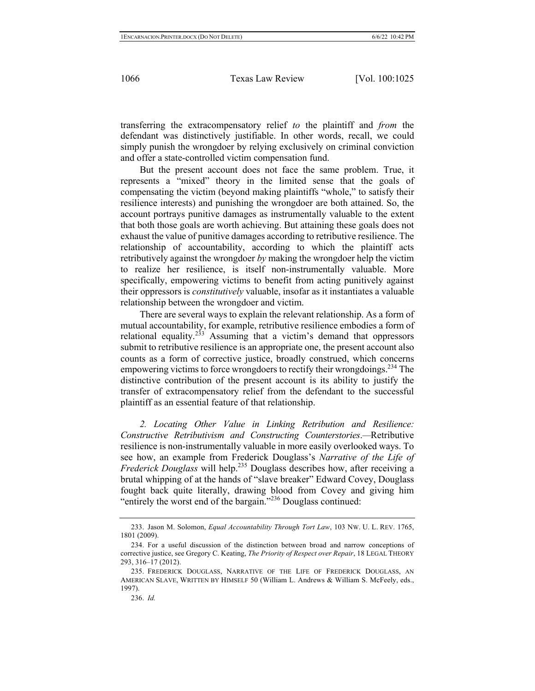transferring the extracompensatory relief *to* the plaintiff and *from* the defendant was distinctively justifiable. In other words, recall, we could simply punish the wrongdoer by relying exclusively on criminal conviction and offer a state-controlled victim compensation fund.

But the present account does not face the same problem. True, it represents a "mixed" theory in the limited sense that the goals of compensating the victim (beyond making plaintiffs "whole," to satisfy their resilience interests) and punishing the wrongdoer are both attained. So, the account portrays punitive damages as instrumentally valuable to the extent that both those goals are worth achieving. But attaining these goals does not exhaust the value of punitive damages according to retributive resilience. The relationship of accountability, according to which the plaintiff acts retributively against the wrongdoer *by* making the wrongdoer help the victim to realize her resilience, is itself non-instrumentally valuable. More specifically, empowering victims to benefit from acting punitively against their oppressors is *constitutively* valuable, insofar as it instantiates a valuable relationship between the wrongdoer and victim.

There are several ways to explain the relevant relationship. As a form of mutual accountability, for example, retributive resilience embodies a form of relational equality.<sup>233</sup> Assuming that a victim's demand that oppressors submit to retributive resilience is an appropriate one, the present account also counts as a form of corrective justice, broadly construed, which concerns empowering victims to force wrongdoers to rectify their wrongdoings.<sup>234</sup> The distinctive contribution of the present account is its ability to justify the transfer of extracompensatory relief from the defendant to the successful plaintiff as an essential feature of that relationship.

*2. Locating Other Value in Linking Retribution and Resilience: Constructive Retributivism and Constructing Counterstories*.*—*Retributive resilience is non-instrumentally valuable in more easily overlooked ways. To see how, an example from Frederick Douglass's *Narrative of the Life of Frederick Douglass* will help.<sup>235</sup> Douglass describes how, after receiving a brutal whipping of at the hands of "slave breaker" Edward Covey, Douglass fought back quite literally, drawing blood from Covey and giving him "entirely the worst end of the bargain."<sup>236</sup> Douglass continued:

<sup>233.</sup> Jason M. Solomon, *Equal Accountability Through Tort Law*, 103 NW. U. L. REV. 1765, 1801 (2009).

<sup>234.</sup> For a useful discussion of the distinction between broad and narrow conceptions of corrective justice, see Gregory C. Keating, *The Priority of Respect over Repair*, 18 LEGAL THEORY 293, 316–17 (2012).

<sup>235.</sup> FREDERICK DOUGLASS, NARRATIVE OF THE LIFE OF FREDERICK DOUGLASS, AN AMERICAN SLAVE, WRITTEN BY HIMSELF 50 (William L. Andrews & William S. McFeely, eds., 1997).

<sup>236.</sup> *Id.*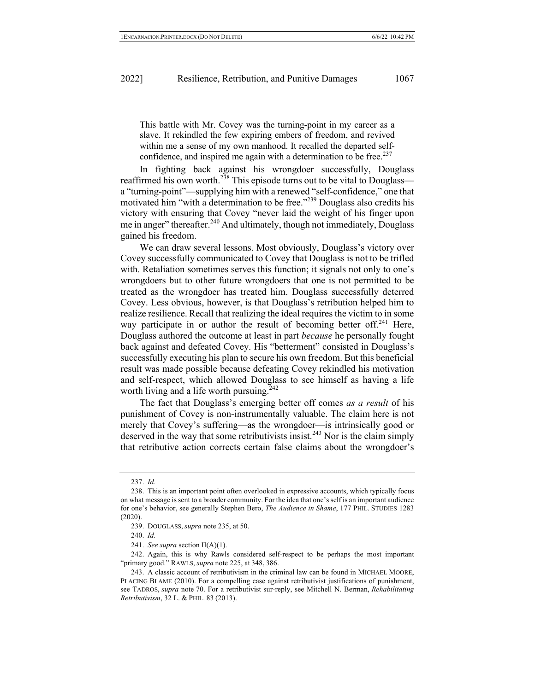This battle with Mr. Covey was the turning-point in my career as a slave. It rekindled the few expiring embers of freedom, and revived within me a sense of my own manhood. It recalled the departed selfconfidence, and inspired me again with a determination to be free. $237$ 

In fighting back against his wrongdoer successfully, Douglass reaffirmed his own worth.<sup>238</sup> This episode turns out to be vital to Douglass a "turning-point"—supplying him with a renewed "self-confidence," one that motivated him "with a determination to be free."<sup>239</sup> Douglass also credits his victory with ensuring that Covey "never laid the weight of his finger upon me in anger" thereafter.<sup>240</sup> And ultimately, though not immediately, Douglass gained his freedom.

We can draw several lessons. Most obviously, Douglass's victory over Covey successfully communicated to Covey that Douglass is not to be trifled with. Retaliation sometimes serves this function; it signals not only to one's wrongdoers but to other future wrongdoers that one is not permitted to be treated as the wrongdoer has treated him. Douglass successfully deterred Covey. Less obvious, however, is that Douglass's retribution helped him to realize resilience. Recall that realizing the ideal requires the victim to in some way participate in or author the result of becoming better of  $f^{241}$  Here, Douglass authored the outcome at least in part *because* he personally fought back against and defeated Covey. His "betterment" consisted in Douglass's successfully executing his plan to secure his own freedom. But this beneficial result was made possible because defeating Covey rekindled his motivation and self-respect, which allowed Douglass to see himself as having a life worth living and a life worth pursuing.<sup>242</sup>

The fact that Douglass's emerging better off comes *as a result* of his punishment of Covey is non-instrumentally valuable. The claim here is not merely that Covey's suffering—as the wrongdoer—is intrinsically good or deserved in the way that some retributivists insist.<sup>243</sup> Nor is the claim simply that retributive action corrects certain false claims about the wrongdoer's

<sup>237.</sup> *Id.*

<sup>238.</sup> This is an important point often overlooked in expressive accounts, which typically focus on what message is sent to a broader community. For the idea that one's self is an important audience for one's behavior, see generally Stephen Bero, *The Audience in Shame*, 177 PHIL. STUDIES 1283 (2020).

<sup>239.</sup> DOUGLASS, *supra* note 235, at 50.

<sup>240.</sup> *Id.*

<sup>241.</sup> *See supra* section II(A)(1).

<sup>242.</sup> Again, this is why Rawls considered self-respect to be perhaps the most important "primary good." RAWLS, *supra* note 225, at 348, 386.

<sup>243.</sup> A classic account of retributivism in the criminal law can be found in MICHAEL MOORE, PLACING BLAME (2010). For a compelling case against retributivist justifications of punishment, see TADROS, *supra* note 70. For a retributivist sur-reply, see Mitchell N. Berman, *Rehabilitating Retributivism*, 32 L. & PHIL. 83 (2013).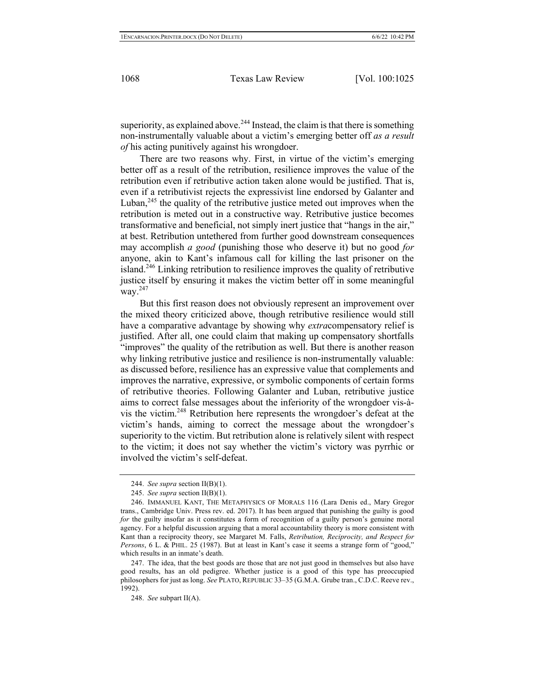superiority, as explained above.<sup>244</sup> Instead, the claim is that there is something non-instrumentally valuable about a victim's emerging better off *as a result of* his acting punitively against his wrongdoer.

There are two reasons why. First, in virtue of the victim's emerging better off as a result of the retribution, resilience improves the value of the retribution even if retributive action taken alone would be justified. That is, even if a retributivist rejects the expressivist line endorsed by Galanter and Luban,  $245$  the quality of the retributive justice meted out improves when the retribution is meted out in a constructive way. Retributive justice becomes transformative and beneficial, not simply inert justice that "hangs in the air," at best. Retribution untethered from further good downstream consequences may accomplish *a good* (punishing those who deserve it) but no good *for*  anyone, akin to Kant's infamous call for killing the last prisoner on the island.<sup>246</sup> Linking retribution to resilience improves the quality of retributive justice itself by ensuring it makes the victim better off in some meaningful way. 247

But this first reason does not obviously represent an improvement over the mixed theory criticized above, though retributive resilience would still have a comparative advantage by showing why *extra*compensatory relief is justified. After all, one could claim that making up compensatory shortfalls "improves" the quality of the retribution as well. But there is another reason why linking retributive justice and resilience is non-instrumentally valuable: as discussed before, resilience has an expressive value that complements and improves the narrative, expressive, or symbolic components of certain forms of retributive theories. Following Galanter and Luban, retributive justice aims to correct false messages about the inferiority of the wrongdoer vis-àvis the victim.248 Retribution here represents the wrongdoer's defeat at the victim's hands, aiming to correct the message about the wrongdoer's superiority to the victim. But retribution alone is relatively silent with respect to the victim; it does not say whether the victim's victory was pyrrhic or involved the victim's self-defeat.

<sup>244.</sup> *See supra* section II(B)(1).

<sup>245.</sup> *See supra* section II(B)(1).

<sup>246.</sup> IMMANUEL KANT, THE METAPHYSICS OF MORALS 116 (Lara Denis ed., Mary Gregor trans., Cambridge Univ. Press rev. ed. 2017). It has been argued that punishing the guilty is good *for* the guilty insofar as it constitutes a form of recognition of a guilty person's genuine moral agency. For a helpful discussion arguing that a moral accountability theory is more consistent with Kant than a reciprocity theory, see Margaret M. Falls, *Retribution, Reciprocity, and Respect for Persons*, 6 L. & PHIL. 25 (1987). But at least in Kant's case it seems a strange form of "good," which results in an inmate's death.

<sup>247.</sup> The idea, that the best goods are those that are not just good in themselves but also have good results, has an old pedigree. Whether justice is a good of this type has preoccupied philosophers for just as long. *See* PLATO, REPUBLIC 33–35 (G.M.A. Grube tran., C.D.C. Reeve rev., 1992).

<sup>248.</sup> *See* subpart II(A).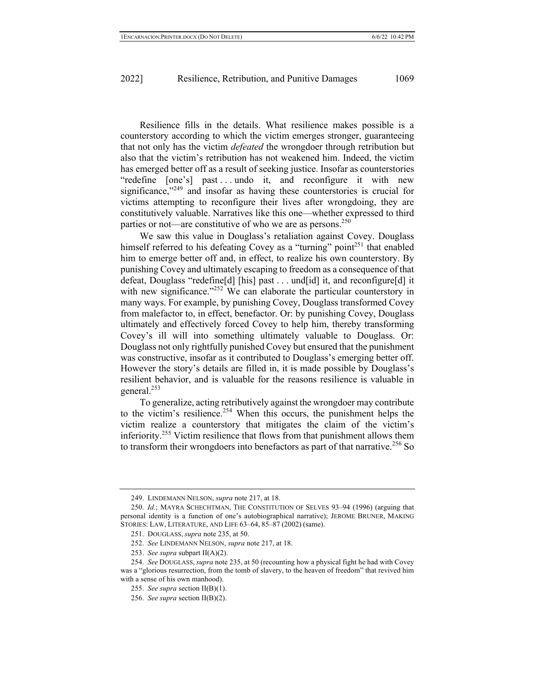Resilience fills in the details. What resilience makes possible is a counterstory according to which the victim emerges stronger, guaranteeing that not only has the victim *defeated* the wrongdoer through retribution but also that the victim's retribution has not weakened him. Indeed, the victim has emerged better off as a result of seeking justice. Insofar as counterstories "redefine [one's] past ... undo it, and reconfigure it with new significance, $1249$  and insofar as having these counterstories is crucial for victims attempting to reconfigure their lives after wrongdoing, they are constitutively valuable. Narratives like this one—whether expressed to third parties or not—are constitutive of who we are as persons.<sup>250</sup>

We saw this value in Douglass's retaliation against Covey. Douglass himself referred to his defeating Covey as a "turning" point<sup>251</sup> that enabled him to emerge better off and, in effect, to realize his own counterstory. By punishing Covey and ultimately escaping to freedom as a consequence of that defeat, Douglass "redefine[d] [his] past . . . und[id] it, and reconfigure[d] it with new significance."<sup>252</sup> We can elaborate the particular counterstory in many ways. For example, by punishing Covey, Douglass transformed Covey from malefactor to, in effect, benefactor. Or: by punishing Covey, Douglass ultimately and effectively forced Covey to help him, thereby transforming Covey's ill will into something ultimately valuable to Douglass. Or: Douglass not only rightfully punished Covey but ensured that the punishment was constructive, insofar as it contributed to Douglass's emerging better off. However the story's details are filled in, it is made possible by Douglass's resilient behavior, and is valuable for the reasons resilience is valuable in general.253

To generalize, acting retributively against the wrongdoer may contribute to the victim's resilience.<sup>254</sup> When this occurs, the punishment helps the victim realize a counterstory that mitigates the claim of the victim's inferiority.<sup>255</sup> Victim resilience that flows from that punishment allows them to transform their wrongdoers into benefactors as part of that narrative.<sup>256</sup> So

<sup>249.</sup> LINDEMANN NELSON, *supra* note 217, at 18.

<sup>250.</sup> *Id.*; MAYRA SCHECHTMAN, THE CONSTITUTION OF SELVES 93–94 (1996) (arguing that personal identity is a function of one's autobiographical narrative); JEROME BRUNER, MAKING STORIES: LAW, LITERATURE, AND LIFE 63–64, 85–87 (2002) (same).

<sup>251.</sup> DOUGLASS, *supra* note 235, at 50.

<sup>252.</sup> *See* LINDEMANN NELSON, *supra* note 217, at 18.

<sup>253.</sup> *See supra* subpart II(A)(2).

<sup>254.</sup> *See* DOUGLASS, *supra* note 235, at 50 (recounting how a physical fight he had with Covey was a "glorious resurrection, from the tomb of slavery, to the heaven of freedom" that revived him with a sense of his own manhood).

<sup>255.</sup> *See supra* section II(B)(1).

<sup>256.</sup> *See supra* section II(B)(2).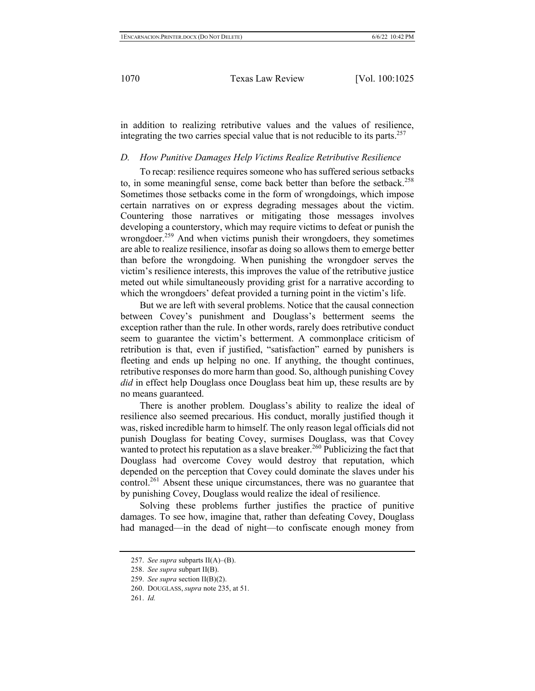in addition to realizing retributive values and the values of resilience, integrating the two carries special value that is not reducible to its parts.<sup>257</sup>

## *D. How Punitive Damages Help Victims Realize Retributive Resilience*

To recap: resilience requires someone who has suffered serious setbacks to, in some meaningful sense, come back better than before the setback.<sup>258</sup> Sometimes those setbacks come in the form of wrongdoings, which impose certain narratives on or express degrading messages about the victim. Countering those narratives or mitigating those messages involves developing a counterstory, which may require victims to defeat or punish the wrongdoer.<sup>259</sup> And when victims punish their wrongdoers, they sometimes are able to realize resilience, insofar as doing so allows them to emerge better than before the wrongdoing. When punishing the wrongdoer serves the victim's resilience interests, this improves the value of the retributive justice meted out while simultaneously providing grist for a narrative according to which the wrongdoers' defeat provided a turning point in the victim's life.

But we are left with several problems. Notice that the causal connection between Covey's punishment and Douglass's betterment seems the exception rather than the rule. In other words, rarely does retributive conduct seem to guarantee the victim's betterment. A commonplace criticism of retribution is that, even if justified, "satisfaction" earned by punishers is fleeting and ends up helping no one. If anything, the thought continues, retributive responses do more harm than good. So, although punishing Covey *did* in effect help Douglass once Douglass beat him up, these results are by no means guaranteed.

There is another problem. Douglass's ability to realize the ideal of resilience also seemed precarious. His conduct, morally justified though it was, risked incredible harm to himself. The only reason legal officials did not punish Douglass for beating Covey, surmises Douglass, was that Covey wanted to protect his reputation as a slave breaker.<sup>260</sup> Publicizing the fact that Douglass had overcome Covey would destroy that reputation, which depended on the perception that Covey could dominate the slaves under his control.<sup>261</sup> Absent these unique circumstances, there was no guarantee that by punishing Covey, Douglass would realize the ideal of resilience.

Solving these problems further justifies the practice of punitive damages. To see how, imagine that, rather than defeating Covey, Douglass had managed—in the dead of night—to confiscate enough money from

<sup>257.</sup> *See supra* subparts II(A)–(B).

<sup>258.</sup> *See supra* subpart II(B).

<sup>259.</sup> *See supra* section II(B)(2).

<sup>260.</sup> DOUGLASS, *supra* note 235, at 51.

<sup>261.</sup> *Id.*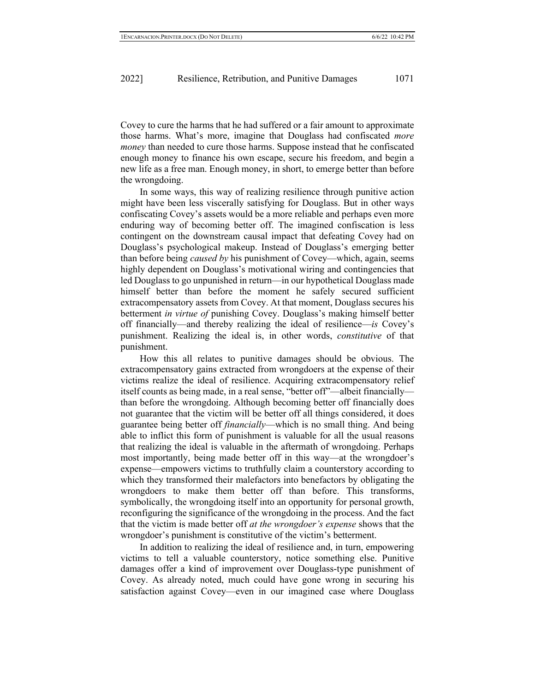Covey to cure the harms that he had suffered or a fair amount to approximate those harms. What's more, imagine that Douglass had confiscated *more money* than needed to cure those harms. Suppose instead that he confiscated enough money to finance his own escape, secure his freedom, and begin a new life as a free man. Enough money, in short, to emerge better than before the wrongdoing.

In some ways, this way of realizing resilience through punitive action might have been less viscerally satisfying for Douglass. But in other ways confiscating Covey's assets would be a more reliable and perhaps even more enduring way of becoming better off. The imagined confiscation is less contingent on the downstream causal impact that defeating Covey had on Douglass's psychological makeup. Instead of Douglass's emerging better than before being *caused by* his punishment of Covey—which, again, seems highly dependent on Douglass's motivational wiring and contingencies that led Douglass to go unpunished in return—in our hypothetical Douglass made himself better than before the moment he safely secured sufficient extracompensatory assets from Covey. At that moment, Douglass secures his betterment *in virtue of* punishing Covey. Douglass's making himself better off financially—and thereby realizing the ideal of resilience—*is* Covey's punishment. Realizing the ideal is, in other words, *constitutive* of that punishment.

How this all relates to punitive damages should be obvious. The extracompensatory gains extracted from wrongdoers at the expense of their victims realize the ideal of resilience. Acquiring extracompensatory relief itself counts as being made, in a real sense, "better off"—albeit financially than before the wrongdoing. Although becoming better off financially does not guarantee that the victim will be better off all things considered, it does guarantee being better off *financially*—which is no small thing. And being able to inflict this form of punishment is valuable for all the usual reasons that realizing the ideal is valuable in the aftermath of wrongdoing. Perhaps most importantly, being made better off in this way—at the wrongdoer's expense—empowers victims to truthfully claim a counterstory according to which they transformed their malefactors into benefactors by obligating the wrongdoers to make them better off than before. This transforms, symbolically, the wrongdoing itself into an opportunity for personal growth, reconfiguring the significance of the wrongdoing in the process. And the fact that the victim is made better off *at the wrongdoer's expense* shows that the wrongdoer's punishment is constitutive of the victim's betterment.

In addition to realizing the ideal of resilience and, in turn, empowering victims to tell a valuable counterstory, notice something else. Punitive damages offer a kind of improvement over Douglass-type punishment of Covey. As already noted, much could have gone wrong in securing his satisfaction against Covey—even in our imagined case where Douglass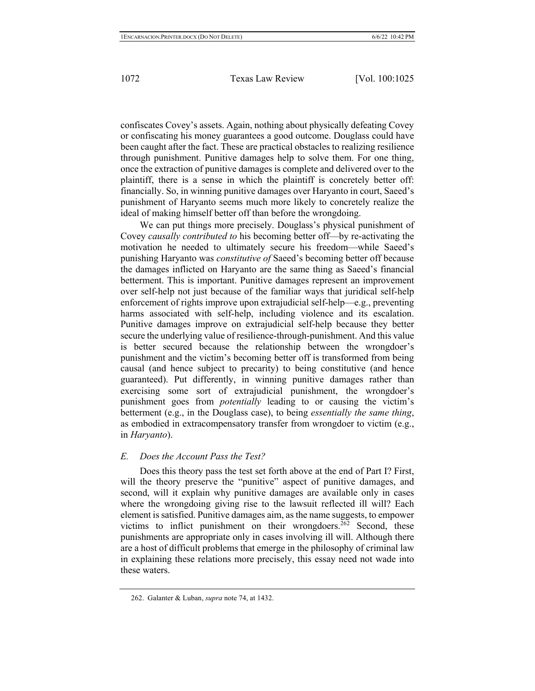confiscates Covey's assets. Again, nothing about physically defeating Covey or confiscating his money guarantees a good outcome. Douglass could have been caught after the fact. These are practical obstacles to realizing resilience through punishment. Punitive damages help to solve them. For one thing, once the extraction of punitive damages is complete and delivered over to the plaintiff, there is a sense in which the plaintiff is concretely better off: financially. So, in winning punitive damages over Haryanto in court, Saeed's punishment of Haryanto seems much more likely to concretely realize the ideal of making himself better off than before the wrongdoing.

We can put things more precisely. Douglass's physical punishment of Covey *causally contributed to* his becoming better off—by re-activating the motivation he needed to ultimately secure his freedom—while Saeed's punishing Haryanto was *constitutive of* Saeed's becoming better off because the damages inflicted on Haryanto are the same thing as Saeed's financial betterment. This is important. Punitive damages represent an improvement over self-help not just because of the familiar ways that juridical self-help enforcement of rights improve upon extrajudicial self-help—e.g., preventing harms associated with self-help, including violence and its escalation. Punitive damages improve on extrajudicial self-help because they better secure the underlying value of resilience-through-punishment. And this value is better secured because the relationship between the wrongdoer's punishment and the victim's becoming better off is transformed from being causal (and hence subject to precarity) to being constitutive (and hence guaranteed). Put differently, in winning punitive damages rather than exercising some sort of extrajudicial punishment, the wrongdoer's punishment goes from *potentially* leading to or causing the victim's betterment (e.g., in the Douglass case), to being *essentially the same thing*, as embodied in extracompensatory transfer from wrongdoer to victim (e.g., in *Haryanto*).

## *E. Does the Account Pass the Test?*

Does this theory pass the test set forth above at the end of Part I? First, will the theory preserve the "punitive" aspect of punitive damages, and second, will it explain why punitive damages are available only in cases where the wrongdoing giving rise to the lawsuit reflected ill will? Each element is satisfied. Punitive damages aim, as the name suggests, to empower victims to inflict punishment on their wrongdoers.<sup>262</sup> Second, these punishments are appropriate only in cases involving ill will. Although there are a host of difficult problems that emerge in the philosophy of criminal law in explaining these relations more precisely, this essay need not wade into these waters.

<sup>262.</sup> Galanter & Luban, *supra* note 74, at 1432.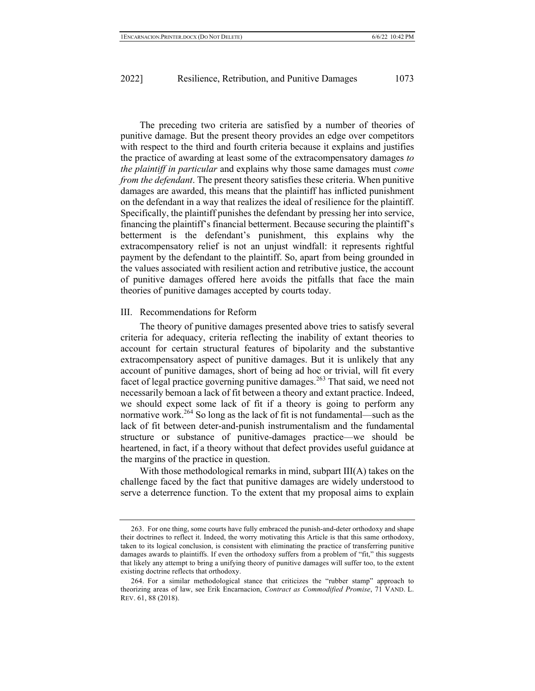The preceding two criteria are satisfied by a number of theories of punitive damage. But the present theory provides an edge over competitors with respect to the third and fourth criteria because it explains and justifies the practice of awarding at least some of the extracompensatory damages *to the plaintiff in particular* and explains why those same damages must *come from the defendant*. The present theory satisfies these criteria. When punitive damages are awarded, this means that the plaintiff has inflicted punishment on the defendant in a way that realizes the ideal of resilience for the plaintiff. Specifically, the plaintiff punishes the defendant by pressing her into service, financing the plaintiff's financial betterment. Because securing the plaintiff's betterment is the defendant's punishment, this explains why the extracompensatory relief is not an unjust windfall: it represents rightful payment by the defendant to the plaintiff. So, apart from being grounded in the values associated with resilient action and retributive justice, the account of punitive damages offered here avoids the pitfalls that face the main theories of punitive damages accepted by courts today.

#### III. Recommendations for Reform

The theory of punitive damages presented above tries to satisfy several criteria for adequacy, criteria reflecting the inability of extant theories to account for certain structural features of bipolarity and the substantive extracompensatory aspect of punitive damages. But it is unlikely that any account of punitive damages, short of being ad hoc or trivial, will fit every facet of legal practice governing punitive damages.<sup>263</sup> That said, we need not necessarily bemoan a lack of fit between a theory and extant practice. Indeed, we should expect some lack of fit if a theory is going to perform any normative work.<sup>264</sup> So long as the lack of fit is not fundamental—such as the lack of fit between deter-and-punish instrumentalism and the fundamental structure or substance of punitive-damages practice—we should be heartened, in fact, if a theory without that defect provides useful guidance at the margins of the practice in question.

With those methodological remarks in mind, subpart III(A) takes on the challenge faced by the fact that punitive damages are widely understood to serve a deterrence function. To the extent that my proposal aims to explain

<sup>263.</sup> For one thing, some courts have fully embraced the punish-and-deter orthodoxy and shape their doctrines to reflect it. Indeed, the worry motivating this Article is that this same orthodoxy, taken to its logical conclusion, is consistent with eliminating the practice of transferring punitive damages awards to plaintiffs. If even the orthodoxy suffers from a problem of "fit," this suggests that likely any attempt to bring a unifying theory of punitive damages will suffer too, to the extent existing doctrine reflects that orthodoxy.

<sup>264.</sup> For a similar methodological stance that criticizes the "rubber stamp" approach to theorizing areas of law, see Erik Encarnacion, *Contract as Commodified Promise*, 71 VAND. L. REV. 61, 88 (2018).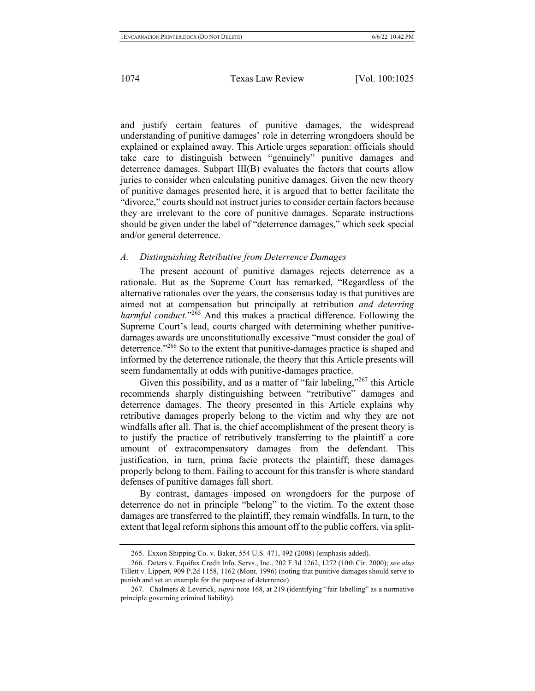and justify certain features of punitive damages, the widespread understanding of punitive damages' role in deterring wrongdoers should be explained or explained away. This Article urges separation: officials should take care to distinguish between "genuinely" punitive damages and deterrence damages. Subpart III(B) evaluates the factors that courts allow juries to consider when calculating punitive damages. Given the new theory of punitive damages presented here, it is argued that to better facilitate the "divorce," courts should not instruct juries to consider certain factors because they are irrelevant to the core of punitive damages. Separate instructions should be given under the label of "deterrence damages," which seek special and/or general deterrence.

# *A. Distinguishing Retributive from Deterrence Damages*

The present account of punitive damages rejects deterrence as a rationale. But as the Supreme Court has remarked, "Regardless of the alternative rationales over the years, the consensus today is that punitives are aimed not at compensation but principally at retribution *and deterring harmful conduct*."<sup>265</sup> And this makes a practical difference. Following the Supreme Court's lead, courts charged with determining whether punitivedamages awards are unconstitutionally excessive "must consider the goal of deterrence."<sup>266</sup> So to the extent that punitive-damages practice is shaped and informed by the deterrence rationale, the theory that this Article presents will seem fundamentally at odds with punitive-damages practice.

Given this possibility, and as a matter of "fair labeling,"<sup>267</sup> this Article recommends sharply distinguishing between "retributive" damages and deterrence damages. The theory presented in this Article explains why retributive damages properly belong to the victim and why they are not windfalls after all. That is, the chief accomplishment of the present theory is to justify the practice of retributively transferring to the plaintiff a core amount of extracompensatory damages from the defendant. This justification, in turn, prima facie protects the plaintiff; these damages properly belong to them. Failing to account for this transfer is where standard defenses of punitive damages fall short.

By contrast, damages imposed on wrongdoers for the purpose of deterrence do not in principle "belong" to the victim. To the extent those damages are transferred to the plaintiff, they remain windfalls. In turn, to the extent that legal reform siphons this amount off to the public coffers, via split-

<sup>265.</sup> Exxon Shipping Co. v. Baker, 554 U.S. 471, 492 (2008) (emphasis added).

<sup>266.</sup> Deters v. Equifax Credit Info. Servs., Inc., 202 F.3d 1262, 1272 (10th Cir. 2000); *see also*  Tillett v. Lippert, 909 P.2d 1158, 1162 (Mont. 1996) (noting that punitive damages should serve to punish and set an example for the purpose of deterrence).

<sup>267.</sup> Chalmers & Leverick, *supra* note 168, at 219 (identifying "fair labelling" as a normative principle governing criminal liability).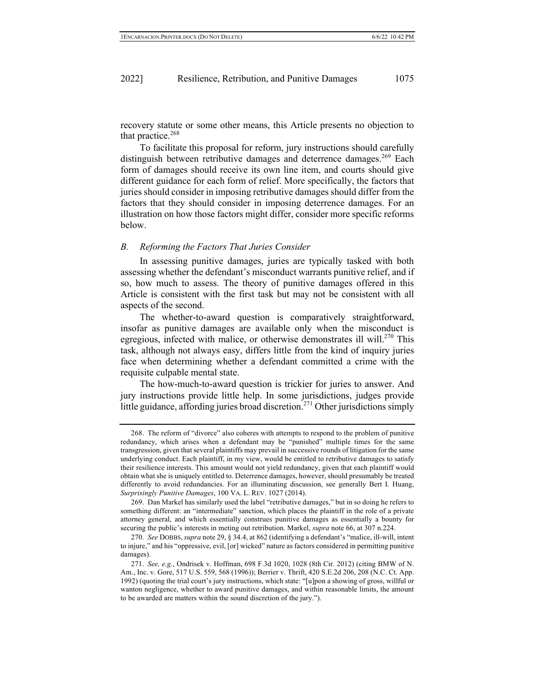recovery statute or some other means, this Article presents no objection to that practice.<sup>268</sup>

To facilitate this proposal for reform, jury instructions should carefully distinguish between retributive damages and deterrence damages.<sup>269</sup> Each form of damages should receive its own line item, and courts should give different guidance for each form of relief. More specifically, the factors that juries should consider in imposing retributive damages should differ from the factors that they should consider in imposing deterrence damages. For an illustration on how those factors might differ, consider more specific reforms below.

#### *B. Reforming the Factors That Juries Consider*

In assessing punitive damages, juries are typically tasked with both assessing whether the defendant's misconduct warrants punitive relief, and if so, how much to assess. The theory of punitive damages offered in this Article is consistent with the first task but may not be consistent with all aspects of the second.

The whether-to-award question is comparatively straightforward, insofar as punitive damages are available only when the misconduct is egregious, infected with malice, or otherwise demonstrates ill will.<sup>270</sup> This task, although not always easy, differs little from the kind of inquiry juries face when determining whether a defendant committed a crime with the requisite culpable mental state.

The how-much-to-award question is trickier for juries to answer. And jury instructions provide little help. In some jurisdictions, judges provide little guidance, affording juries broad discretion.<sup>271</sup> Other jurisdictions simply

<sup>268.</sup> The reform of "divorce" also coheres with attempts to respond to the problem of punitive redundancy, which arises when a defendant may be "punished" multiple times for the same transgression, given that several plaintiffs may prevail in successive rounds of litigation for the same underlying conduct. Each plaintiff, in my view, would be entitled to retributive damages to satisfy their resilience interests. This amount would not yield redundancy, given that each plaintiff would obtain what she is uniquely entitled to. Deterrence damages, however, should presumably be treated differently to avoid redundancies. For an illuminating discussion, see generally Bert I. Huang, *Surprisingly Punitive Damages*, 100 VA. L. REV. 1027 (2014).

<sup>269.</sup> Dan Markel has similarly used the label "retributive damages," but in so doing he refers to something different: an "intermediate" sanction, which places the plaintiff in the role of a private attorney general, and which essentially construes punitive damages as essentially a bounty for securing the public's interests in meting out retribution. Markel, *supra* note 66, at 307 n.224.

<sup>270.</sup> *See* DOBBS,*supra* note 29, § 34.4, at 862 (identifying a defendant's "malice, ill-will, intent to injure," and his "oppressive, evil, [or] wicked" nature as factors considered in permitting punitive damages).

<sup>271.</sup> *See, e.g.*, Ondrisek v. Hoffman, 698 F.3d 1020, 1028 (8th Cir. 2012) (citing BMW of N. Am., Inc. v. Gore, 517 U.S. 559, 568 (1996)); Berrier v. Thrift, 420 S.E.2d 206, 208 (N.C. Ct. App. 1992) (quoting the trial court's jury instructions, which state: "[u]pon a showing of gross, willful or wanton negligence, whether to award punitive damages, and within reasonable limits, the amount to be awarded are matters within the sound discretion of the jury.").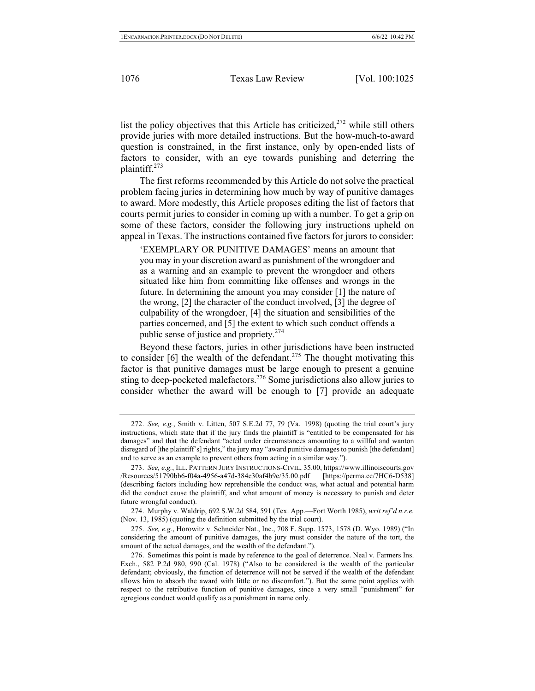list the policy objectives that this Article has criticized, $272$  while still others provide juries with more detailed instructions. But the how-much-to-award question is constrained, in the first instance, only by open-ended lists of factors to consider, with an eye towards punishing and deterring the plaintiff.273

The first reforms recommended by this Article do not solve the practical problem facing juries in determining how much by way of punitive damages to award. More modestly, this Article proposes editing the list of factors that courts permit juries to consider in coming up with a number. To get a grip on some of these factors, consider the following jury instructions upheld on appeal in Texas. The instructions contained five factors for jurors to consider:

'EXEMPLARY OR PUNITIVE DAMAGES' means an amount that you may in your discretion award as punishment of the wrongdoer and as a warning and an example to prevent the wrongdoer and others situated like him from committing like offenses and wrongs in the future. In determining the amount you may consider [1] the nature of the wrong, [2] the character of the conduct involved, [3] the degree of culpability of the wrongdoer, [4] the situation and sensibilities of the parties concerned, and [5] the extent to which such conduct offends a public sense of justice and propriety. $274$ 

Beyond these factors, juries in other jurisdictions have been instructed to consider  $[6]$  the wealth of the defendant.<sup>275</sup> The thought motivating this factor is that punitive damages must be large enough to present a genuine sting to deep-pocketed malefactors.<sup>276</sup> Some jurisdictions also allow juries to consider whether the award will be enough to [7] provide an adequate

<sup>272.</sup> *See, e.g.*, Smith v. Litten, 507 S.E.2d 77, 79 (Va. 1998) (quoting the trial court's jury instructions, which state that if the jury finds the plaintiff is "entitled to be compensated for his damages" and that the defendant "acted under circumstances amounting to a willful and wanton disregard of [the plaintiff's] rights," the jury may "award punitive damages to punish [the defendant] and to serve as an example to prevent others from acting in a similar way.").

<sup>273.</sup> *See, e.g.*, ILL. PATTERN JURY INSTRUCTIONS-CIVIL, 35.00, https://www.illinoiscourts.gov /Resources/51790bb6-f04a-4956-a47d-384c30af4b9e/35.00.pdf [https://perma.cc/7HC6-D538] (describing factors including how reprehensible the conduct was, what actual and potential harm did the conduct cause the plaintiff, and what amount of money is necessary to punish and deter future wrongful conduct).

<sup>274.</sup> Murphy v. Waldrip, 692 S.W.2d 584, 591 (Tex. App.—Fort Worth 1985), *writ ref'd n.r.e.*  (Nov. 13, 1985) (quoting the definition submitted by the trial court).

<sup>275.</sup> *See, e.g.*, Horowitz v. Schneider Nat., Inc., 708 F. Supp. 1573, 1578 (D. Wyo. 1989) ("In considering the amount of punitive damages, the jury must consider the nature of the tort, the amount of the actual damages, and the wealth of the defendant.").

<sup>276.</sup> Sometimes this point is made by reference to the goal of deterrence. Neal v. Farmers Ins. Exch., 582 P.2d 980, 990 (Cal. 1978) ("Also to be considered is the wealth of the particular defendant; obviously, the function of deterrence will not be served if the wealth of the defendant allows him to absorb the award with little or no discomfort."). But the same point applies with respect to the retributive function of punitive damages, since a very small "punishment" for egregious conduct would qualify as a punishment in name only.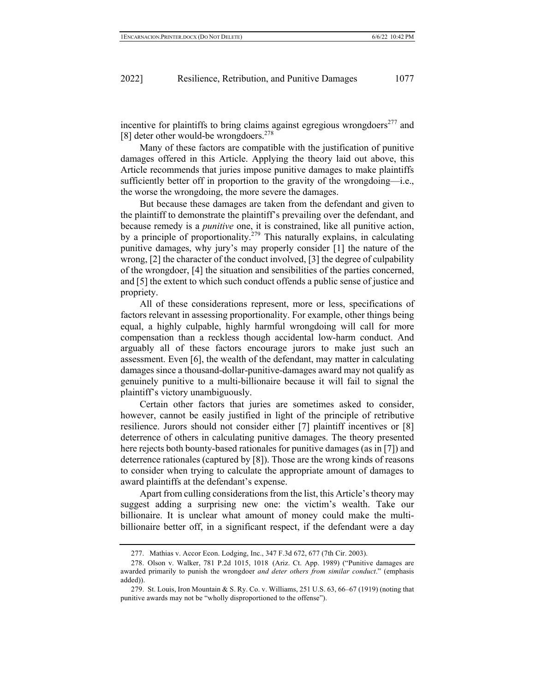incentive for plaintiffs to bring claims against egregious wrongdoers <sup>277</sup> and [8] deter other would-be wrongdoers.<sup>278</sup>

Many of these factors are compatible with the justification of punitive damages offered in this Article. Applying the theory laid out above, this Article recommends that juries impose punitive damages to make plaintiffs sufficiently better off in proportion to the gravity of the wrongdoing—i.e., the worse the wrongdoing, the more severe the damages.

But because these damages are taken from the defendant and given to the plaintiff to demonstrate the plaintiff's prevailing over the defendant, and because remedy is a *punitive* one, it is constrained, like all punitive action, by a principle of proportionality.<sup>279</sup> This naturally explains, in calculating punitive damages, why jury's may properly consider [1] the nature of the wrong, [2] the character of the conduct involved, [3] the degree of culpability of the wrongdoer, [4] the situation and sensibilities of the parties concerned, and [5] the extent to which such conduct offends a public sense of justice and propriety.

All of these considerations represent, more or less, specifications of factors relevant in assessing proportionality. For example, other things being equal, a highly culpable, highly harmful wrongdoing will call for more compensation than a reckless though accidental low-harm conduct. And arguably all of these factors encourage jurors to make just such an assessment. Even [6], the wealth of the defendant, may matter in calculating damages since a thousand-dollar-punitive-damages award may not qualify as genuinely punitive to a multi-billionaire because it will fail to signal the plaintiff's victory unambiguously.

Certain other factors that juries are sometimes asked to consider, however, cannot be easily justified in light of the principle of retributive resilience. Jurors should not consider either [7] plaintiff incentives or [8] deterrence of others in calculating punitive damages. The theory presented here rejects both bounty-based rationales for punitive damages (as in [7]) and deterrence rationales (captured by [8]). Those are the wrong kinds of reasons to consider when trying to calculate the appropriate amount of damages to award plaintiffs at the defendant's expense.

Apart from culling considerations from the list, this Article's theory may suggest adding a surprising new one: the victim's wealth. Take our billionaire. It is unclear what amount of money could make the multibillionaire better off, in a significant respect, if the defendant were a day

<sup>277.</sup> Mathias v. Accor Econ. Lodging, Inc., 347 F.3d 672, 677 (7th Cir. 2003).

<sup>278.</sup> Olson v. Walker, 781 P.2d 1015, 1018 (Ariz. Ct. App. 1989) ("Punitive damages are awarded primarily to punish the wrongdoer *and deter others from similar conduct*." (emphasis added)).

<sup>279.</sup> St. Louis, Iron Mountain & S. Ry. Co. v. Williams, 251 U.S. 63, 66–67 (1919) (noting that punitive awards may not be "wholly disproportioned to the offense").